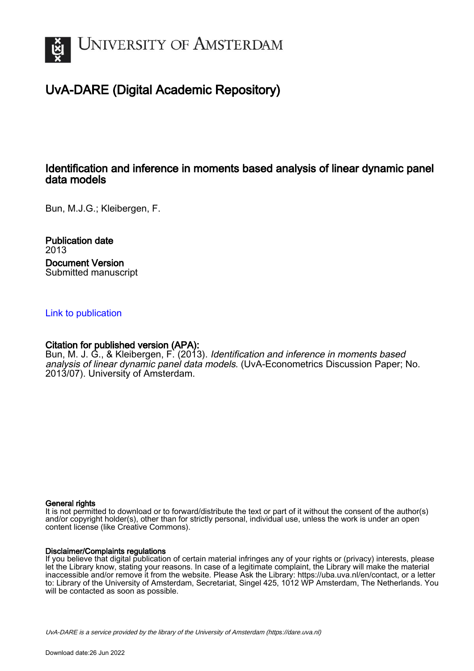

## UvA-DARE (Digital Academic Repository)

### Identification and inference in moments based analysis of linear dynamic panel data models

Bun, M.J.G.; Kleibergen, F.

Publication date 2013 Document Version Submitted manuscript

#### [Link to publication](https://dare.uva.nl/personal/pure/en/publications/identification-and-inference-in-moments-based-analysis-of-linear-dynamic-panel-data-models(656d0f41-8709-43ab-9ccb-84c9beb41ce1).html)

#### Citation for published version (APA):

Bun, M. J. G., & Kleibergen, F. (2013). Identification and inference in moments based analysis of linear dynamic panel data models. (UvA-Econometrics Discussion Paper; No. 2013/07). University of Amsterdam.

#### General rights

It is not permitted to download or to forward/distribute the text or part of it without the consent of the author(s) and/or copyright holder(s), other than for strictly personal, individual use, unless the work is under an open content license (like Creative Commons).

#### Disclaimer/Complaints regulations

If you believe that digital publication of certain material infringes any of your rights or (privacy) interests, please let the Library know, stating your reasons. In case of a legitimate complaint, the Library will make the material inaccessible and/or remove it from the website. Please Ask the Library: https://uba.uva.nl/en/contact, or a letter to: Library of the University of Amsterdam, Secretariat, Singel 425, 1012 WP Amsterdam, The Netherlands. You will be contacted as soon as possible.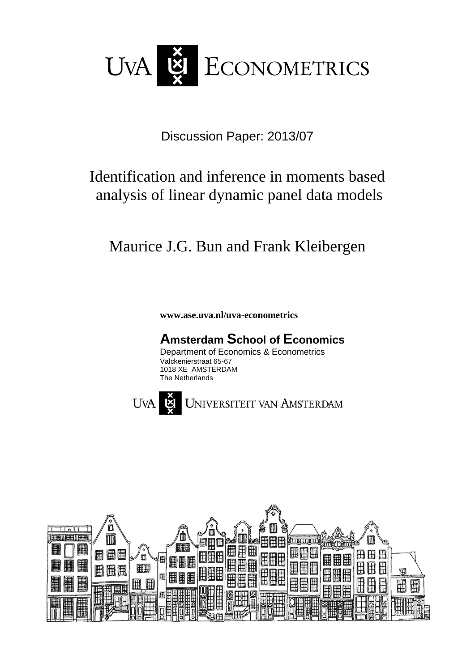

Discussion Paper: 2013/07

# Identification and inference in moments based analysis of linear dynamic panel data models

# Maurice J.G. Bun and Frank Kleibergen

**www.ase.uva.nl/uva-econometrics**

## **Amsterdam School of Economics**

Department of Economics & Econometrics Valckenierstraat 65-67 1018 XE AMSTERDAM The Netherlands



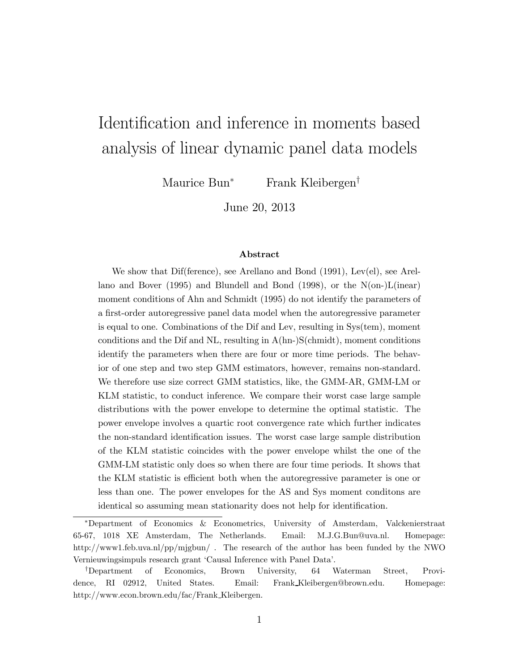# Identification and inference in moments based analysis of linear dynamic panel data models

Maurice Bun<sup>∗</sup> Frank Kleibergen†

June 20, 2013

#### Abstract

We show that Dif(ference), see Arellano and Bond (1991), Lev(el), see Arellano and Bover (1995) and Blundell and Bond (1998), or the  $N(\text{on-})L(\text{linear})$ moment conditions of Ahn and Schmidt (1995) do not identify the parameters of a first-order autoregressive panel data model when the autoregressive parameter is equal to one. Combinations of the Dif and Lev, resulting in Sys(tem), moment conditions and the Dif and NL, resulting in  $A(hn-)S(chmidt)$ , moment conditions identify the parameters when there are four or more time periods. The behavior of one step and two step GMM estimators, however, remains non-standard. We therefore use size correct GMM statistics, like, the GMM-AR, GMM-LM or KLM statistic, to conduct inference. We compare their worst case large sample distributions with the power envelope to determine the optimal statistic. The power envelope involves a quartic root convergence rate which further indicates the non-standard identification issues. The worst case large sample distribution of the KLM statistic coincides with the power envelope whilst the one of the GMM-LM statistic only does so when there are four time periods. It shows that the KLM statistic is efficient both when the autoregressive parameter is one or less than one. The power envelopes for the AS and Sys moment conditons are identical so assuming mean stationarity does not help for identification.

<sup>∗</sup>Department of Economics & Econometrics, University of Amsterdam, Valckenierstraat 65-67, 1018 XE Amsterdam, The Netherlands. Email: M.J.G.Bun@uva.nl. Homepage: http://www1.feb.uva.nl/pp/mjgbun/. The research of the author has been funded by the NWO Vernieuwingsimpuls research grant 'Causal Inference with Panel Data'.

<sup>†</sup>Department of Economics, Brown University, 64 Waterman Street, Providence, RI 02912, United States. Email: Frank Kleibergen@brown.edu. Homepage: http://www.econ.brown.edu/fac/Frank Kleibergen.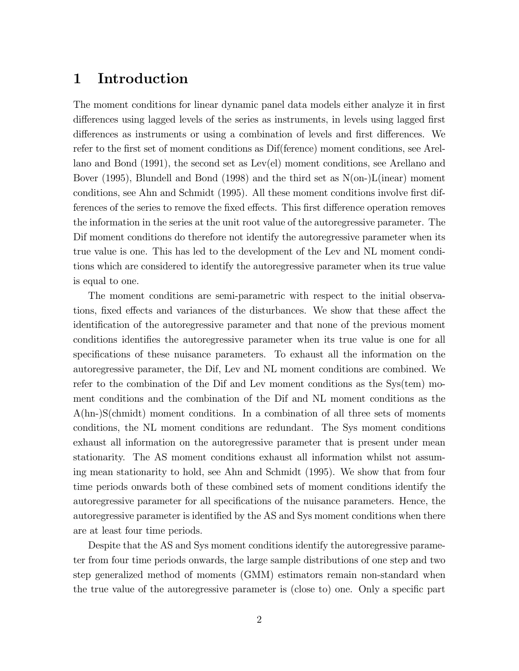## 1 Introduction

The moment conditions for linear dynamic panel data models either analyze it in first differences using lagged levels of the series as instruments, in levels using lagged first differences as instruments or using a combination of levels and first differences. We refer to the first set of moment conditions as Dif(ference) moment conditions, see Arellano and Bond (1991), the second set as Lev(el) moment conditions, see Arellano and Bover (1995), Blundell and Bond (1998) and the third set as N(on-)L(inear) moment conditions, see Ahn and Schmidt (1995). All these moment conditions involve first differences of the series to remove the fixed effects. This first difference operation removes the information in the series at the unit root value of the autoregressive parameter. The Dif moment conditions do therefore not identify the autoregressive parameter when its true value is one. This has led to the development of the Lev and NL moment conditions which are considered to identify the autoregressive parameter when its true value is equal to one.

The moment conditions are semi-parametric with respect to the initial observations, fixed effects and variances of the disturbances. We show that these affect the identification of the autoregressive parameter and that none of the previous moment conditions identifies the autoregressive parameter when its true value is one for all specifications of these nuisance parameters. To exhaust all the information on the autoregressive parameter, the Dif, Lev and NL moment conditions are combined. We refer to the combination of the Dif and Lev moment conditions as the Sys(tem) moment conditions and the combination of the Dif and NL moment conditions as the A(hn-)S(chmidt) moment conditions. In a combination of all three sets of moments conditions, the NL moment conditions are redundant. The Sys moment conditions exhaust all information on the autoregressive parameter that is present under mean stationarity. The AS moment conditions exhaust all information whilst not assuming mean stationarity to hold, see Ahn and Schmidt (1995). We show that from four time periods onwards both of these combined sets of moment conditions identify the autoregressive parameter for all specifications of the nuisance parameters. Hence, the autoregressive parameter is identified by the AS and Sys moment conditions when there are at least four time periods.

Despite that the AS and Sys moment conditions identify the autoregressive parameter from four time periods onwards, the large sample distributions of one step and two step generalized method of moments (GMM) estimators remain non-standard when the true value of the autoregressive parameter is (close to) one. Only a specific part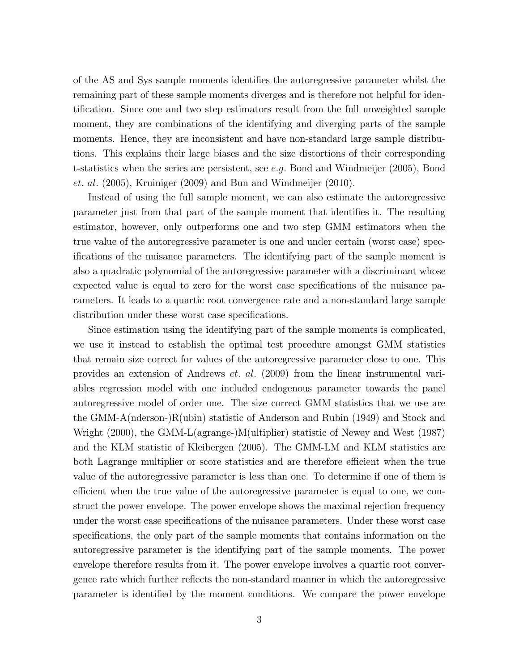of the AS and Sys sample moments identifies the autoregressive parameter whilst the remaining part of these sample moments diverges and is therefore not helpful for identification. Since one and two step estimators result from the full unweighted sample moment, they are combinations of the identifying and diverging parts of the sample moments. Hence, they are inconsistent and have non-standard large sample distributions. This explains their large biases and the size distortions of their corresponding t-statistics when the series are persistent, see e.g. Bond and Windmeijer  $(2005)$ , Bond et. al. (2005), Kruiniger (2009) and Bun and Windmeijer (2010).

Instead of using the full sample moment, we can also estimate the autoregressive parameter just from that part of the sample moment that identifies it. The resulting estimator, however, only outperforms one and two step GMM estimators when the true value of the autoregressive parameter is one and under certain (worst case) specifications of the nuisance parameters. The identifying part of the sample moment is also a quadratic polynomial of the autoregressive parameter with a discriminant whose expected value is equal to zero for the worst case specifications of the nuisance parameters. It leads to a quartic root convergence rate and a non-standard large sample distribution under these worst case specifications.

Since estimation using the identifying part of the sample moments is complicated, we use it instead to establish the optimal test procedure amongst GMM statistics that remain size correct for values of the autoregressive parameter close to one. This provides an extension of Andrews et. al. (2009) from the linear instrumental variables regression model with one included endogenous parameter towards the panel autoregressive model of order one. The size correct GMM statistics that we use are the GMM-A(nderson-)R(ubin) statistic of Anderson and Rubin (1949) and Stock and Wright (2000), the GMM-L(agrange-)M(ultiplier) statistic of Newey and West (1987) and the KLM statistic of Kleibergen (2005). The GMM-LM and KLM statistics are both Lagrange multiplier or score statistics and are therefore efficient when the true value of the autoregressive parameter is less than one. To determine if one of them is efficient when the true value of the autoregressive parameter is equal to one, we construct the power envelope. The power envelope shows the maximal rejection frequency under the worst case specifications of the nuisance parameters. Under these worst case specifications, the only part of the sample moments that contains information on the autoregressive parameter is the identifying part of the sample moments. The power envelope therefore results from it. The power envelope involves a quartic root convergence rate which further reflects the non-standard manner in which the autoregressive parameter is identified by the moment conditions. We compare the power envelope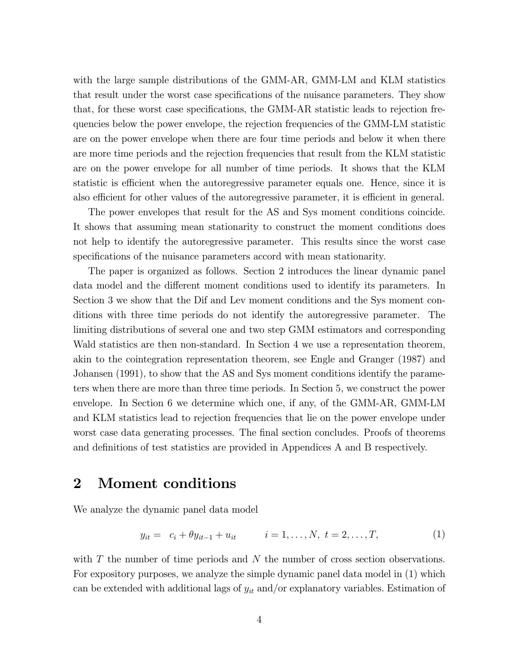with the large sample distributions of the GMM-AR, GMM-LM and KLM statistics that result under the worst case specifications of the nuisance parameters. They show that, for these worst case specifications, the GMM-AR statistic leads to rejection frequencies below the power envelope, the rejection frequencies of the GMM-LM statistic are on the power envelope when there are four time periods and below it when there are more time periods and the rejection frequencies that result from the KLM statistic are on the power envelope for all number of time periods. It shows that the KLM statistic is efficient when the autoregressive parameter equals one. Hence, since it is also efficient for other values of the autoregressive parameter, it is efficient in general.

The power envelopes that result for the AS and Sys moment conditions coincide. It shows that assuming mean stationarity to construct the moment conditions does not help to identify the autoregressive parameter. This results since the worst case specifications of the nuisance parameters accord with mean stationarity.

The paper is organized as follows. Section 2 introduces the linear dynamic panel data model and the different moment conditions used to identify its parameters. In Section 3 we show that the Dif and Lev moment conditions and the Sys moment conditions with three time periods do not identify the autoregressive parameter. The limiting distributions of several one and two step GMM estimators and corresponding Wald statistics are then non-standard. In Section 4 we use a representation theorem, akin to the cointegration representation theorem, see Engle and Granger (1987) and Johansen (1991), to show that the AS and Sys moment conditions identify the parameters when there are more than three time periods. In Section 5, we construct the power envelope. In Section 6 we determine which one, if any, of the GMM-AR, GMM-LM and KLM statistics lead to rejection frequencies that lie on the power envelope under worst case data generating processes. The final section concludes. Proofs of theorems and definitions of test statistics are provided in Appendices A and B respectively.

## 2 Moment conditions

We analyze the dynamic panel data model

$$
y_{it} = c_i + \theta y_{it-1} + u_{it} \qquad i = 1, ..., N, t = 2, ..., T,
$$
 (1)

with  $T$  the number of time periods and  $N$  the number of cross section observations. For expository purposes, we analyze the simple dynamic panel data model in (1) which can be extended with additional lags of  $y_{it}$  and/or explanatory variables. Estimation of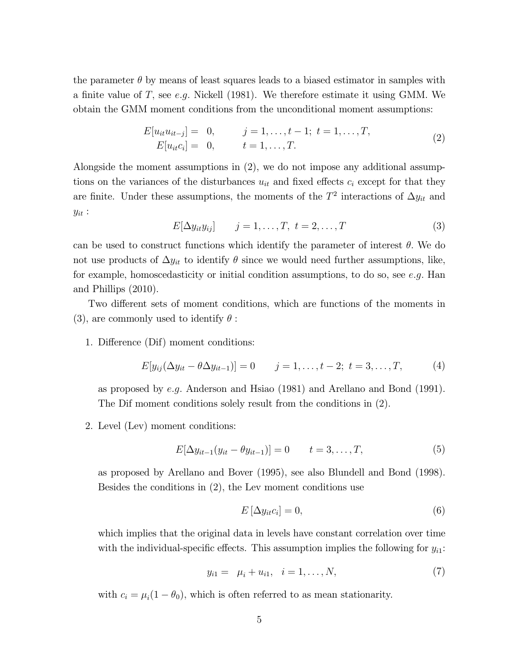the parameter  $\theta$  by means of least squares leads to a biased estimator in samples with a finite value of T, see e.g. Nickell (1981). We therefore estimate it using GMM. We obtain the GMM moment conditions from the unconditional moment assumptions:

$$
E[u_{it}u_{it-j}] = 0, \t j = 1,...,t-1; t = 1,...,T,E[u_{it}c_i] = 0, \t t = 1,...,T.
$$
\t(2)

Alongside the moment assumptions in (2), we do not impose any additional assumptions on the variances of the disturbances  $u_{it}$  and fixed effects  $c_i$  except for that they are finite. Under these assumptions, the moments of the  $T^2$  interactions of  $\Delta y_{it}$  and  $y_{it}$ :

$$
E[\Delta y_{it}y_{ij}] \qquad j=1,\ldots,T, \ t=2,\ldots,T \tag{3}
$$

can be used to construct functions which identify the parameter of interest  $\theta$ . We do not use products of  $\Delta y_{it}$  to identify  $\theta$  since we would need further assumptions, like, for example, homoscedasticity or initial condition assumptions, to do so, see  $e.g.$  Han and Phillips (2010).

Two different sets of moment conditions, which are functions of the moments in (3), are commonly used to identify  $\theta$ :

1. Difference (Dif) moment conditions:

$$
E[y_{ij}(\Delta y_{it} - \theta \Delta y_{it-1})] = 0 \t j = 1, ..., t-2; t = 3, ..., T,
$$
 (4)

as proposed by e.g. Anderson and Hsiao (1981) and Arellano and Bond (1991). The Dif moment conditions solely result from the conditions in (2).

2. Level (Lev) moment conditions:

$$
E[\Delta y_{it-1}(y_{it} - \theta y_{it-1})] = 0 \qquad t = 3, ..., T,
$$
\n(5)

as proposed by Arellano and Bover (1995), see also Blundell and Bond (1998). Besides the conditions in (2), the Lev moment conditions use

$$
E\left[\Delta y_{it}c_i\right] = 0,\t\t(6)
$$

which implies that the original data in levels have constant correlation over time with the individual-specific effects. This assumption implies the following for  $y_{i1}$ :

$$
y_{i1} = \mu_i + u_{i1}, \quad i = 1, \dots, N,
$$
 (7)

with  $c_i = \mu_i(1 - \theta_0)$ , which is often referred to as mean stationarity.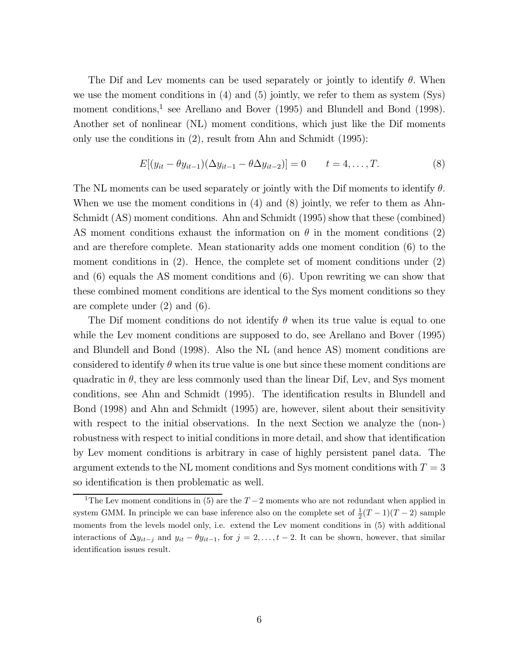The Dif and Lev moments can be used separately or jointly to identify  $\theta$ . When we use the moment conditions in  $(4)$  and  $(5)$  jointly, we refer to them as system  $(Sys)$ moment conditions,<sup>1</sup> see Arellano and Bover (1995) and Blundell and Bond (1998). Another set of nonlinear (NL) moment conditions, which just like the Dif moments only use the conditions in (2), result from Ahn and Schmidt (1995):

$$
E[(y_{it} - \theta y_{it-1})(\Delta y_{it-1} - \theta \Delta y_{it-2})] = 0 \t t = 4,...,T.
$$
 (8)

The NL moments can be used separately or jointly with the Dif moments to identify  $\theta$ . When we use the moment conditions in (4) and (8) jointly, we refer to them as Ahn-Schmidt (AS) moment conditions. Ahn and Schmidt (1995) show that these (combined) AS moment conditions exhaust the information on  $\theta$  in the moment conditions (2) and are therefore complete. Mean stationarity adds one moment condition (6) to the moment conditions in (2). Hence, the complete set of moment conditions under (2) and (6) equals the AS moment conditions and (6). Upon rewriting we can show that these combined moment conditions are identical to the Sys moment conditions so they are complete under (2) and (6).

The Dif moment conditions do not identify  $\theta$  when its true value is equal to one while the Lev moment conditions are supposed to do, see Arellano and Bover (1995) and Blundell and Bond (1998). Also the NL (and hence AS) moment conditions are considered to identify  $\theta$  when its true value is one but since these moment conditions are quadratic in  $\theta$ , they are less commonly used than the linear Dif, Lev, and Sys moment conditions, see Ahn and Schmidt (1995). The identification results in Blundell and Bond (1998) and Ahn and Schmidt (1995) are, however, silent about their sensitivity with respect to the initial observations. In the next Section we analyze the (non-) robustness with respect to initial conditions in more detail, and show that identification by Lev moment conditions is arbitrary in case of highly persistent panel data. The argument extends to the NL moment conditions and Sys moment conditions with  $T = 3$ so identification is then problematic as well.

<sup>&</sup>lt;sup>1</sup>The Lev moment conditions in (5) are the  $T-2$  moments who are not redundant when applied in system GMM. In principle we can base inference also on the complete set of  $\frac{1}{2}(T-1)(T-2)$  sample moments from the levels model only, i.e. extend the Lev moment conditions in  $(5)$  with additional interactions of  $\Delta y_{it-j}$  and  $y_{it} - \theta y_{it-1}$ , for  $j = 2, \ldots, t-2$ . It can be shown, however, that similar identification issues result.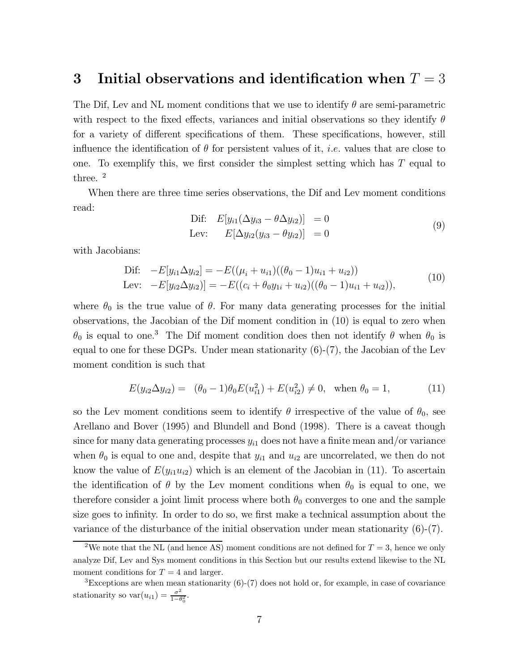## 3 Initial observations and identification when  $T = 3$

The Dif, Lev and NL moment conditions that we use to identify  $\theta$  are semi-parametric with respect to the fixed effects, variances and initial observations so they identify  $\theta$ for a variety of different specifications of them. These specifications, however, still influence the identification of  $\theta$  for persistent values of it, *i.e.* values that are close to one. To exemplify this, we first consider the simplest setting which has  $T$  equal to three. <sup>2</sup>

When there are three time series observations, the Dif and Lev moment conditions read:

$$
\begin{aligned}\n\text{Dif:} \quad E[y_{i1}(\Delta y_{i3} - \theta \Delta y_{i2})] &= 0 \\
\text{Lev:} \quad E[\Delta y_{i2}(y_{i3} - \theta y_{i2})] &= 0\n\end{aligned} \tag{9}
$$

with Jacobians:

$$
\begin{aligned} \text{Dif:} \quad -E[y_{i1} \Delta y_{i2}] &= -E((\mu_i + u_{i1})((\theta_0 - 1)u_{i1} + u_{i2})) \\ \text{Lev:} \quad -E[y_{i2} \Delta y_{i2})] &= -E((c_i + \theta_0 y_{1i} + u_{i2})((\theta_0 - 1)u_{i1} + u_{i2})), \end{aligned} \tag{10}
$$

where  $\theta_0$  is the true value of  $\theta$ . For many data generating processes for the initial observations, the Jacobian of the Dif moment condition in (10) is equal to zero when  $θ$ <sub>0</sub> is equal to one.<sup>3</sup> The Dif moment condition does then not identify  $θ$  when  $θ$ <sub>0</sub> is equal to one for these DGPs. Under mean stationarity (6)-(7), the Jacobian of the Lev moment condition is such that

$$
E(y_{i2} \Delta y_{i2}) = (\theta_0 - 1)\theta_0 E(u_{i1}^2) + E(u_{i2}^2) \neq 0, \text{ when } \theta_0 = 1,
$$
 (11)

so the Lev moment conditions seem to identify  $\theta$  irrespective of the value of  $\theta_0$ , see Arellano and Bover (1995) and Blundell and Bond (1998). There is a caveat though since for many data generating processes  $y_{i1}$  does not have a finite mean and/or variance when  $\theta_0$  is equal to one and, despite that  $y_{i1}$  and  $u_{i2}$  are uncorrelated, we then do not know the value of  $E(y_{i1}u_{i2})$  which is an element of the Jacobian in (11). To ascertain the identification of  $\theta$  by the Lev moment conditions when  $\theta_0$  is equal to one, we therefore consider a joint limit process where both  $\theta_0$  converges to one and the sample size goes to infinity. In order to do so, we first make a technical assumption about the variance of the disturbance of the initial observation under mean stationarity (6)-(7).

<sup>&</sup>lt;sup>2</sup>We note that the NL (and hence AS) moment conditions are not defined for  $T = 3$ , hence we only analyze Dif, Lev and Sys moment conditions in this Section but our results extend likewise to the NL moment conditions for  $T = 4$  and larger.

 ${}^{3}$ Exceptions are when mean stationarity (6)-(7) does not hold or, for example, in case of covariance stationarity so  $var(u_{i1}) = \frac{\sigma^2}{1-\theta_0^2}$ .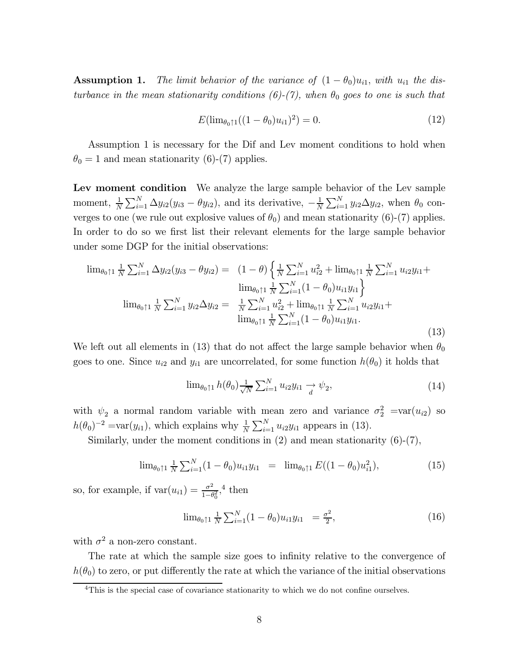**Assumption 1.** The limit behavior of the variance of  $(1 - \theta_0)u_{i1}$ , with  $u_{i1}$  the disturbance in the mean stationarity conditions (6)-(7), when  $\theta_0$  goes to one is such that

$$
E(\lim_{\theta_0 \uparrow 1}((1 - \theta_0)u_{i1})^2) = 0. \tag{12}
$$

Assumption 1 is necessary for the Dif and Lev moment conditions to hold when  $\theta_0 = 1$  and mean stationarity (6)-(7) applies.

Lev moment condition We analyze the large sample behavior of the Lev sample moment,  $\frac{1}{N} \sum_{i=1}^{N} \Delta y_{i2}(y_{i3} - \theta y_{i2})$ , and its derivative,  $-\frac{1}{N} \sum_{i=1}^{N} y_{i2} \Delta y_{i2}$ , when  $\theta_0$  converges to one (we rule out explosive values of  $\theta_0$ ) and mean stationarity (6)-(7) applies. In order to do so we first list their relevant elements for the large sample behavior under some DGP for the initial observations:

$$
\lim_{\theta_0 \uparrow 1} \frac{1}{N} \sum_{i=1}^N \Delta y_{i2} (y_{i3} - \theta y_{i2}) = (1 - \theta) \left\{ \frac{1}{N} \sum_{i=1}^N u_{i2}^2 + \lim_{\theta_0 \uparrow 1} \frac{1}{N} \sum_{i=1}^N u_{i2} y_{i1} + \lim_{\theta_0 \uparrow 1} \frac{1}{N} \sum_{i=1}^N (1 - \theta_0) u_{i1} y_{i1} \right\}
$$
  

$$
\lim_{\theta_0 \uparrow 1} \frac{1}{N} \sum_{i=1}^N y_{i2} \Delta y_{i2} = \frac{1}{N} \sum_{i=1}^N u_{i2}^2 + \lim_{\theta_0 \uparrow 1} \frac{1}{N} \sum_{i=1}^N u_{i2} y_{i1} + \lim_{\theta_0 \uparrow 1} \frac{1}{N} \sum_{i=1}^N (1 - \theta_0) u_{i1} y_{i1}.
$$
 (13)

We left out all elements in (13) that do not affect the large sample behavior when  $\theta_0$ goes to one. Since  $u_{i2}$  and  $y_{i1}$  are uncorrelated, for some function  $h(\theta_0)$  it holds that

$$
\lim_{\theta_0 \uparrow 1} h(\theta_0) \frac{1}{\sqrt{N}} \sum_{i=1}^N u_{i2} y_{i1} \xrightarrow{d} \psi_2, \tag{14}
$$

with  $\psi_2$  a normal random variable with mean zero and variance  $\sigma_2^2 = \text{var}(u_{i2})$  so  $h(\theta_0)^{-2} = \text{var}(y_{i1}),$  which explains why  $\frac{1}{N} \sum_{i=1}^{N} u_{i2} y_{i1}$  appears in (13).

Similarly, under the moment conditions in  $(2)$  and mean stationarity  $(6)-(7)$ ,

$$
\lim_{\theta_0 \uparrow 1} \frac{1}{N} \sum_{i=1}^N (1 - \theta_0) u_{i1} y_{i1} = \lim_{\theta_0 \uparrow 1} E((1 - \theta_0) u_{i1}^2), \tag{15}
$$

so, for example, if  $\text{var}(u_{i1}) = \frac{\sigma^2}{1-\theta_0^2}$ ,<sup>4</sup> then

$$
\lim_{\theta_0 \uparrow 1} \frac{1}{N} \sum_{i=1}^N (1 - \theta_0) u_{i1} y_{i1} = \frac{\sigma^2}{2}, \tag{16}
$$

with  $\sigma^2$  a non-zero constant.

The rate at which the sample size goes to infinity relative to the convergence of  $h(\theta_0)$  to zero, or put differently the rate at which the variance of the initial observations

<sup>&</sup>lt;sup>4</sup>This is the special case of covariance stationarity to which we do not confine ourselves.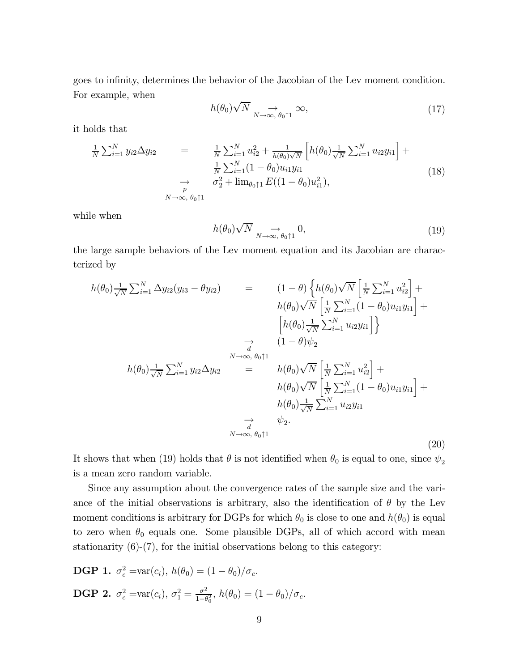goes to infinity, determines the behavior of the Jacobian of the Lev moment condition. For example, when

$$
h(\theta_0)\sqrt{N} \underset{N \to \infty, \ \theta_0 \uparrow 1}{\longrightarrow} \infty, \tag{17}
$$

it holds that

$$
\frac{1}{N} \sum_{i=1}^{N} y_{i2} \Delta y_{i2} = \frac{1}{N} \sum_{i=1}^{N} u_{i2}^{2} + \frac{1}{h(\theta_{0})\sqrt{N}} \left[ h(\theta_{0}) \frac{1}{\sqrt{N}} \sum_{i=1}^{N} u_{i2} y_{i1} \right] + \frac{1}{N} \sum_{i=1}^{N} (1 - \theta_{0}) u_{i1} y_{i1} \Delta y_{i1} + \sigma_{2}^{2} + \lim_{\theta_{0} \uparrow 1} E((1 - \theta_{0}) u_{i1}^{2}),
$$
\n
$$
N \to \infty, \theta_{0} \uparrow 1
$$
\n(18)

while when

$$
h(\theta_0)\sqrt{N} \underset{N \to \infty, \ \theta_0 \uparrow 1}{\longrightarrow} 0,\tag{19}
$$

the large sample behaviors of the Lev moment equation and its Jacobian are characterized by

$$
h(\theta_{0}) \frac{1}{\sqrt{N}} \sum_{i=1}^{N} \Delta y_{i2} (y_{i3} - \theta y_{i2}) = (1 - \theta) \left\{ h(\theta_{0}) \sqrt{N} \left[ \frac{1}{N} \sum_{i=1}^{N} u_{i2}^{2} \right] + h(\theta_{0}) \sqrt{N} \left[ \frac{1}{N} \sum_{i=1}^{N} (1 - \theta_{0}) u_{i1} y_{i1} \right] + \left[ h(\theta_{0}) \frac{1}{\sqrt{N}} \sum_{i=1}^{N} u_{i2} y_{i1} \right] \right\}
$$
  
\n
$$
\rightarrow (1 - \theta) \psi_{2}
$$
  
\n
$$
h(\theta_{0}) \frac{1}{\sqrt{N}} \sum_{i=1}^{N} y_{i2} \Delta y_{i2} = h(\theta_{0}) \sqrt{N} \left[ \frac{1}{N} \sum_{i=1}^{N} u_{i2}^{2} \right] + h(\theta_{0}) \sqrt{N} \left[ \frac{1}{N} \sum_{i=1}^{N} (1 - \theta_{0}) u_{i1} y_{i1} \right] + h(\theta_{0}) \frac{1}{\sqrt{N}} \sum_{i=1}^{N} u_{i2} y_{i1}
$$
  
\n
$$
\rightarrow \psi_{2}.
$$
  
\n
$$
N \rightarrow \infty, \theta_{0} \uparrow 1
$$
  
\n(20)

It shows that when (19) holds that  $\theta$  is not identified when  $\theta_0$  is equal to one, since  $\psi_2$ is a mean zero random variable.

Since any assumption about the convergence rates of the sample size and the variance of the initial observations is arbitrary, also the identification of  $\theta$  by the Lev moment conditions is arbitrary for DGPs for which  $\theta_0$  is close to one and  $h(\theta_0)$  is equal to zero when  $\theta_0$  equals one. Some plausible DGPs, all of which accord with mean stationarity  $(6)-(7)$ , for the initial observations belong to this category:

**DGP 1.** 
$$
\sigma_c^2 = \text{var}(c_i)
$$
,  $h(\theta_0) = (1 - \theta_0)/\sigma_c$ .  
\n**DGP 2.**  $\sigma_c^2 = \text{var}(c_i)$ ,  $\sigma_1^2 = \frac{\sigma^2}{1 - \theta_0^2}$ ,  $h(\theta_0) = (1 - \theta_0)/\sigma_c$ .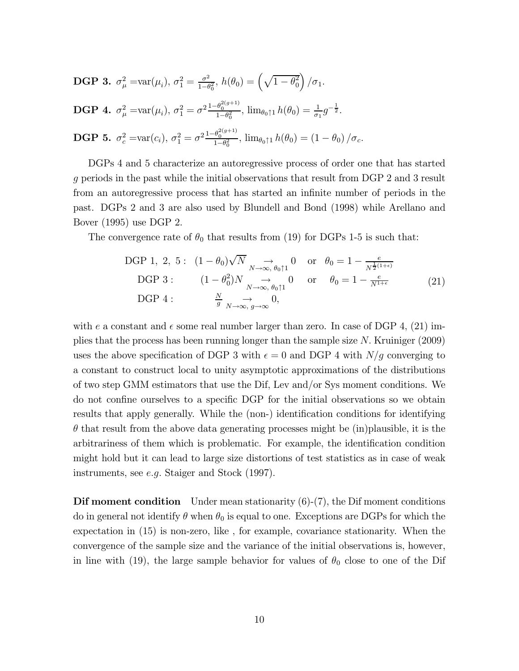**DGP 3.** 
$$
\sigma_{\mu}^{2} = \text{var}(\mu_{i}), \sigma_{1}^{2} = \frac{\sigma^{2}}{1-\theta_{0}^{2}}, h(\theta_{0}) = \left(\sqrt{1-\theta_{0}^{2}}\right)/\sigma_{1}.
$$
  
\n**DGP 4.**  $\sigma_{\mu}^{2} = \text{var}(\mu_{i}), \sigma_{1}^{2} = \sigma^{2} \frac{1-\theta_{0}^{2(g+1)}}{1-\theta_{0}^{2}}, \lim_{\theta_{0} \uparrow 1} h(\theta_{0}) = \frac{1}{\sigma_{1}} g^{-\frac{1}{2}}.$   
\n**DGP 5.**  $\sigma_{c}^{2} = \text{var}(c_{i}), \sigma_{1}^{2} = \sigma^{2} \frac{1-\theta_{0}^{2(g+1)}}{1-\theta_{0}^{2}}, \lim_{\theta_{0} \uparrow 1} h(\theta_{0}) = (1-\theta_{0})/\sigma_{c}.$ 

DGPs 4 and 5 characterize an autoregressive process of order one that has started g periods in the past while the initial observations that result from DGP 2 and 3 result from an autoregressive process that has started an infinite number of periods in the past. DGPs 2 and 3 are also used by Blundell and Bond (1998) while Arellano and Bover (1995) use DGP 2.

The convergence rate of  $\theta_0$  that results from (19) for DGPs 1-5 is such that:

$$
\begin{array}{llll}\n\text{DGP 1, 2, 5:} & (1 - \theta_0) \sqrt{N} \underset{N \to \infty, \ \theta_0 \uparrow 1}{\to} 0 \quad \text{or} \quad \theta_0 = 1 - \frac{e}{N^{\frac{1}{2}(1+\epsilon)}} \\
\text{DGP 3:} & (1 - \theta_0^2) N \underset{N \to \infty, \ \theta_0 \uparrow 1}{\to} 0 \quad \text{or} \quad \theta_0 = 1 - \frac{e}{N^{1+\epsilon}} \\
\text{DGP 4:} & \frac{N}{g} \underset{N \to \infty, \ g \to \infty}{\to} 0,\n\end{array} \tag{21}
$$

with e a constant and  $\epsilon$  some real number larger than zero. In case of DGP 4, (21) implies that the process has been running longer than the sample size N. Kruiniger (2009) uses the above specification of DGP 3 with  $\epsilon = 0$  and DGP 4 with  $N/g$  converging to a constant to construct local to unity asymptotic approximations of the distributions of two step GMM estimators that use the Dif, Lev and/or Sys moment conditions. We do not confine ourselves to a specific DGP for the initial observations so we obtain results that apply generally. While the (non-) identification conditions for identifying  $\theta$  that result from the above data generating processes might be (in)plausible, it is the arbitrariness of them which is problematic. For example, the identification condition might hold but it can lead to large size distortions of test statistics as in case of weak instruments, see e.g. Staiger and Stock (1997).

**Dif moment condition** Under mean stationarity  $(6)-(7)$ , the Dif moment conditions do in general not identify  $\theta$  when  $\theta_0$  is equal to one. Exceptions are DGPs for which the expectation in (15) is non-zero, like , for example, covariance stationarity. When the convergence of the sample size and the variance of the initial observations is, however, in line with (19), the large sample behavior for values of  $\theta_0$  close to one of the Dif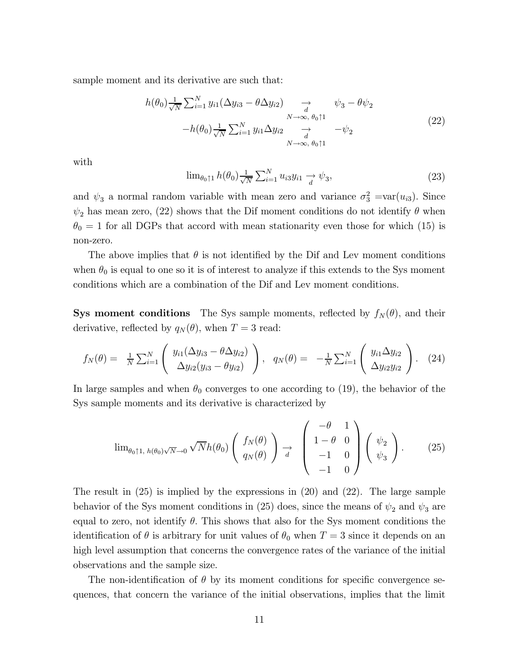sample moment and its derivative are such that:

$$
h(\theta_0) \frac{1}{\sqrt{N}} \sum_{i=1}^N y_{i1} (\Delta y_{i3} - \theta \Delta y_{i2}) \longrightarrow \psi_3 - \theta \psi_2
$$
  

$$
-h(\theta_0) \frac{1}{\sqrt{N}} \sum_{i=1}^N y_{i1} \Delta y_{i2} \longrightarrow \psi_3 - \psi_2
$$
  

$$
N \to \infty, \theta_0 \uparrow 1
$$
  

$$
N \to \infty, \theta_0 \uparrow 1
$$
 (22)

with

$$
\lim_{\theta_0 \uparrow 1} h(\theta_0) \frac{1}{\sqrt{N}} \sum_{i=1}^N u_{i3} y_{i1} \xrightarrow{d} \psi_3,\tag{23}
$$

and  $\psi_3$  a normal random variable with mean zero and variance  $\sigma_3^2 = \text{var}(u_{i3})$ . Since  $\psi_2$  has mean zero, (22) shows that the Dif moment conditions do not identify  $\theta$  when  $\theta_0 = 1$  for all DGPs that accord with mean stationarity even those for which (15) is non-zero.

The above implies that  $\theta$  is not identified by the Dif and Lev moment conditions when  $\theta_0$  is equal to one so it is of interest to analyze if this extends to the Sys moment conditions which are a combination of the Dif and Lev moment conditions.

**Sys moment conditions** The Sys sample moments, reflected by  $f_N(\theta)$ , and their derivative, reflected by  $q_N(\theta)$ , when  $T = 3$  read:

$$
f_N(\theta) = \frac{1}{N} \sum_{i=1}^N \left( \frac{y_{i1}(\Delta y_{i3} - \theta \Delta y_{i2})}{\Delta y_{i2}(y_{i3} - \theta y_{i2})} \right), \quad q_N(\theta) = -\frac{1}{N} \sum_{i=1}^N \left( \frac{y_{i1} \Delta y_{i2}}{\Delta y_{i2} y_{i2}} \right). \quad (24)
$$

In large samples and when  $\theta_0$  converges to one according to (19), the behavior of the Sys sample moments and its derivative is characterized by

$$
\lim_{\theta_0 \uparrow 1, h(\theta_0) \sqrt{N} \to 0} \sqrt{N} h(\theta_0) \begin{pmatrix} f_N(\theta) \\ q_N(\theta) \end{pmatrix} \to \begin{pmatrix} -\theta & 1 \\ 1 - \theta & 0 \\ -1 & 0 \\ -1 & 0 \end{pmatrix} \begin{pmatrix} \psi_2 \\ \psi_3 \end{pmatrix}.
$$
 (25)

The result in (25) is implied by the expressions in (20) and (22). The large sample behavior of the Sys moment conditions in (25) does, since the means of  $\psi_2$  and  $\psi_3$  are equal to zero, not identify  $\theta$ . This shows that also for the Sys moment conditions the identification of  $\theta$  is arbitrary for unit values of  $\theta_0$  when  $T = 3$  since it depends on an high level assumption that concerns the convergence rates of the variance of the initial observations and the sample size.

The non-identification of  $\theta$  by its moment conditions for specific convergence sequences, that concern the variance of the initial observations, implies that the limit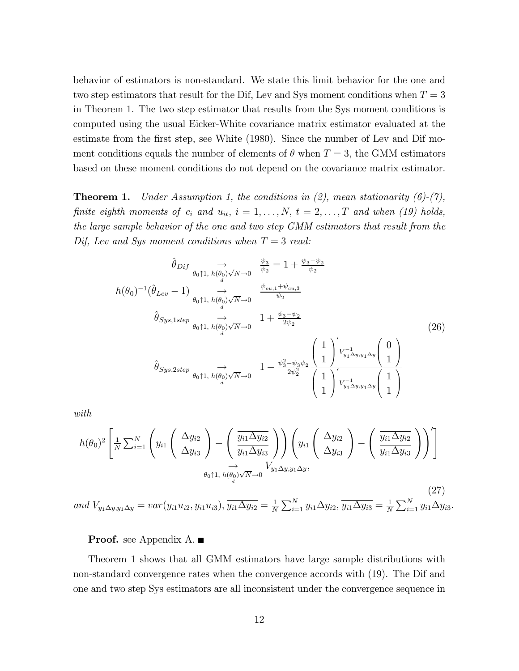behavior of estimators is non-standard. We state this limit behavior for the one and two step estimators that result for the Dif, Lev and Sys moment conditions when  $T = 3$ in Theorem 1. The two step estimator that results from the Sys moment conditions is computed using the usual Eicker-White covariance matrix estimator evaluated at the estimate from the first step, see White (1980). Since the number of Lev and Dif moment conditions equals the number of elements of  $\theta$  when  $T = 3$ , the GMM estimators based on these moment conditions do not depend on the covariance matrix estimator.

**Theorem 1.** Under Assumption 1, the conditions in (2), mean stationarity  $(6)-(7)$ , finite eighth moments of  $c_i$  and  $u_{it}$ ,  $i = 1, \ldots, N$ ,  $t = 2, \ldots, T$  and when (19) holds, the large sample behavior of the one and two step GMM estimators that result from the Dif, Lev and Sys moment conditions when  $T = 3$  read:

$$
\hat{\theta}_{Dif} \underset{\theta_{0} \uparrow 1, h(\theta_{0})\sqrt{N}\to 0}{\to} \frac{\psi_{3}}{\psi_{2}} = 1 + \frac{\psi_{3} - \psi_{2}}{\psi_{2}}
$$
\n
$$
h(\theta_{0})^{-1}(\hat{\theta}_{Lev} - 1) \underset{\theta_{0} \uparrow 1, h(\theta_{0})\sqrt{N}\to 0}{\to} \frac{\psi_{cu,1} + \psi_{cu,3}}{\psi_{2}}
$$
\n
$$
\hat{\theta}_{Sys,1step} \underset{\theta_{0} \uparrow 1, h(\theta_{0})\sqrt{N}\to 0}{\to} 1 + \frac{\psi_{3} - \psi_{2}}{2\psi_{2}}
$$
\n
$$
\hat{\theta}_{Sys,2step} \underset{\theta_{0} \uparrow 1, h(\theta_{0})\sqrt{N}\to 0}{\to} 1 - \frac{\psi_{3}^{2} - \psi_{3}\psi_{2}}{2\psi_{2}^{2}} \frac{\left(1}{1}\right)^{\prime} \text{V}_{y_{1}\Delta y, y_{1}\Delta y}^{-1}\left(1\right)}{\left(1\right)^{\prime} \text{V}_{y_{1}\Delta y, y_{1}\Delta y}\left(1\right)}
$$
\n(26)

with

$$
h(\theta_0)^2 \left[ \frac{1}{N} \sum_{i=1}^N \left( y_{i1} \left( \frac{\Delta y_{i2}}{\Delta y_{i3}} \right) - \left( \frac{\overline{y_{i1} \Delta y_{i2}}}{y_{i1} \Delta y_{i3}} \right) \right) \left( y_{i1} \left( \frac{\Delta y_{i2}}{\Delta y_{i3}} \right) - \left( \frac{\overline{y_{i1} \Delta y_{i2}}}{y_{i1} \Delta y_{i3}} \right) \right)' \right]
$$
  

$$
\xrightarrow{\theta_0 \uparrow 1, h(\theta_0) \sqrt{N} \to 0} V_{y_1 \Delta y, y_1 \Delta y},
$$

(27) and  $V_{y_1\Delta y, y_1\Delta y} = var(y_{i1}u_{i2}, y_{i1}u_{i3}), \overline{y_{i1}\Delta y_{i2}} = \frac{1}{N} \sum_{i=1}^N y_{i1} \Delta y_{i2}, \overline{y_{i1}\Delta y_{i3}} = \frac{1}{N} \sum_{i=1}^N y_{i1} \Delta y_{i3}.$ 

**Proof.** see Appendix A.

Theorem 1 shows that all GMM estimators have large sample distributions with non-standard convergence rates when the convergence accords with (19). The Dif and one and two step Sys estimators are all inconsistent under the convergence sequence in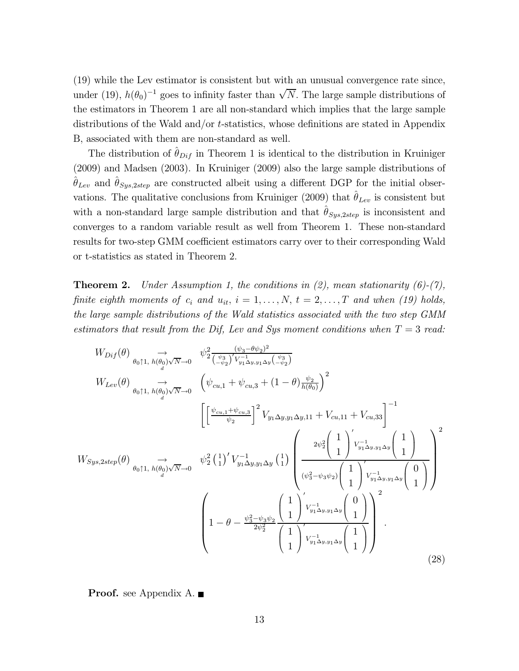(19) while the Lev estimator is consistent but with an unusual convergence rate since, under (19),  $h(\theta_0)^{-1}$  goes to infinity faster than  $\sqrt{N}$ . The large sample distributions of the estimators in Theorem 1 are all non-standard which implies that the large sample distributions of the Wald and/or t-statistics, whose definitions are stated in Appendix B, associated with them are non-standard as well.

The distribution of  $\hat{\theta}_{Dif}$  in Theorem 1 is identical to the distribution in Kruiniger (2009) and Madsen (2003). In Kruiniger (2009) also the large sample distributions of  $\hat{\theta}_{Lev}$  and  $\hat{\theta}_{Sys,2step}$  are constructed albeit using a different DGP for the initial observations. The qualitative conclusions from Kruiniger (2009) that  $\hat{\theta}_{Lev}$  is consistent but with a non-standard large sample distribution and that  $\hat{\theta}_{Sys,2step}$  is inconsistent and converges to a random variable result as well from Theorem 1. These non-standard results for two-step GMM coefficient estimators carry over to their corresponding Wald or t-statistics as stated in Theorem 2.

**Theorem 2.** Under Assumption 1, the conditions in (2), mean stationarity  $(6)-(7)$ , finite eighth moments of  $c_i$  and  $u_{it}$ ,  $i = 1, \ldots, N$ ,  $t = 2, \ldots, T$  and when (19) holds, the large sample distributions of the Wald statistics associated with the two step GMM estimators that result from the Dif, Lev and Sys moment conditions when  $T = 3$  read:

$$
W_{Dif}(\theta) \underset{\theta_{0} \uparrow 1, h(\theta_{0}) \sqrt{N}\to 0}{\longrightarrow} \psi_{2}^{2} \frac{(\psi_{3} - \theta \psi_{2})^{2}}{(\psi_{3}^{2})' \nu_{1}^{-1} \Delta y, y_{1} \Delta y} (\frac{\psi_{3}}{\psi_{2}})} \newline W_{Lev}(\theta) \underset{\theta_{0} \uparrow 1, h(\theta_{0}) \sqrt{N}\to 0}{\longrightarrow} \left(\psi_{cu,1} + \psi_{cu,3} + (1 - \theta) \frac{\psi_{2}}{h(\theta_{0})}\right)^{2} \newline \left[\left[\frac{\psi_{cu,1} + \psi_{cu,3}}{\psi_{2}}\right]^{2} V_{y_{1} \Delta y, y_{1} \Delta y, 11} + V_{cu,11} + V_{cu,33}\right]^{-1} \newline W_{Sys,2step}(\theta) \underset{\theta_{0} \uparrow 1, h(\theta_{0}) \sqrt{N}\to 0}{\longrightarrow} \psi_{2}^{2} \left(\frac{1}{1}\right)' V_{y_{1} \Delta y, y_{1} \Delta y} \left(\frac{1}{1}\right) \left(\frac{2\psi_{2}^{2} \left(\frac{1}{1}\right)' \nu_{y_{1} \Delta y, y_{1} \Delta y} \left(\frac{1}{1}\right)}{\psi_{2}^{2} \left(\frac{1}{1}\right)' \nu_{y_{1} \Delta y, y_{1} \Delta y} \left(\frac{1}{1}\right)}\right)^{2} \newline \left(1 - \theta - \frac{\psi_{3}^{2} - \psi_{3} \psi_{2}}{2\psi_{2}^{2}} \left(\frac{1}{1}\right)' \nu_{y_{1} \Delta y, y_{1} \Delta y} \left(\frac{1}{1}\right)^{2} \right)^{2} \left(1 - \theta - \frac{\psi_{3}^{2} - \psi_{3} \psi_{2}}{\psi_{2}^{2}} \left(\frac{1}{1}\right)' V_{y_{1} \Delta y, y_{1} \Delta y} \left(\frac{1}{1}\right)^{2} \right) \newline (28)
$$

**Proof.** see Appendix A.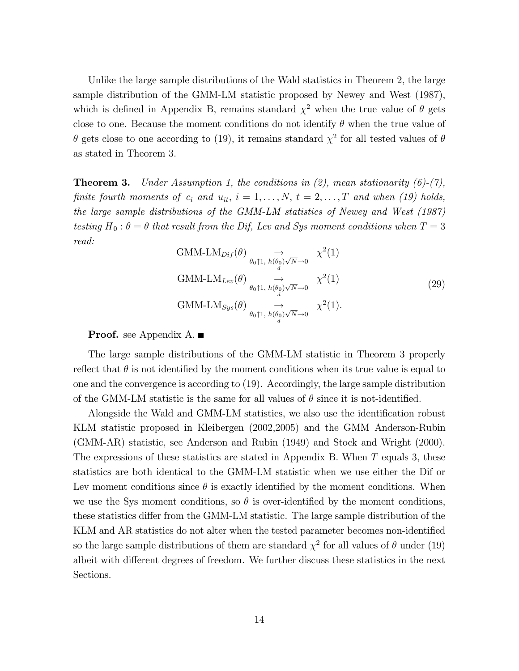Unlike the large sample distributions of the Wald statistics in Theorem 2, the large sample distribution of the GMM-LM statistic proposed by Newey and West (1987), which is defined in Appendix B, remains standard  $\chi^2$  when the true value of  $\theta$  gets close to one. Because the moment conditions do not identify  $\theta$  when the true value of θ gets close to one according to (19), it remains standard  $\chi^2$  for all tested values of θ as stated in Theorem 3.

**Theorem 3.** Under Assumption 1, the conditions in (2), mean stationarity  $(6)-(7)$ , finite fourth moments of  $c_i$  and  $u_{it}$ ,  $i = 1, \ldots, N$ ,  $t = 2, \ldots, T$  and when (19) holds, the large sample distributions of the GMM-LM statistics of Newey and West (1987) testing  $H_0: \theta = \theta$  that result from the Dif, Lev and Sys moment conditions when  $T = 3$ read:

GMM-LM<sub>Diff</sub>(
$$
\theta
$$
)  $\rightarrow \chi^2(1)$   
\nGMM-LM<sub>Lev</sub>( $\theta$ )  $\rightarrow \chi^2(1)$   
\nGMM-LM<sub>Lev</sub>( $\theta$ )  $\rightarrow \chi^2(1)$   
\nGMM-LM<sub>*Sys*</sub>( $\theta$ )  $\rightarrow \chi^2(1)$   
\n $\rightarrow \chi^2(1)$   
\nGMM-LM<sub>*Sys*</sub>( $\theta$ )  $\rightarrow \chi^2(1)$ .

#### **Proof.** see Appendix A.

The large sample distributions of the GMM-LM statistic in Theorem 3 properly reflect that  $\theta$  is not identified by the moment conditions when its true value is equal to one and the convergence is according to (19). Accordingly, the large sample distribution of the GMM-LM statistic is the same for all values of  $\theta$  since it is not-identified.

Alongside the Wald and GMM-LM statistics, we also use the identification robust KLM statistic proposed in Kleibergen (2002,2005) and the GMM Anderson-Rubin (GMM-AR) statistic, see Anderson and Rubin (1949) and Stock and Wright (2000). The expressions of these statistics are stated in Appendix B. When T equals 3, these statistics are both identical to the GMM-LM statistic when we use either the Dif or Lev moment conditions since  $\theta$  is exactly identified by the moment conditions. When we use the Sys moment conditions, so  $\theta$  is over-identified by the moment conditions, these statistics differ from the GMM-LM statistic. The large sample distribution of the KLM and AR statistics do not alter when the tested parameter becomes non-identified so the large sample distributions of them are standard  $\chi^2$  for all values of  $\theta$  under (19) albeit with different degrees of freedom. We further discuss these statistics in the next Sections.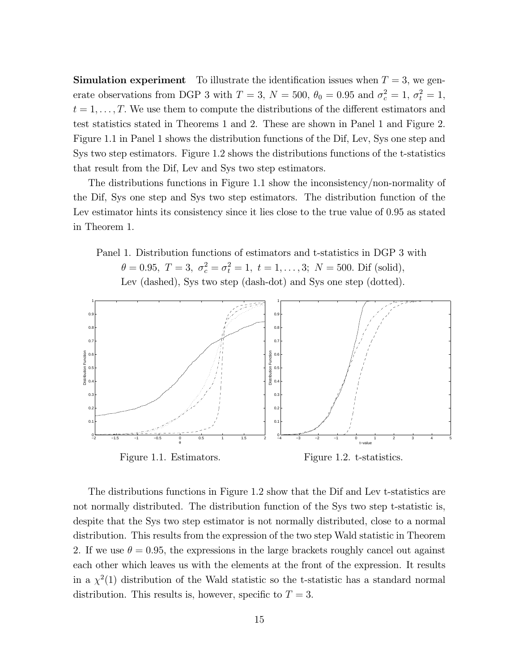**Simulation experiment** To illustrate the identification issues when  $T = 3$ , we generate observations from DGP 3 with  $T = 3$ ,  $N = 500$ ,  $\theta_0 = 0.95$  and  $\sigma_c^2 = 1$ ,  $\sigma_t^2 = 1$ ,  $t = 1, \ldots, T$ . We use them to compute the distributions of the different estimators and test statistics stated in Theorems 1 and 2. These are shown in Panel 1 and Figure 2. Figure 1.1 in Panel 1 shows the distribution functions of the Dif, Lev, Sys one step and Sys two step estimators. Figure 1.2 shows the distributions functions of the t-statistics that result from the Dif, Lev and Sys two step estimators.

The distributions functions in Figure 1.1 show the inconsistency/non-normality of the Dif, Sys one step and Sys two step estimators. The distribution function of the Lev estimator hints its consistency since it lies close to the true value of 0.95 as stated in Theorem 1.

Panel 1. Distribution functions of estimators and t-statistics in DGP 3 with  $\theta = 0.95, T = 3, \sigma_c^2 = \sigma_t^2 = 1, t = 1, ..., 3; N = 500$ . Dif (solid), Lev (dashed), Sys two step (dash-dot) and Sys one step (dotted).



The distributions functions in Figure 1.2 show that the Dif and Lev t-statistics are not normally distributed. The distribution function of the Sys two step t-statistic is, despite that the Sys two step estimator is not normally distributed, close to a normal distribution. This results from the expression of the two step Wald statistic in Theorem 2. If we use  $\theta = 0.95$ , the expressions in the large brackets roughly cancel out against each other which leaves us with the elements at the front of the expression. It results in a  $\chi^2(1)$  distribution of the Wald statistic so the t-statistic has a standard normal distribution. This results is, however, specific to  $T = 3$ .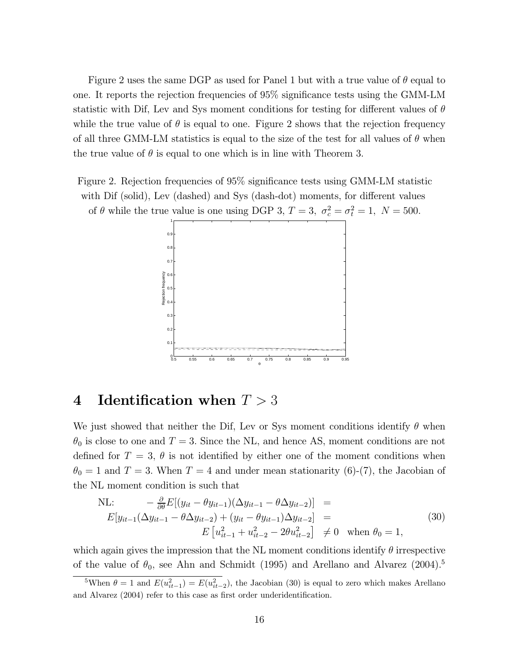Figure 2 uses the same DGP as used for Panel 1 but with a true value of  $\theta$  equal to one. It reports the rejection frequencies of 95% significance tests using the GMM-LM statistic with Dif, Lev and Sys moment conditions for testing for different values of  $\theta$ while the true value of  $\theta$  is equal to one. Figure 2 shows that the rejection frequency of all three GMM-LM statistics is equal to the size of the test for all values of  $\theta$  when the true value of  $\theta$  is equal to one which is in line with Theorem 3.

Figure 2. Rejection frequencies of 95% significance tests using GMM-LM statistic with Dif (solid), Lev (dashed) and Sys (dash-dot) moments, for different values of  $\theta$  while the true value is one using DGP 3,  $T = 3$ ,  $\sigma_c^2 = \sigma_t^2 = 1$ ,  $N = 500$ .



### 4 Identification when  $T > 3$

We just showed that neither the Dif, Lev or Sys moment conditions identify  $\theta$  when  $\theta_0$  is close to one and  $T = 3$ . Since the NL, and hence AS, moment conditions are not defined for  $T = 3$ ,  $\theta$  is not identified by either one of the moment conditions when  $\theta_0 = 1$  and  $T = 3$ . When  $T = 4$  and under mean stationarity (6)-(7), the Jacobian of the NL moment condition is such that

NL: 
$$
- \frac{\partial}{\partial \theta} E[(y_{it} - \theta y_{it-1})(\Delta y_{it-1} - \theta \Delta y_{it-2})] =
$$
  
\n
$$
E[y_{it-1}(\Delta y_{it-1} - \theta \Delta y_{it-2}) + (y_{it} - \theta y_{it-1})\Delta y_{it-2}] =
$$
  
\n
$$
E[u_{it-1}^2 + u_{it-2}^2 - 2\theta u_{it-2}^2] \neq 0 \text{ when } \theta_0 = 1,
$$
\n(30)

which again gives the impression that the NL moment conditions identify  $\theta$  irrespective of the value of  $\theta_0$ , see Ahn and Schmidt (1995) and Arellano and Alvarez (2004).<sup>5</sup>

<sup>&</sup>lt;sup>5</sup>When  $\theta = 1$  and  $E(u_{it-1}^2) = E(u_{it-2}^2)$ , the Jacobian (30) is equal to zero which makes Arellano and Alvarez (2004) refer to this case as first order underidentification.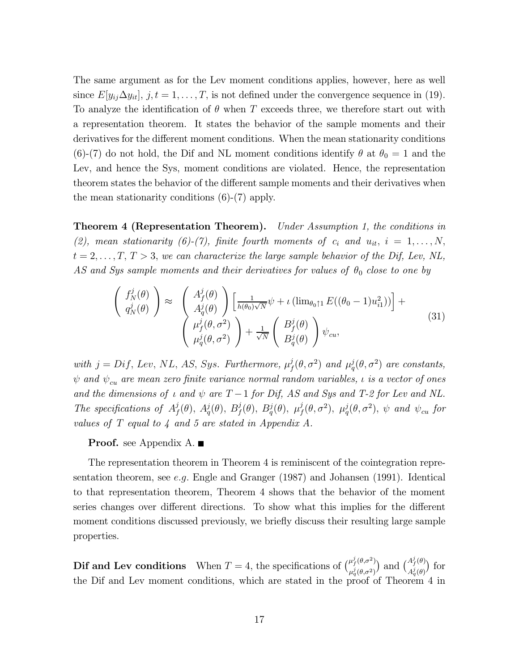The same argument as for the Lev moment conditions applies, however, here as well since  $E[y_{ij}\Delta y_{it}], j, t = 1, \ldots, T$ , is not defined under the convergence sequence in (19). To analyze the identification of  $\theta$  when T exceeds three, we therefore start out with a representation theorem. It states the behavior of the sample moments and their derivatives for the different moment conditions. When the mean stationarity conditions (6)-(7) do not hold, the Dif and NL moment conditions identify  $\theta$  at  $\theta_0 = 1$  and the Lev, and hence the Sys, moment conditions are violated. Hence, the representation theorem states the behavior of the different sample moments and their derivatives when the mean stationarity conditions (6)-(7) apply.

**Theorem 4 (Representation Theorem).** Under Assumption 1, the conditions in (2), mean stationarity (6)-(7), finite fourth moments of  $c_i$  and  $u_{it}$ ,  $i = 1, \ldots, N$ ,  $t = 2, \ldots, T, T > 3$ , we can characterize the large sample behavior of the Dif, Lev, NL, AS and Sys sample moments and their derivatives for values of  $\theta_0$  close to one by

$$
\begin{pmatrix}\nf_N^j(\theta) \\
q_N^j(\theta)\n\end{pmatrix} \approx \begin{pmatrix}\nA_f^j(\theta) \\
A_q^j(\theta)\n\end{pmatrix} \left[\frac{1}{h(\theta_0)\sqrt{N}}\psi + \iota\left(\lim_{\theta_0 \uparrow 1} E((\theta_0 - 1)u_{i1}^2)\right)\right] + \n\begin{pmatrix}\n\mu_f^j(\theta, \sigma^2) \\
\mu_q^j(\theta, \sigma^2)\n\end{pmatrix} + \frac{1}{\sqrt{N}} \begin{pmatrix}\nB_f^j(\theta) \\
B_q^j(\theta)\n\end{pmatrix} \psi_{cu},
$$
\n(31)

with  $j = Diff$ , Lev, NL, AS, Sys. Furthermore,  $\mu_j^j(\theta, \sigma^2)$  and  $\mu_q^j(\theta, \sigma^2)$  are constants,  $\psi$  and  $\psi_{cu}$  are mean zero finite variance normal random variables,  $\iota$  is a vector of ones and the dimensions of  $\iota$  and  $\psi$  are  $T-1$  for Dif, AS and Sys and T-2 for Lev and NL. The specifications of  $A_f^j(\theta)$ ,  $A_q^j(\theta)$ ,  $B_f^j(\theta)$ ,  $B_q^j(\theta)$ ,  $\mu_f^j(\theta, \sigma^2)$ ,  $\mu_q^j(\theta, \sigma^2)$ ,  $\psi$  and  $\psi_{cu}$  for values of T equal to 4 and 5 are stated in Appendix A.

#### **Proof.** see Appendix A.

The representation theorem in Theorem 4 is reminiscent of the cointegration representation theorem, see e.g. Engle and Granger (1987) and Johansen (1991). Identical to that representation theorem, Theorem 4 shows that the behavior of the moment series changes over different directions. To show what this implies for the different moment conditions discussed previously, we briefly discuss their resulting large sample properties.

**Dif and Lev conditions** When  $T = 4$ , the specifications of  $\binom{\mu_j^i(\theta, \sigma^2)}{j(\theta, \sigma^2)}$  $\mu_q^j(\theta,\sigma^2)$ ) and  $\binom{A_f^j(\theta)}{A_f^j(\theta)}$  $A_q^j(\theta)$ ¢ for the Dif and Lev moment conditions, which are stated in the proof of Theorem 4 in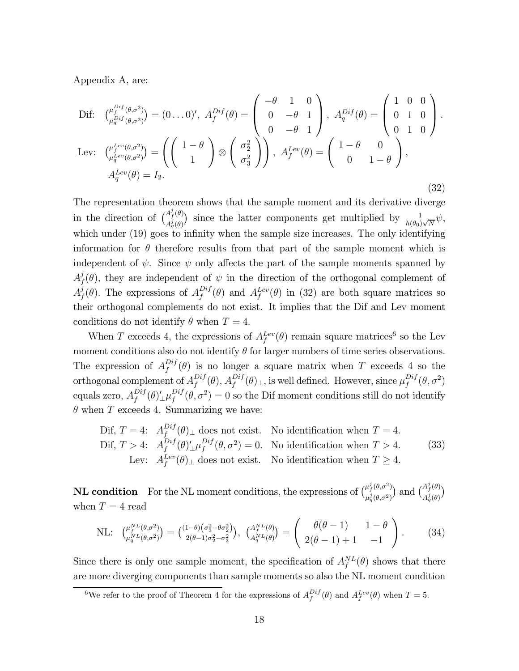Appendix A, are:

$$
\begin{aligned}\n\text{Dif:} \quad & \binom{\mu_f^{Dif}(\theta,\sigma^2)}{\mu_q^{Dif}(\theta,\sigma^2)} = (0 \dots 0)', \ A_f^{Dif}(\theta) = \begin{pmatrix} -\theta & 1 & 0 \\ 0 & -\theta & 1 \\ 0 & -\theta & 1 \end{pmatrix}, \ A_f^{Dif}(\theta) = \begin{pmatrix} 1 & 0 & 0 \\ 0 & 1 & 0 \\ 0 & 1 & 0 \end{pmatrix}.\n\text{Lev:} \quad & \binom{\mu_f^{Lev}(\theta,\sigma^2)}{\mu_q^{Lev}(\theta,\sigma^2)} = \left( \begin{pmatrix} 1-\theta \\ 1 \end{pmatrix} \otimes \begin{pmatrix} \sigma_2^2 \\ \sigma_3^2 \end{pmatrix} \right), \ A_f^{Lev}(\theta) = \begin{pmatrix} 1-\theta & 0 \\ 0 & 1-\theta \end{pmatrix},\n\end{aligned}
$$
\n
$$
A_q^{Lev}(\theta) = I_2.
$$
\n(32)

The representation theorem shows that the sample moment and its derivative diverge in the direction of  $\binom{A_f^j(\theta)}{A_f^j(\theta)}$  $A_f^j(\theta)$  since the latter components get multiplied by  $\frac{1}{h(\theta_0)\sqrt{N}}\psi$ , which under (19) goes to infinity when the sample size increases. The only identifying information for  $\theta$  therefore results from that part of the sample moment which is independent of  $\psi$ . Since  $\psi$  only affects the part of the sample moments spanned by  $A_f^j(\theta)$ , they are independent of  $\psi$  in the direction of the orthogonal complement of  $A_f^j(\theta)$ . The expressions of  $A_f^{Dif}(\theta)$  and  $A_f^{Lev}(\theta)$  in (32) are both square matrices so their orthogonal complements do not exist. It implies that the Dif and Lev moment conditions do not identify  $\theta$  when  $T = 4$ .

When T exceeds 4, the expressions of  $A_f^{Lev}(\theta)$  remain square matrices<sup>6</sup> so the Lev moment conditions also do not identify  $\theta$  for larger numbers of time series observations. The expression of  $A_f^{Diff}(\theta)$  is no longer a square matrix when T exceeds 4 so the orthogonal complement of  $A_f^{Diff}(\theta)$ ,  $A_f^{Diff}(\theta)$ <sub>⊥</sub>, is well defined. However, since  $\mu_f^{Diff}(\theta, \sigma^2)$ equals zero,  $A_f^{Diff}(\theta)'_\perp \mu_f^{Diff}(\theta, \sigma^2) = 0$  so the Dif moment conditions still do not identify  $\theta$  when T exceeds 4. Summarizing we have:

$$
\begin{aligned}\n\text{Dif, } T &= 4: \quad A_f^{Dif}(\theta)_\perp \text{ does not exist.} \\
\text{No identification when } T &= 4. \\
\text{Dif, } T > 4: \quad A_f^{Dif}(\theta)'_\perp \mu_f^{Dif}(\theta, \sigma^2) = 0. \\
\text{No identification when } T > 4. \\
\text{Lev: } A_f^{Lev}(\theta)_\perp \text{ does not exist.} \\
\text{No identification when } T &\geq 4.\n\end{aligned}\n\tag{33}
$$

**NL condition** For the NL moment conditions, the expressions of  $\begin{pmatrix} \mu_f^j(\theta, \sigma^2) \\ \mu_{f(\theta, \sigma^2)}^j \end{pmatrix}$  $\mu_q^j(\theta,\sigma^2)$ ) and  $\binom{A_f^j(\theta)}{A_f^j(\theta)}$  $A_q^j(\theta)$  $\overline{a}$ when  $T = 4$  read

NL: 
$$
\begin{pmatrix} \mu_f^{NL}(\theta, \sigma^2) \\ \mu_q^{NL}(\theta, \sigma^2) \end{pmatrix} = \begin{pmatrix} (1-\theta)(\sigma_3^2 - \theta \sigma_2^2) \\ 2(\theta - 1)\sigma_2^2 - \sigma_3^2 \end{pmatrix}, \ \begin{pmatrix} A_f^{NL}(\theta) \\ A_q^{NL}(\theta) \end{pmatrix} = \begin{pmatrix} \theta(\theta - 1) & 1 - \theta \\ 2(\theta - 1) + 1 & -1 \end{pmatrix}.
$$
 (34)

Since there is only one sample moment, the specification of  $A_f^{NL}(\theta)$  shows that there are more diverging components than sample moments so also the NL moment condition

<sup>&</sup>lt;sup>6</sup>We refer to the proof of Theorem 4 for the expressions of  $A_f^{Diff}(\theta)$  and  $A_f^{Lev}(\theta)$  when  $T=5$ .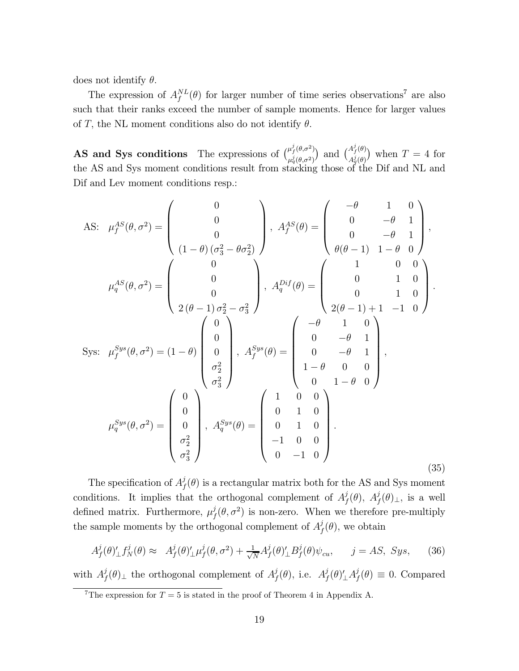does not identify  $\theta$ .

The expression of  $A_f^{NL}(\theta)$  for larger number of time series observations<sup>7</sup> are also such that their ranks exceed the number of sample moments. Hence for larger values of T, the NL moment conditions also do not identify  $\theta$ .

**AS and Sys conditions** The expressions of  $\int_{a}^{\mu_f^j(\theta,\sigma^2)}$  $\frac{\mu_f^j(\theta, \sigma^2)}{\mu_q^j(\theta, \sigma^2)}$  and  $\binom{A_f^j(\theta)}{A_q^j(\theta)}$  $\binom{A_f^j(\theta)}{A_q^j(\theta)}$  when  $T=4$  for the AS and Sys moment conditions result from stacking those of the Dif and NL and Dif and Lev moment conditions resp.:

As: 
$$
\mu_f^{AS}(\theta, \sigma^2) = \begin{pmatrix} 0 \\ 0 \\ 0 \\ (1-\theta)(\sigma_3^2 - \theta \sigma_2^2) \end{pmatrix}
$$
,  $A_f^{AS}(\theta) = \begin{pmatrix} -\theta & 1 & 0 \\ 0 & -\theta & 1 \\ 0 & -\theta & 1 \\ \theta(\theta-1) & 1-\theta & 0 \end{pmatrix}$ ,  
\n
$$
\mu_q^{AS}(\theta, \sigma^2) = \begin{pmatrix} 0 \\ 0 \\ 0 \\ 2(\theta-1)\sigma_2^2 - \sigma_3^2 \end{pmatrix}
$$
,  $A_q^{Dist}(\theta) = \begin{pmatrix} 1 & 0 & 0 \\ 0 & 1 & 0 \\ 0 & 1 & 0 \\ 2(\theta-1)+1 & -1 & 0 \end{pmatrix}$ .  
\nSys:  $\mu_f^{Sys}(\theta, \sigma^2) = (1-\theta) \begin{pmatrix} 0 \\ 0 \\ 0 \\ \sigma_2^2 \\ \sigma_3^2 \end{pmatrix}$ ,  $A_f^{Sys}(\theta) = \begin{pmatrix} -\theta & 1 & 0 \\ 0 & -\theta & 1 \\ 0 & -\theta & 1 \\ 1-\theta & 0 & 0 \\ 0 & 1-\theta & 0 \end{pmatrix}$ ,  
\n
$$
\mu_q^{Sys}(\theta, \sigma^2) = \begin{pmatrix} 0 \\ 0 \\ 0 \\ \sigma_2^2 \\ \sigma_3^2 \end{pmatrix}
$$
,  $A_q^{Sys}(\theta) = \begin{pmatrix} 1 & 0 & 0 \\ 0 & 1 & 0 \\ 0 & 1 & 0 \\ -1 & 0 & 0 \\ 0 & -1 & 0 \end{pmatrix}$ . (35)

The specification of  $A_f^j(\theta)$  is a rectangular matrix both for the AS and Sys moment conditions. It implies that the orthogonal complement of  $A_f^j(\theta)$ ,  $A_f^j(\theta)$ <sub>⊥</sub>, is a well defined matrix. Furthermore,  $\mu_f^j(\theta, \sigma^2)$  is non-zero. When we therefore pre-multiply the sample moments by the orthogonal complement of  $A_f^j(\theta)$ , we obtain

$$
A_f^j(\theta)_{\perp}^{\prime} f_N^j(\theta) \approx A_f^j(\theta)_{\perp}^{\prime} \mu_f^j(\theta, \sigma^2) + \frac{1}{\sqrt{N}} A_f^j(\theta)_{\perp}^{\prime} B_f^j(\theta) \psi_{cu}, \qquad j = AS, \; Sys, \tag{36}
$$

with  $A_f^j(\theta)$ <sub>⊥</sub> the orthogonal complement of  $A_f^j(\theta)$ , i.e.  $A_f^j(\theta)'_{\perp}A_f^j(\theta) \equiv 0$ . Compared

<sup>&</sup>lt;sup>7</sup>The expression for  $T = 5$  is stated in the proof of Theorem 4 in Appendix A.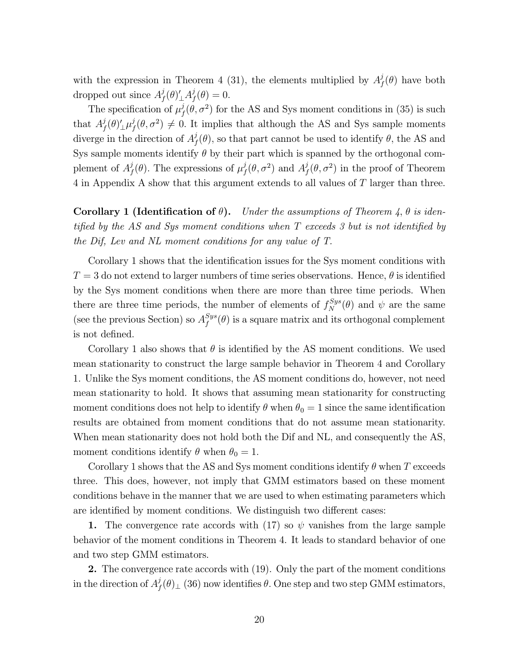with the expression in Theorem 4 (31), the elements multiplied by  $A_f^j(\theta)$  have both dropped out since  $A_f^j(\theta) \underline{\mathcal{A}}_f^j(\theta) = 0.$ 

The specification of  $\mu_f^j(\theta, \sigma^2)$  for the AS and Sys moment conditions in (35) is such that  $A_f^j(\theta)\underline{\ } \mu_f^j(\theta, \sigma^2) \neq 0$ . It implies that although the AS and Sys sample moments diverge in the direction of  $A_f^j(\theta)$ , so that part cannot be used to identify  $\theta$ , the AS and Sys sample moments identify  $\theta$  by their part which is spanned by the orthogonal complement of  $A_f^j(\theta)$ . The expressions of  $\mu_f^j(\theta, \sigma^2)$  and  $A_f^j(\theta, \sigma^2)$  in the proof of Theorem 4 in Appendix A show that this argument extends to all values of T larger than three.

Corollary 1 (Identification of  $\theta$ ). Under the assumptions of Theorem 4,  $\theta$  is identified by the AS and Sys moment conditions when T exceeds 3 but is not identified by the Dif, Lev and NL moment conditions for any value of T.

Corollary 1 shows that the identification issues for the Sys moment conditions with  $T = 3$  do not extend to larger numbers of time series observations. Hence,  $\theta$  is identified by the Sys moment conditions when there are more than three time periods. When there are three time periods, the number of elements of  $f_N^{Sys}(\theta)$  and  $\psi$  are the same (see the previous Section) so  $A_f^{Sys}(\theta)$  is a square matrix and its orthogonal complement is not defined.

Corollary 1 also shows that  $\theta$  is identified by the AS moment conditions. We used mean stationarity to construct the large sample behavior in Theorem 4 and Corollary 1. Unlike the Sys moment conditions, the AS moment conditions do, however, not need mean stationarity to hold. It shows that assuming mean stationarity for constructing moment conditions does not help to identify  $\theta$  when  $\theta_0 = 1$  since the same identification results are obtained from moment conditions that do not assume mean stationarity. When mean stationarity does not hold both the Dif and NL, and consequently the AS, moment conditions identify  $\theta$  when  $\theta_0 = 1$ .

Corollary 1 shows that the AS and Sys moment conditions identify  $\theta$  when T exceeds three. This does, however, not imply that GMM estimators based on these moment conditions behave in the manner that we are used to when estimating parameters which are identified by moment conditions. We distinguish two different cases:

1. The convergence rate accords with (17) so  $\psi$  vanishes from the large sample behavior of the moment conditions in Theorem 4. It leads to standard behavior of one and two step GMM estimators.

2. The convergence rate accords with (19). Only the part of the moment conditions in the direction of  $A_f^j(\theta)$ <sub>⊥</sub> (36) now identifies  $\theta$ . One step and two step GMM estimators,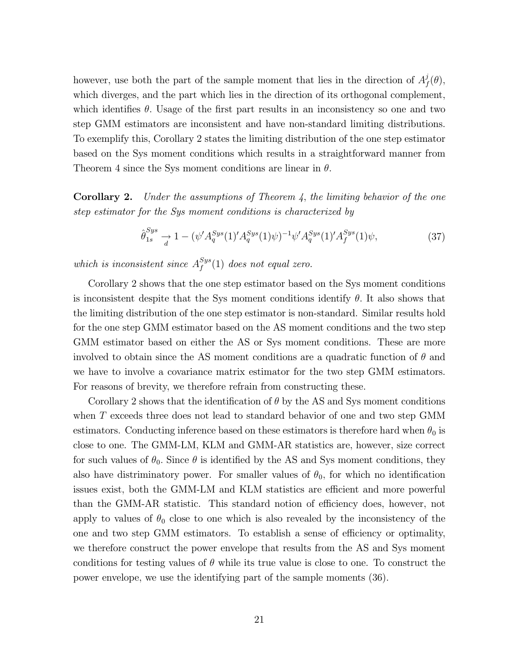however, use both the part of the sample moment that lies in the direction of  $A_f^j(\theta)$ , which diverges, and the part which lies in the direction of its orthogonal complement, which identifies  $\theta$ . Usage of the first part results in an inconsistency so one and two step GMM estimators are inconsistent and have non-standard limiting distributions. To exemplify this, Corollary 2 states the limiting distribution of the one step estimator based on the Sys moment conditions which results in a straightforward manner from Theorem 4 since the Sys moment conditions are linear in  $\theta$ .

**Corollary 2.** Under the assumptions of Theorem 4, the limiting behavior of the one step estimator for the Sys moment conditions is characterized by

$$
\hat{\theta}_{1s}^{Sys} \to 1 - (\psi' A_q^{Sys}(1)' A_q^{Sys}(1) \psi)^{-1} \psi' A_q^{Sys}(1)' A_f^{Sys}(1) \psi,
$$
\n(37)

which is inconsistent since  $A_f^{Sys}(1)$  does not equal zero.

Corollary 2 shows that the one step estimator based on the Sys moment conditions is inconsistent despite that the Sys moment conditions identify  $\theta$ . It also shows that the limiting distribution of the one step estimator is non-standard. Similar results hold for the one step GMM estimator based on the AS moment conditions and the two step GMM estimator based on either the AS or Sys moment conditions. These are more involved to obtain since the AS moment conditions are a quadratic function of  $\theta$  and we have to involve a covariance matrix estimator for the two step GMM estimators. For reasons of brevity, we therefore refrain from constructing these.

Corollary 2 shows that the identification of  $\theta$  by the AS and Sys moment conditions when T exceeds three does not lead to standard behavior of one and two step GMM estimators. Conducting inference based on these estimators is therefore hard when  $\theta_0$  is close to one. The GMM-LM, KLM and GMM-AR statistics are, however, size correct for such values of  $\theta_0$ . Since  $\theta$  is identified by the AS and Sys moment conditions, they also have distriminatory power. For smaller values of  $\theta_0$ , for which no identification issues exist, both the GMM-LM and KLM statistics are efficient and more powerful than the GMM-AR statistic. This standard notion of efficiency does, however, not apply to values of  $\theta_0$  close to one which is also revealed by the inconsistency of the one and two step GMM estimators. To establish a sense of efficiency or optimality, we therefore construct the power envelope that results from the AS and Sys moment conditions for testing values of  $\theta$  while its true value is close to one. To construct the power envelope, we use the identifying part of the sample moments (36).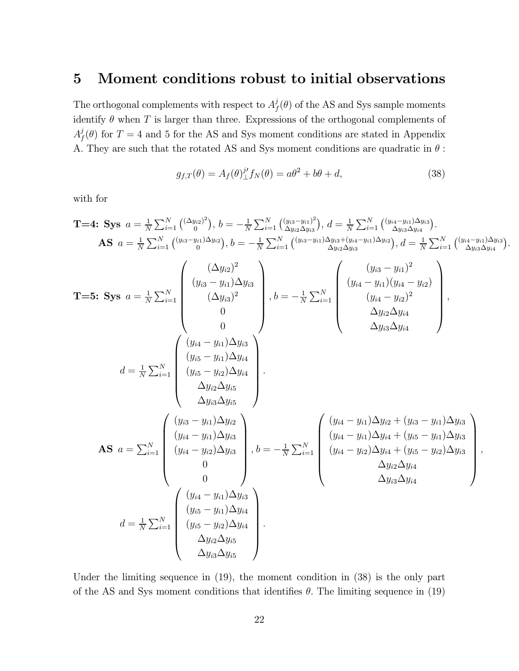## 5 Moment conditions robust to initial observations

The orthogonal complements with respect to  $A_f^j(\theta)$  of the AS and Sys sample moments identify  $\theta$  when T is larger than three. Expressions of the orthogonal complements of  $A_f^j(\theta)$  for  $T=4$  and 5 for the AS and Sys moment conditions are stated in Appendix A. They are such that the rotated AS and Sys moment conditions are quadratic in  $\theta$  :

$$
g_{f,T}(\theta) = A_f(\theta) \underline{J}^t f_N(\theta) = a\theta^2 + b\theta + d,\tag{38}
$$

.

with for

T=4: Sys 
$$
a = \frac{1}{N} \sum_{i=1}^{N} \left( \frac{(\Delta y_{i3})^2}{9} \right), b = -\frac{1}{N} \sum_{i=1}^{N} \left( \frac{(y_{i3} - y_{i1})^2}{9} \right), d = \frac{1}{N} \sum_{i=1}^{N} \left( \frac{(y_{i4} - y_{i1})\Delta y_{i3}}{2y_{i3}\Delta y_{i4}} \right).
$$
  
\nAS  $a = \frac{1}{N} \sum_{i=1}^{N} \left( \frac{(y_{i3} - y_{i1})\Delta y_{i2}}{6} \right), b = -\frac{1}{N} \sum_{i=1}^{N} \left( \frac{(y_{i3} - y_{i1})\Delta y_{i3} + (y_{i4} - y_{i1})\Delta y_{i3}}{2y_{i2}\Delta y_{i3}} \right), d = \frac{1}{N} \sum_{i=1}^{N} \left( \frac{(y_{i4} - y_{i1})\Delta y_{i3}}{2y_{i3}\Delta y_{i4}} \right)$   
\nT=5: Sys  $a = \frac{1}{N} \sum_{i=1}^{N} \left( \frac{(\Delta y_{i2})^2}{2y_{i3}y_{i3}} \right), b = -\frac{1}{N} \sum_{i=1}^{N} \left( \frac{(y_{i3} - y_{i1})^2}{2y_{i2}\Delta y_{i4}} \right), b = -\frac{1}{N} \sum_{i=1}^{N} \left( \frac{(y_{i4} - y_{i1})(y_{i4} - y_{i2})}{2y_{i2}\Delta y_{i4}} \right), b = -\frac{1}{N} \sum_{i=1}^{N} \left( \frac{(y_{i4} - y_{i1})(y_{i4} - y_{i2})^2}{2y_{i3}\Delta y_{i4}} \right).$   
\nAS  $a = \sum_{i=1}^{N} \left( \frac{(y_{i3} - y_{i1})\Delta y_{i3}}{2y_{i3}\Delta y_{i5}} \right), b = -\frac{1}{N} \sum_{i=1}^{N} \left( \frac{(y_{i4} - y_{i1})\Delta y_{i2} + (y_{i3} - y_{i1})\Delta y_{i3}}{(y_{i4} - y_{i2})\Delta y_{i4} + (y_{i5} - y_{i1})\Delta y_{i3}} \right), b = -\frac{$ 

Under the limiting sequence in (19), the moment condition in (38) is the only part of the AS and Sys moment conditions that identifies  $\theta$ . The limiting sequence in (19)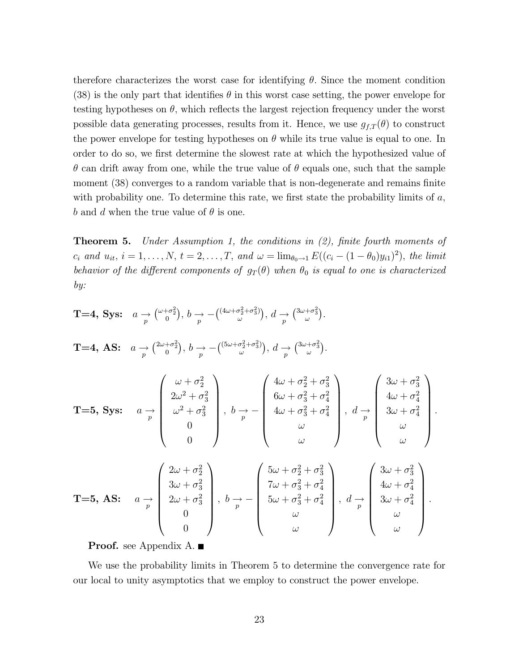therefore characterizes the worst case for identifying  $\theta$ . Since the moment condition (38) is the only part that identifies  $\theta$  in this worst case setting, the power envelope for testing hypotheses on  $\theta$ , which reflects the largest rejection frequency under the worst possible data generating processes, results from it. Hence, we use  $g_{f,T}(\theta)$  to construct the power envelope for testing hypotheses on  $\theta$  while its true value is equal to one. In order to do so, we first determine the slowest rate at which the hypothesized value of  $\theta$  can drift away from one, while the true value of  $\theta$  equals one, such that the sample moment (38) converges to a random variable that is non-degenerate and remains finite with probability one. To determine this rate, we first state the probability limits of  $a$ , b and d when the true value of  $\theta$  is one.

Theorem 5. Under Assumption 1, the conditions in (2), finite fourth moments of  $c_i$  and  $u_{it}$ ,  $i = 1, ..., N$ ,  $t = 2, ..., T$ , and  $\omega = \lim_{\theta_0 \to 1} E((c_i - (1 - \theta_0)y_{i1})^2)$ , the limit behavior of the different components of  $g_T(\theta)$  when  $\theta_0$  is equal to one is characterized by:

T=4, Sys: 
$$
a \rightarrow ({}^{\omega+\sigma_2^2}
$$
),  $b \rightarrow - ({}^{\frac{(4\omega+\sigma_2^2+\sigma_3^2)}{\omega}})$ ,  $d \rightarrow ({}^{\frac{3\omega+\sigma_3^2}{\omega}})$ .  
\nT=4, AS:  $a \rightarrow ({}^{\frac{2\omega+\sigma_2^2}{\omega}})$ ,  $b \rightarrow - ({}^{\frac{(5\omega+\sigma_2^2+\sigma_3^2)}{\omega}})$ ,  $d \rightarrow ({}^{\frac{3\omega+\sigma_3^2}{\omega}})$ .  
\nT=5, Sys:  $a \rightarrow \begin{pmatrix} \omega + \sigma_2^2 \\ 2\omega^2 + \sigma_3^2 \\ \omega^2 + \sigma_3^2 \\ 0 \\ 0 \end{pmatrix}$ ,  $b \rightarrow - \begin{pmatrix} 4\omega + \sigma_2^2 + \sigma_3^2 \\ 6\omega + \sigma_3^2 + \sigma_4^2 \\ 4\omega + \sigma_3^2 + \sigma_4^2 \\ \omega \\ \omega \end{pmatrix}$ ,  $d \rightarrow \begin{pmatrix} 3\omega + \sigma_3^2 \\ 4\omega + \sigma_4^2 \\ 3\omega + \sigma_4^2 \\ \omega \\ \omega \end{pmatrix}$ .  
\nT=5, AS:  $a \rightarrow \begin{pmatrix} 2\omega + \sigma_2^2 \\ 3\omega + \sigma_3^2 \\ 2\omega + \sigma_3^2 \\ 0 \\ 0 \end{pmatrix}$ ,  $b \rightarrow - \begin{pmatrix} 5\omega + \sigma_2^2 + \sigma_3^2 \\ 7\omega + \sigma_3^2 + \sigma_4^2 \\ 7\omega + \sigma_3^2 + \sigma_4^2 \\ 5\omega + \sigma_3^2 + \sigma_4^2 \\ \omega \\ \omega \end{pmatrix}$ ,  $d \rightarrow \begin{pmatrix} 3\omega + \sigma_3^2 \\ 4\omega + \sigma_4^2 \\ 4\omega + \sigma_4^2 \\ 3\omega + \sigma_4^2 \\ \omega \\ \omega \end{pmatrix}$ .

**Proof.** see Appendix A. ■

We use the probability limits in Theorem 5 to determine the convergence rate for our local to unity asymptotics that we employ to construct the power envelope.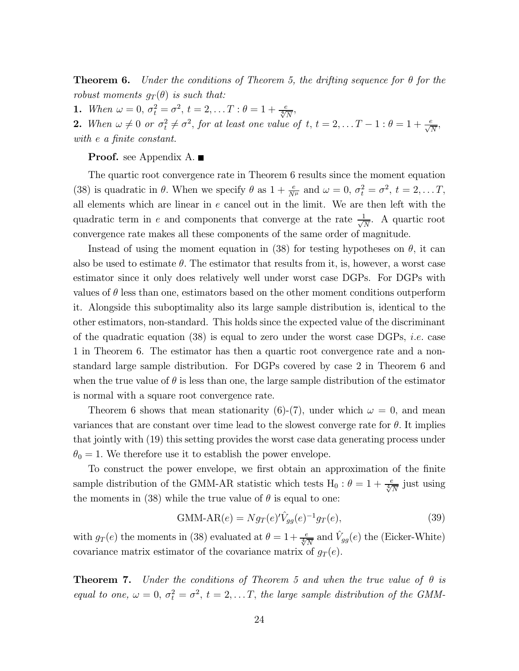**Theorem 6.** Under the conditions of Theorem 5, the drifting sequence for  $\theta$  for the robust moments  $g_T(\theta)$  is such that:

**1.** When  $\omega = 0$ ,  $\sigma_t^2 = \sigma^2$ ,  $t = 2, ... T : \theta = 1 + \frac{e}{\sqrt[4]{N}}$ ,

**2.** When  $\omega \neq 0$  or  $\sigma_t^2 \neq \sigma^2$ , for at least one value of  $t, t = 2,...T - 1 : \theta = 1 + \frac{e}{\sqrt{N}}$ , with e a finite constant.

**Proof.** see Appendix A.

The quartic root convergence rate in Theorem 6 results since the moment equation (38) is quadratic in  $\theta$ . When we specify  $\theta$  as  $1 + \frac{e}{N^{\mu}}$  and  $\omega = 0$ ,  $\sigma_t^2 = \sigma^2$ ,  $t = 2, \dots T$ , all elements which are linear in e cancel out in the limit. We are then left with the quadratic term in e and components that converge at the rate  $\frac{1}{\sqrt{N}}$ . A quartic root convergence rate makes all these components of the same order of magnitude.

Instead of using the moment equation in (38) for testing hypotheses on  $\theta$ , it can also be used to estimate  $\theta$ . The estimator that results from it, is, however, a worst case estimator since it only does relatively well under worst case DGPs. For DGPs with values of  $\theta$  less than one, estimators based on the other moment conditions outperform it. Alongside this suboptimality also its large sample distribution is, identical to the other estimators, non-standard. This holds since the expected value of the discriminant of the quadratic equation  $(38)$  is equal to zero under the worst case DGPs, *i.e.* case 1 in Theorem 6. The estimator has then a quartic root convergence rate and a nonstandard large sample distribution. For DGPs covered by case 2 in Theorem 6 and when the true value of  $\theta$  is less than one, the large sample distribution of the estimator is normal with a square root convergence rate.

Theorem 6 shows that mean stationarity (6)-(7), under which  $\omega = 0$ , and mean variances that are constant over time lead to the slowest converge rate for  $\theta$ . It implies that jointly with (19) this setting provides the worst case data generating process under  $\theta_0 = 1$ . We therefore use it to establish the power envelope.

To construct the power envelope, we first obtain an approximation of the finite sample distribution of the GMM-AR statistic which tests H<sub>0</sub> :  $\theta = 1 + \frac{e}{\sqrt[4]{N}}$  just using the moments in (38) while the true value of  $\theta$  is equal to one:

GMM-AR(e) = 
$$
Ng_T(e)'\hat{V}_{gg}(e)^{-1}g_T(e)
$$
, (39)

with  $g_T(e)$  the moments in (38) evaluated at  $\theta = 1 + \frac{e}{\sqrt[4]{N}}$  and  $\hat{V}_{gg}(e)$  the (Eicker-White) covariance matrix estimator of the covariance matrix of  $q_T(e)$ .

**Theorem 7.** Under the conditions of Theorem 5 and when the true value of  $\theta$  is equal to one,  $\omega = 0$ ,  $\sigma_t^2 = \sigma^2$ ,  $t = 2,...T$ , the large sample distribution of the GMM-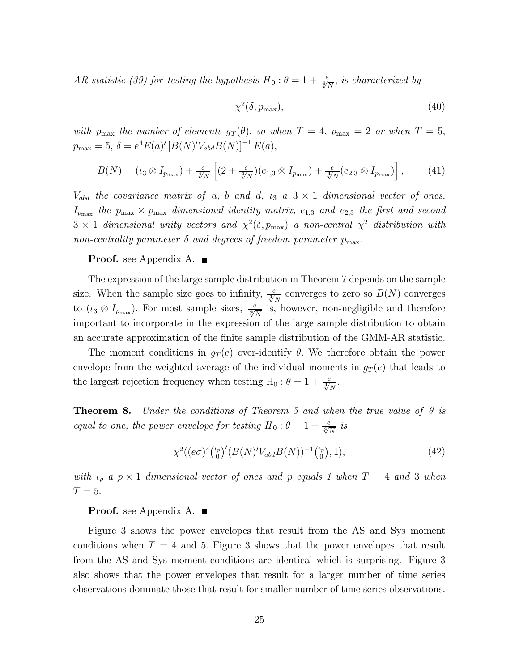AR statistic (39) for testing the hypothesis  $H_0: \theta = 1 + \frac{e}{\sqrt[4]{N}}$ , is characterized by

$$
\chi^2(\delta, p_{\text{max}}),\tag{40}
$$

with  $p_{\text{max}}$  the number of elements  $g_T(\theta)$ , so when  $T = 4$ ,  $p_{\text{max}} = 2$  or when  $T = 5$ ,  $p_{\text{max}} = 5, \, \delta = e^4 E(a)' \left[ B(N)' V_{abd} B(N) \right]^{-1} E(a),$ 

$$
B(N) = (\iota_3 \otimes I_{p_{\max}}) + \frac{e}{\sqrt[4]{N}} \left[ (2 + \frac{e}{\sqrt[4]{N}})(e_{1,3} \otimes I_{p_{\max}}) + \frac{e}{\sqrt[4]{N}}(e_{2,3} \otimes I_{p_{\max}}) \right],
$$
 (41)

 $V_{abd}$  the covariance matrix of a, b and d,  $\iota_3$  a  $3 \times 1$  dimensional vector of ones,  $I_{p_{\text{max}}}$  the  $p_{\text{max}} \times p_{\text{max}}$  dimensional identity matrix,  $e_{1,3}$  and  $e_{2,3}$  the first and second  $3 \times 1$  dimensional unity vectors and  $\chi^2(\delta, p_{\text{max}})$  a non-central  $\chi^2$  distribution with non-centrality parameter  $\delta$  and degrees of freedom parameter  $p_{\text{max}}$ .

#### Proof. see Appendix A. ■

The expression of the large sample distribution in Theorem 7 depends on the sample size. When the sample size goes to infinity,  $\frac{e}{\sqrt[4]{N}}$  converges to zero so  $B(N)$  converges to  $(\iota_3 \otimes I_{p_{\text{max}}})$ . For most sample sizes,  $\frac{e}{\sqrt[4]{N}}$  is, however, non-negligible and therefore important to incorporate in the expression of the large sample distribution to obtain an accurate approximation of the finite sample distribution of the GMM-AR statistic.

The moment conditions in  $g_T(e)$  over-identify  $\theta$ . We therefore obtain the power envelope from the weighted average of the individual moments in  $g_T(e)$  that leads to the largest rejection frequency when testing H<sub>0</sub> :  $\theta = 1 + \frac{e}{\sqrt[4]{N}}$ .

**Theorem 8.** Under the conditions of Theorem 5 and when the true value of  $\theta$  is equal to one, the power envelope for testing  $H_0: \theta = 1 + \frac{e}{\sqrt[4]{N}}$  is

$$
\chi^2((e\sigma)^4 \binom{\iota_p}{0}^{\prime} (B(N)^{\prime} V_{abd} B(N))^{-1} \binom{\iota_p}{0}, 1), \tag{42}
$$

with  $\iota_p$  a  $p \times 1$  dimensional vector of ones and p equals 1 when  $T = 4$  and 3 when  $T=5$ .

**Proof.** see Appendix A.  $\blacksquare$ 

Figure 3 shows the power envelopes that result from the AS and Sys moment conditions when  $T = 4$  and 5. Figure 3 shows that the power envelopes that result from the AS and Sys moment conditions are identical which is surprising. Figure 3 also shows that the power envelopes that result for a larger number of time series observations dominate those that result for smaller number of time series observations.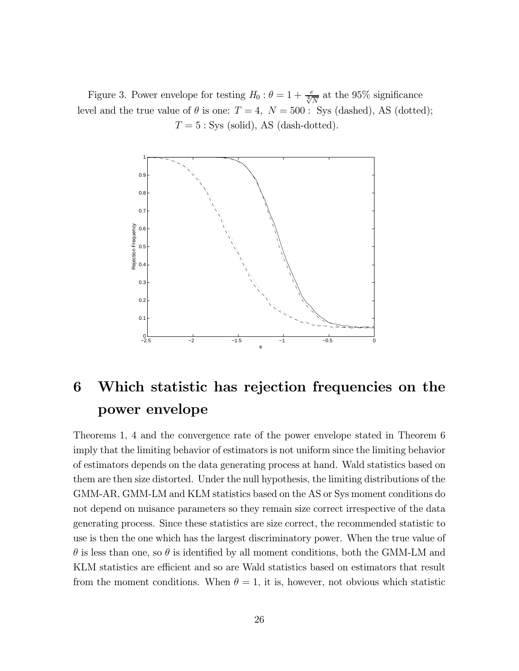Figure 3. Power envelope for testing  $H_0: \theta = 1 + \frac{e}{\sqrt[4]{N}}$  at the 95% significance level and the true value of  $\theta$  is one:  $T = 4$ ,  $N = 500$ : Sys (dashed), AS (dotted);  $T = 5$ : Sys (solid), AS (dash-dotted).



## 6 Which statistic has rejection frequencies on the power envelope

Theorems 1, 4 and the convergence rate of the power envelope stated in Theorem 6 imply that the limiting behavior of estimators is not uniform since the limiting behavior of estimators depends on the data generating process at hand. Wald statistics based on them are then size distorted. Under the null hypothesis, the limiting distributions of the GMM-AR, GMM-LM and KLM statistics based on the AS or Sys moment conditions do not depend on nuisance parameters so they remain size correct irrespective of the data generating process. Since these statistics are size correct, the recommended statistic to use is then the one which has the largest discriminatory power. When the true value of  $\theta$  is less than one, so  $\theta$  is identified by all moment conditions, both the GMM-LM and KLM statistics are efficient and so are Wald statistics based on estimators that result from the moment conditions. When  $\theta = 1$ , it is, however, not obvious which statistic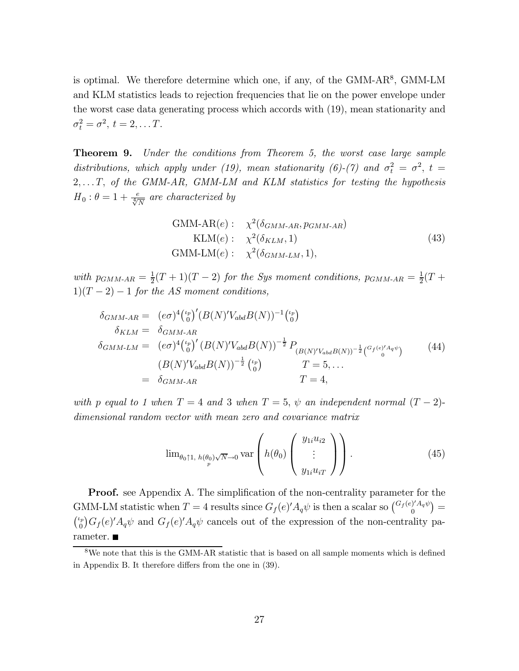is optimal. We therefore determine which one, if any, of the GMM-AR<sup>8</sup>, GMM-LM and KLM statistics leads to rejection frequencies that lie on the power envelope under the worst case data generating process which accords with (19), mean stationarity and  $\sigma_t^2 = \sigma^2, t = 2, \ldots T.$ 

Theorem 9. Under the conditions from Theorem 5, the worst case large sample distributions, which apply under (19), mean stationarity (6)-(7) and  $\sigma_t^2 = \sigma^2$ ,  $t =$  $2, \ldots T$ , of the GMM-AR, GMM-LM and KLM statistics for testing the hypothesis  $H_0$ :  $\theta = 1 + \frac{e}{\sqrt[4]{N}}$  are characterized by

GMM-AR(e): 
$$
\chi^2(\delta_{GMM-AR}, p_{GMM-AR})
$$
  
\nKLM(e):  $\chi^2(\delta_{KLM}, 1)$   
\nGMM-LM(e):  $\chi^2(\delta_{GMM-LM}, 1)$ , (43)

with  $p_{GMM\text{-}AR} = \frac{1}{2}(T+1)(T-2)$  for the Sys moment conditions,  $p_{GMM\text{-}AR} = \frac{1}{2}(T+1)(T-2)$  $1)(T-2)-1$  for the AS moment conditions,

$$
\delta_{GMM\text{-}AR} = (e\sigma)^4 {\binom{\iota_p}{0}}' (B(N)'V_{abd}B(N))^{-1} {\binom{\iota_p}{0}} \n\delta_{KLM} = \delta_{GMM\text{-}AR} \n\delta_{GMM\text{-}LM} = (e\sigma)^4 {\binom{\iota_p}{0}}' (B(N)'V_{abd}B(N))^{-\frac{1}{2}} P_{(B(N)'V_{abd}B(N))^{-\frac{1}{2}} {\binom{G_f(e)'A_q\psi}{0}}}
$$
\n
$$
(B(N)'V_{abd}B(N))^{-\frac{1}{2}} {\binom{\iota_p}{0}} \qquad T = 5, ... \n= \delta_{GMM\text{-}AR} \qquad T = 4,
$$
\n(44)

with p equal to 1 when  $T = 4$  and 3 when  $T = 5$ ,  $\psi$  an independent normal  $(T - 2)$ dimensional random vector with mean zero and covariance matrix

$$
\lim_{\theta_0 \uparrow 1, h(\theta_0) \sqrt{N} \to 0} \text{var}\left(h(\theta_0) \begin{pmatrix} y_{1i} u_{i2} \\ \vdots \\ y_{1i} u_{iT} \end{pmatrix}\right).
$$
 (45)

**Proof.** see Appendix A. The simplification of the non-centrality parameter for the GMM-LM statistic when  $T = 4$  results since  $G_f(e)' A_q \psi$  is then a scalar so  $\binom{G_f(e)' A_q \psi}{0}$  $\left( \begin{smallmatrix} 0\ 0 \end{smallmatrix} \right)' A_q \psi \right) =$  $\binom{\iota_p}{0} G_f(e)^\prime A_q \psi$  and  $G_f(e)^\prime A_q \psi$  cancels out of the expression of the non-centrality parameter.

 $8$ We note that this is the GMM-AR statistic that is based on all sample moments which is defined in Appendix B. It therefore differs from the one in (39).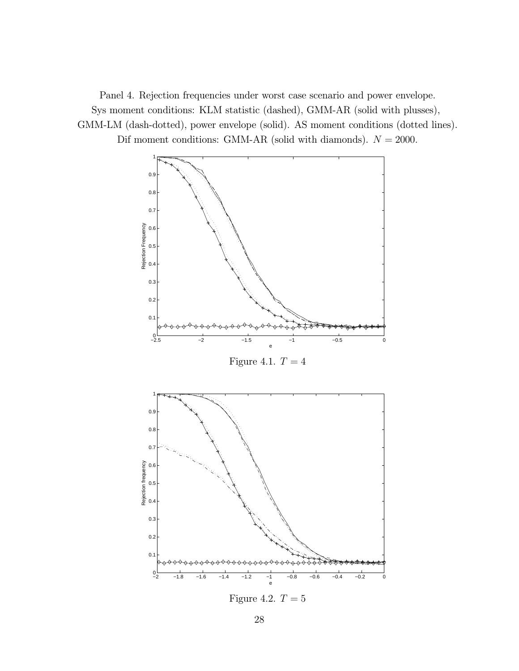Panel 4. Rejection frequencies under worst case scenario and power envelope. Sys moment conditions: KLM statistic (dashed), GMM-AR (solid with plusses), GMM-LM (dash-dotted), power envelope (solid). AS moment conditions (dotted lines). Dif moment conditions: GMM-AR (solid with diamonds).  $N = 2000$ .



Figure 4.2.  $T = 5$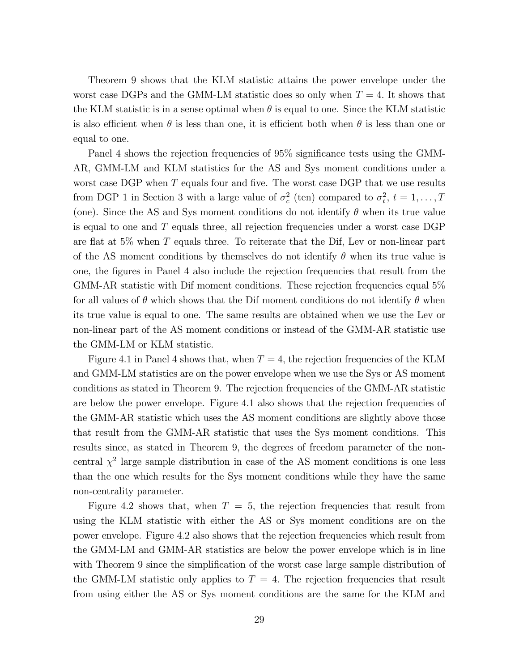Theorem 9 shows that the KLM statistic attains the power envelope under the worst case DGPs and the GMM-LM statistic does so only when  $T = 4$ . It shows that the KLM statistic is in a sense optimal when  $\theta$  is equal to one. Since the KLM statistic is also efficient when  $\theta$  is less than one, it is efficient both when  $\theta$  is less than one or equal to one.

Panel 4 shows the rejection frequencies of 95% significance tests using the GMM-AR, GMM-LM and KLM statistics for the AS and Sys moment conditions under a worst case DGP when T equals four and five. The worst case DGP that we use results from DGP 1 in Section 3 with a large value of  $\sigma_c^2$  (ten) compared to  $\sigma_t^2$ ,  $t = 1, \ldots, T$ (one). Since the AS and Sys moment conditions do not identify  $\theta$  when its true value is equal to one and T equals three, all rejection frequencies under a worst case DGP are flat at 5% when T equals three. To reiterate that the Dif, Lev or non-linear part of the AS moment conditions by themselves do not identify  $\theta$  when its true value is one, the figures in Panel 4 also include the rejection frequencies that result from the GMM-AR statistic with Dif moment conditions. These rejection frequencies equal 5% for all values of  $\theta$  which shows that the Dif moment conditions do not identify  $\theta$  when its true value is equal to one. The same results are obtained when we use the Lev or non-linear part of the AS moment conditions or instead of the GMM-AR statistic use the GMM-LM or KLM statistic.

Figure 4.1 in Panel 4 shows that, when  $T = 4$ , the rejection frequencies of the KLM and GMM-LM statistics are on the power envelope when we use the Sys or AS moment conditions as stated in Theorem 9. The rejection frequencies of the GMM-AR statistic are below the power envelope. Figure 4.1 also shows that the rejection frequencies of the GMM-AR statistic which uses the AS moment conditions are slightly above those that result from the GMM-AR statistic that uses the Sys moment conditions. This results since, as stated in Theorem 9, the degrees of freedom parameter of the noncentral  $\chi^2$  large sample distribution in case of the AS moment conditions is one less than the one which results for the Sys moment conditions while they have the same non-centrality parameter.

Figure 4.2 shows that, when  $T = 5$ , the rejection frequencies that result from using the KLM statistic with either the AS or Sys moment conditions are on the power envelope. Figure 4.2 also shows that the rejection frequencies which result from the GMM-LM and GMM-AR statistics are below the power envelope which is in line with Theorem 9 since the simplification of the worst case large sample distribution of the GMM-LM statistic only applies to  $T = 4$ . The rejection frequencies that result from using either the AS or Sys moment conditions are the same for the KLM and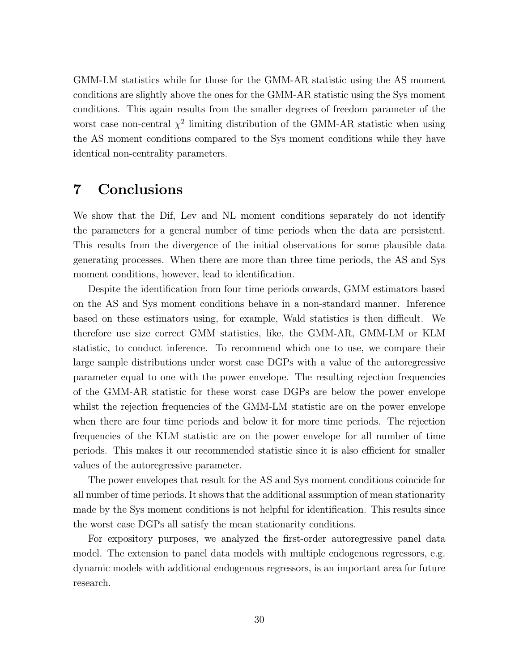GMM-LM statistics while for those for the GMM-AR statistic using the AS moment conditions are slightly above the ones for the GMM-AR statistic using the Sys moment conditions. This again results from the smaller degrees of freedom parameter of the worst case non-central  $\chi^2$  limiting distribution of the GMM-AR statistic when using the AS moment conditions compared to the Sys moment conditions while they have identical non-centrality parameters.

## 7 Conclusions

We show that the Dif, Lev and NL moment conditions separately do not identify the parameters for a general number of time periods when the data are persistent. This results from the divergence of the initial observations for some plausible data generating processes. When there are more than three time periods, the AS and Sys moment conditions, however, lead to identification.

Despite the identification from four time periods onwards, GMM estimators based on the AS and Sys moment conditions behave in a non-standard manner. Inference based on these estimators using, for example, Wald statistics is then difficult. We therefore use size correct GMM statistics, like, the GMM-AR, GMM-LM or KLM statistic, to conduct inference. To recommend which one to use, we compare their large sample distributions under worst case DGPs with a value of the autoregressive parameter equal to one with the power envelope. The resulting rejection frequencies of the GMM-AR statistic for these worst case DGPs are below the power envelope whilst the rejection frequencies of the GMM-LM statistic are on the power envelope when there are four time periods and below it for more time periods. The rejection frequencies of the KLM statistic are on the power envelope for all number of time periods. This makes it our recommended statistic since it is also efficient for smaller values of the autoregressive parameter.

The power envelopes that result for the AS and Sys moment conditions coincide for all number of time periods. It shows that the additional assumption of mean stationarity made by the Sys moment conditions is not helpful for identification. This results since the worst case DGPs all satisfy the mean stationarity conditions.

For expository purposes, we analyzed the first-order autoregressive panel data model. The extension to panel data models with multiple endogenous regressors, e.g. dynamic models with additional endogenous regressors, is an important area for future research.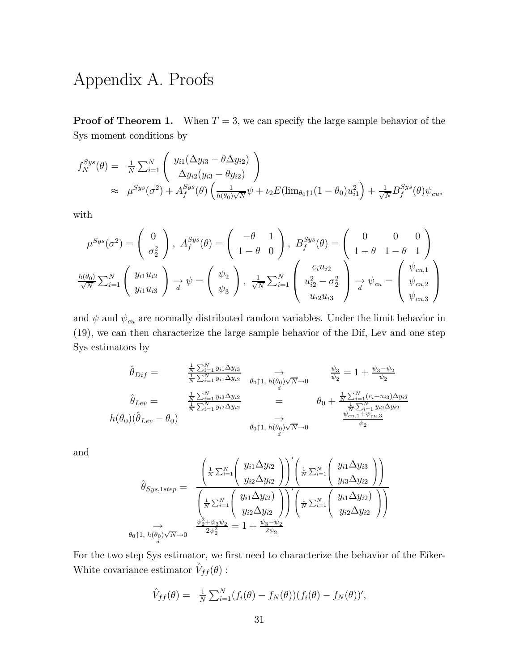# Appendix A. Proofs

**Proof of Theorem 1.** When  $T = 3$ , we can specify the large sample behavior of the Sys moment conditions by

$$
f_N^{Sys}(\theta) = \frac{1}{N} \sum_{i=1}^N \left( \frac{y_{i1}(\Delta y_{i3} - \theta \Delta y_{i2})}{\Delta y_{i2}(y_{i3} - \theta y_{i2})} \right)
$$
  
 
$$
\approx \mu^{Sys}(\sigma^2) + A_f^{Sys}(\theta) \left( \frac{1}{h(\theta_0)\sqrt{N}} \psi + \iota_2 E(\lim_{\theta_0 \uparrow 1} (1 - \theta_0) u_{i1}^2 \right) + \frac{1}{\sqrt{N}} B_f^{Sys}(\theta) \psi_{cu},
$$

with

$$
\mu^{Sys}(\sigma^2) = \begin{pmatrix} 0 \\ \sigma_2^2 \end{pmatrix}, A_f^{Sys}(\theta) = \begin{pmatrix} -\theta & 1 \\ 1 - \theta & 0 \end{pmatrix}, B_f^{Sys}(\theta) = \begin{pmatrix} 0 & 0 & 0 \\ 1 - \theta & 1 - \theta & 1 \end{pmatrix}
$$

$$
\frac{h(\theta_0)}{\sqrt{N}} \sum_{i=1}^N \begin{pmatrix} y_{i1}u_{i2} \\ y_{i1}u_{i3} \end{pmatrix} \xrightarrow[d]{\phi} \psi = \begin{pmatrix} \psi_2 \\ \psi_3 \end{pmatrix}, \frac{1}{\sqrt{N}} \sum_{i=1}^N \begin{pmatrix} c_iu_{i2} \\ u_{i2}^2 - \sigma_2^2 \\ u_{i2}u_{i3} \end{pmatrix} \xrightarrow[d]{\phi} \psi_{cu} = \begin{pmatrix} \psi_{cu,1} \\ \psi_{cu,2} \\ \psi_{cu,3} \end{pmatrix}
$$

and  $\psi$  and  $\psi_{cu}$  are normally distributed random variables. Under the limit behavior in (19), we can then characterize the large sample behavior of the Dif, Lev and one step Sys estimators by

$$
\hat{\theta}_{Dif} = \frac{\frac{1}{N} \sum_{i=1}^{N} y_{i1} \Delta y_{i3}}{\frac{1}{N} \sum_{i=1}^{N} y_{i1} \Delta y_{i2}} \xrightarrow{\theta_{0} \uparrow 1, h(\theta_{0}) \sqrt{N} \to 0} \frac{\psi_{3}}{\psi_{2}} = 1 + \frac{\psi_{3} - \psi_{2}}{\psi_{2}}
$$
\n
$$
\hat{\theta}_{Lev} = \frac{\frac{1}{N} \sum_{i=1}^{N} y_{i3} \Delta y_{i2}}{\frac{1}{N} \sum_{i=1}^{N} y_{i2} \Delta y_{i2}} = \theta_{0} + \frac{\frac{1}{N} \sum_{i=1}^{N} (c_{i} + u_{i3}) \Delta y_{i2}}{\frac{1}{N} \sum_{i=1}^{N} y_{i2} \Delta y_{i2}}
$$
\n
$$
h(\theta_{0})(\hat{\theta}_{Lev} - \theta_{0}) \xrightarrow{\theta_{0} \uparrow 1, h(\theta_{0}) \sqrt{N} \to 0} \frac{\psi_{cu,1} + \psi_{cu,3}}{\psi_{2}}
$$

and

$$
\hat{\theta}_{Sys,1step} = \frac{\begin{pmatrix} \frac{1}{N} \sum_{i=1}^{N} \left( y_{i1} \Delta y_{i2} \right) \end{pmatrix} \begin{pmatrix} \frac{1}{N} \sum_{i=1}^{N} \left( y_{i1} \Delta y_{i3} \right) \end{pmatrix}}{\begin{pmatrix} \frac{1}{N} \sum_{i=1}^{N} \left( y_{i2} \Delta y_{i2} \right) \end{pmatrix} \begin{pmatrix} \frac{1}{N} \sum_{i=1}^{N} \left( y_{i1} \Delta y_{i2} \right) \end{pmatrix}} \begin{pmatrix} \frac{1}{N} \sum_{i=1}^{N} \left( y_{i1} \Delta y_{i2} \right) \end{pmatrix}}{\begin{pmatrix} \frac{1}{N} \sum_{i=1}^{N} \left( y_{i1} \Delta y_{i2} \right) \end{pmatrix} \begin{pmatrix} \frac{1}{N} \sum_{i=1}^{N} \left( y_{i1} \Delta y_{i2} \right) \end{pmatrix}} \begin{pmatrix} \frac{1}{N} \sum_{i=1}^{N} \left( y_{i1} \Delta y_{i2} \right) \end{pmatrix}}
$$
\n
$$
\theta_{0} \uparrow 1, h(\theta_{0}) \sqrt{N} \rightarrow 0 \qquad \frac{\psi_{2}^{2} + \psi_{3} \psi_{2}}{2 \psi_{2}^{2}} = 1 + \frac{\psi_{3} - \psi_{2}}{2 \psi_{2}}
$$

For the two step Sys estimator, we first need to characterize the behavior of the Eiker-White covariance estimator  $\hat{V}_{ff}(\theta)$ :

$$
\hat{V}_{ff}(\theta) = \frac{1}{N} \sum_{i=1}^{N} (f_i(\theta) - f_N(\theta)) (f_i(\theta) - f_N(\theta))',
$$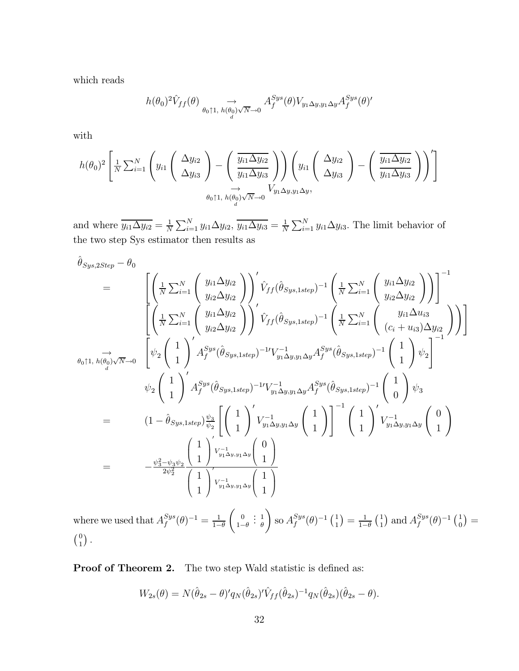which reads

$$
h(\theta_0)^2 \hat{V}_{ff}(\theta) \underset{\theta_0 \uparrow 1, h(\theta_0) \sqrt{N}\to 0}{\longrightarrow} A_f^{Sys}(\theta) V_{y_1 \Delta y, y_1 \Delta y} A_f^{Sys}(\theta)'
$$

with

$$
h(\theta_0)^2 \left[ \frac{1}{N} \sum_{i=1}^N \left( y_{i1} \left( \begin{array}{c} \Delta y_{i2} \\ \Delta y_{i3} \end{array} \right) - \left( \frac{\overline{y_{i1} \Delta y_{i2}}}{y_{i1} \Delta y_{i3}} \right) \right) \left( y_{i1} \left( \begin{array}{c} \Delta y_{i2} \\ \Delta y_{i3} \end{array} \right) - \left( \frac{\overline{y_{i1} \Delta y_{i2}}}{y_{i1} \Delta y_{i3}} \right) \right)' \right]
$$
  

$$
\theta_0 \uparrow 1, h(\theta_0) \sqrt{N} \to 0 \qquad V_{y_1 \Delta y, y_1 \Delta y},
$$

and where  $\overline{y_{i1}\Delta y_{i2}} = \frac{1}{N} \sum_{i=1}^{N} y_{i1}\Delta y_{i2}, \overline{y_{i1}\Delta y_{i3}} = \frac{1}{N} \sum_{i=1}^{N} y_{i1}\Delta y_{i3}.$  The limit behavior of the two step Sys estimator then results as

$$
\hat{\theta}_{Sys,2Step} - \theta_{0}
$$
\n
$$
= \begin{bmatrix}\n\left(\frac{1}{N} \sum_{i=1}^{N} \left( \frac{y_{i1} \Delta y_{i2}}{y_{i2} \Delta y_{i2}} \right) \right)' \hat{V}_{ff} (\hat{\theta}_{Sys,1step})^{-1} \left(\frac{1}{N} \sum_{i=1}^{N} \left( \frac{y_{i1} \Delta y_{i2}}{y_{i2} \Delta y_{i2}} \right) \right) \right]^{-1} \\
\left(\frac{1}{N} \sum_{i=1}^{N} \left( \frac{y_{i1} \Delta y_{i2}}{y_{i2} \Delta y_{i2}} \right) \right)' \hat{V}_{ff} (\hat{\theta}_{Sys,1step})^{-1} \left(\frac{1}{N} \sum_{i=1}^{N} \left( \frac{y_{i1} \Delta u_{i3}}{(c_i + u_{i3}) \Delta y_{i2}} \right) \right)\right)\n\right]
$$
\n
$$
\theta_{0} \uparrow 1, h(\theta_{0}) \sqrt{N} \to 0 \quad \left[ \psi_{2} \left( \begin{array}{c} 1 \\ 1 \end{array} \right)' A_{f}^{Sys} (\hat{\theta}_{Sys,1step})^{-1} V_{y_{1} \Delta y, y_{1} \Delta y}^{-1} A_{f}^{Sys} (\hat{\theta}_{Sys,1step})^{-1} \left( \begin{array}{c} 1 \\ 1 \end{array} \right) \psi_{2} \right]^{-1}
$$
\n
$$
\psi_{2} \left( \begin{array}{c} 1 \\ 1 \end{array} \right)' A_{f}^{Sys} (\hat{\theta}_{Sys,1step})^{-1} V_{y_{1} \Delta y, y_{1} \Delta y}^{-1} A_{f}^{Sys} (\hat{\theta}_{Sys,1step})^{-1} \left( \begin{array}{c} 1 \\ 1 \end{array} \right) \psi_{3}
$$
\n
$$
= (1 - \hat{\theta}_{Sys,1step}) \frac{\psi_{3}}{\psi_{2}} \left[ \left( \begin{array}{c} 1 \\ 1 \end{array} \right)' V_{y_{1} \Delta y, y_{1} \Delta y} \left( \begin{array}{c} 1 \\ 1 \end{array} \right) \right]^{-1} \left( \begin{array}{c} 1 \\ 1 \end{array} \right)' V_{y_{1} \Delta y, y_{1} \Delta y}^{-1} (\hat{\theta}_{Sys,1
$$

where we used that  $A_f^{Sys}(\theta)^{-1} = \frac{1}{1-\theta}$  $\begin{pmatrix} 0 \\ 0 \end{pmatrix}$  $1-\theta$ :  $\frac{1}{\theta}$  $\int$  so  $A_f^{Sys}(\theta)^{-1} \begin{pmatrix} 1 \\ 1 \end{pmatrix} = \frac{1}{1-\theta}$  $\binom{1}{1}$  and  $A_f^{Sys}(\theta)^{-1} \binom{1}{0} =$  $\binom{0}{1}$ .

Proof of Theorem 2. The two step Wald statistic is defined as:

$$
W_{2s}(\theta) = N(\hat{\theta}_{2s} - \theta)' q_N(\hat{\theta}_{2s})' \hat{V}_{ff}(\hat{\theta}_{2s})^{-1} q_N(\hat{\theta}_{2s})(\hat{\theta}_{2s} - \theta).
$$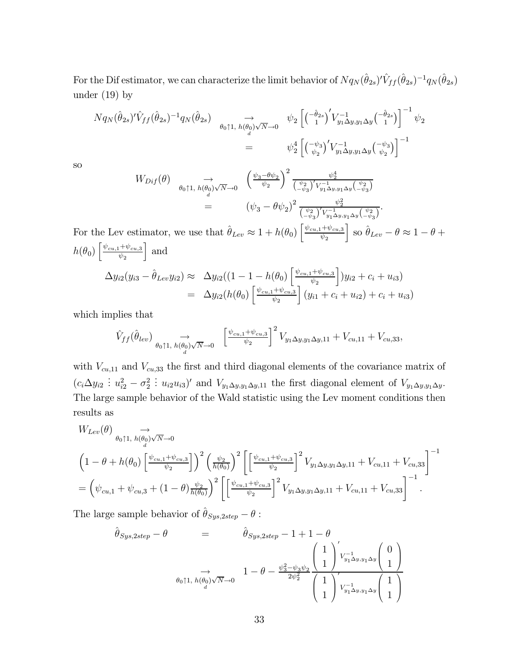For the Dif estimator, we can characterize the limit behavior of  $Nq_N(\hat{\theta}_{2s})' \hat{V}_{ff}(\hat{\theta}_{2s})^{-1} q_N(\hat{\theta}_{2s})$ under  $(19)$  by

$$
N q_N(\hat{\theta}_{2s})' \hat{V}_{ff}(\hat{\theta}_{2s})^{-1} q_N(\hat{\theta}_{2s}) \underset{\theta_0 \uparrow 1, h(\theta_0) \sqrt{N} \to 0}{\to} \psi_2 \left[ \left( \frac{-\hat{\theta}_{2s}}{1} \right)' V_{y_1 \Delta y, y_1 \Delta y}^{-1} \left( \frac{-\hat{\theta}_{2s}}{1} \right) \right]^{-1} \psi_2
$$
  
= 
$$
\psi_2^4 \left[ \left( \frac{-\psi_3}{\psi_2} \right)' V_{y_1 \Delta y, y_1 \Delta y}^{-1} \left( \frac{-\psi_3}{\psi_2} \right) \right]^{-1}
$$

so

$$
W_{Diff}(\theta) \underset{d}{\longrightarrow} \bigoplus_{\theta_{0} \uparrow 1, h(\theta_{0})\sqrt{N}\to 0} \left(\frac{\psi_{3}-\theta\psi_{2}}{\psi_{2}}\right)^{2} \frac{\psi_{2}^{4}}{\left(\frac{\psi_{2}}{-\psi_{3}}\right)'V_{y_{1}\Delta_{y,y_{1}\Delta_{y}}\left(\frac{\psi_{2}}{-\psi_{3}}\right)}}\n= \left(\psi_{3}-\theta\psi_{2}\right)^{2} \frac{\psi_{2}^{2}}{\left(\frac{\psi_{2}}{-\psi_{3}}\right)'V_{y_{1}\Delta_{y,y_{1}\Delta_{y}}\left(\frac{\psi_{2}}{-\psi_{3}}\right)}}.
$$

For the Lev estimator, we use that  $\hat{\theta}_{Lev} \approx 1 + h(\theta_0) \left[ \frac{\psi_{cu,1} + \psi_{cu,3}}{\psi_2} \right]$  $\psi_2$  $\Big\}$  so  $\hat{\theta}_{Lev} - \theta \approx 1 - \theta +$  $h(\theta_0) \left[ \frac{\psi_{cu,1} + \psi_{cu,3}}{\psi_{0}} \right]$  $\psi_2$ | and  $\Delta y_{i2}(y_{i3} - \hat{\theta}_{Lev}y_{i2}) \approx \Delta y_{i2}((1 - 1 - h(\theta_0))\left[\frac{\psi_{cu,1} + \psi_{cu,3}}{\psi_2}\right]$  $\psi_2$  $\big]$ ) $y_{i2} + c_i + u_{i3}$ )  $= \Delta y_{i2}(h(\theta_0)) \left[ \frac{\psi_{cu,1} + \psi_{cu,3}}{\psi_{\alpha}} \right]$  $\bigg] (y_{i1} + c_i + u_{i2}) + c_i + u_{i3})$ 

 $\psi_2$ 

which implies that

$$
\hat{V}_{ff}(\hat{\theta}_{lev}) \underset{\theta_0 \uparrow 1, h(\theta_0) \sqrt{N}\to 0}{\rightarrow} \left[\frac{\psi_{cu,1} + \psi_{cu,3}}{\psi_2}\right]^2 V_{y_1 \Delta y, y_1 \Delta y, 11} + V_{cu, 11} + V_{cu, 33},
$$

with  $V_{cu,11}$  and  $V_{cu,33}$  the first and third diagonal elements of the covariance matrix of  $(c_i \Delta y_{i2} \nvert u_{i2}^2 - \sigma_2^2)$ :  $u_{i2}u_{i3}$ ' and  $V_{y_1\Delta y,y_1\Delta y,11}$  the first diagonal element of  $V_{y_1\Delta y,y_1\Delta y}$ . The large sample behavior of the Wald statistic using the Lev moment conditions then results as

$$
W_{Lev}(\theta) \underset{\theta_{0} \uparrow 1, h(\theta_{0}) \sqrt{N}\to 0}{\to} \left(1 - \theta + h(\theta_{0}) \left[\frac{\psi_{cu,1} + \psi_{cu,3}}{\psi_{2}}\right]\right)^{2} \left(\frac{\psi_{2}}{h(\theta_{0})}\right)^{2} \left[\left[\frac{\psi_{cu,1} + \psi_{cu,3}}{\psi_{2}}\right]^{2} V_{y_{1} \Delta y, y_{1} \Delta y, 11} + V_{cu,11} + V_{cu,33}\right]^{-1}
$$
  
=  $\left(\psi_{cu,1} + \psi_{cu,3} + (1 - \theta) \frac{\psi_{2}}{h(\theta_{0})}\right)^{2} \left[\left[\frac{\psi_{cu,1} + \psi_{cu,3}}{\psi_{2}}\right]^{2} V_{y_{1} \Delta y, y_{1} \Delta y, 11} + V_{cu,11} + V_{cu,33}\right]^{-1}.$ 

The large sample behavior of  $\hat{\theta}_{Sys,2step} - \theta$ :

$$
\hat{\theta}_{Sys,2step} - \theta = \hat{\theta}_{Sys,2step} - 1 + 1 - \theta
$$
\n
$$
\Rightarrow \quad \frac{1}{\theta_{0} \uparrow 1, h(\theta_{0}) \sqrt{N} \to 0} \quad 1 - \theta - \frac{\psi_{3}^{2} - \psi_{3} \psi_{2}}{2\psi_{2}^{2}} \left(\frac{1}{1}\right)^{\prime} \sum_{y_{1} \Delta y, y_{1} \Delta y} \left(\frac{1}{1}\right)^{1}
$$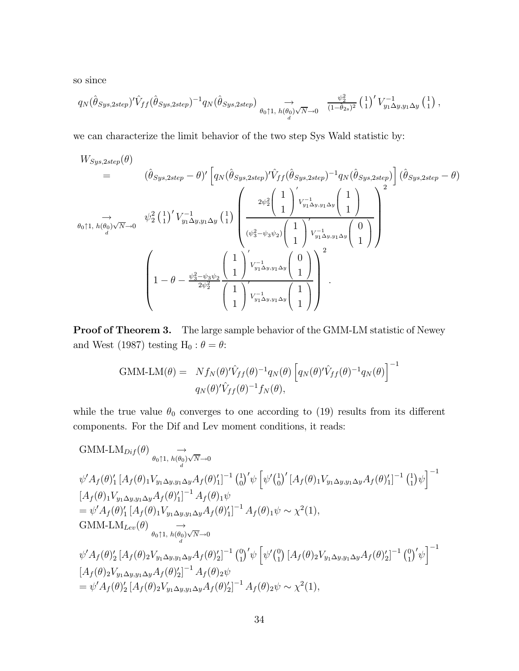so since

$$
q_N(\hat{\theta}_{Sys,2step})' \hat{V}_{ff}(\hat{\theta}_{Sys,2step})^{-1} q_N(\hat{\theta}_{Sys,2step}) \underset{\theta_0 \uparrow 1, h(\theta_0) \sqrt{N}\to 0}{\longrightarrow} \frac{\psi_2^2}{(1-\hat{\theta}_{2s})^2} \left(\frac{1}{1}\right)' V_{y_1 \Delta y, y_1 \Delta y}^{-1} \left(\frac{1}{1}\right),
$$

we can characterize the limit behavior of the two step Sys Wald statistic by:

$$
W_{Sys,2step}(\theta) = (\hat{\theta}_{Sys,2step} - \theta)' \left[ q_N(\hat{\theta}_{Sys,2step})' \hat{V}_{ff}(\hat{\theta}_{Sys,2step})^{-1} q_N(\hat{\theta}_{Sys,2step}) \right] (\hat{\theta}_{Sys,2step} - \theta)
$$
  
\n
$$
\rightarrow \phi_0 \uparrow 1, h(\theta_0) \sqrt{N} \rightarrow 0 \quad \psi_2^2 \left( \frac{1}{1} \right)' V_{y_1 \Delta y, y_1 \Delta y}^{-1} \left( \frac{1}{1} \right) \left( \frac{2\psi_2^2 \left( \frac{1}{1} \right)' V_{y_1 \Delta y, y_1 \Delta y}^{-1} \left( \frac{1}{1} \right)}{\left( \psi_3^2 - \psi_3 \psi_2 \right) \left( \frac{1}{1} \right)' V_{y_1 \Delta y, y_1 \Delta y}^{-1} \left( \frac{0}{1} \right)} \right)^2
$$
  
\n
$$
\left( 1 - \theta - \frac{\psi_3^2 - \psi_3 \psi_2}{2\psi_2^2} \left( \frac{1}{1} \right)' V_{y_1 \Delta y, y_1 \Delta y}^{-1} \left( \frac{0}{1} \right) \right)^2
$$

Proof of Theorem 3. The large sample behavior of the GMM-LM statistic of Newey and West (1987) testing H<sub>0</sub> :  $\theta = \theta$ :

GMM-LM(
$$
\theta
$$
) =  $Nf_N(\theta)' \hat{V}_{ff}(\theta)^{-1} q_N(\theta) \left[ q_N(\theta)' \hat{V}_{ff}(\theta)^{-1} q_N(\theta) \right]^{-1}$   
 $q_N(\theta)' \hat{V}_{ff}(\theta)^{-1} f_N(\theta),$ 

while the true value  $\theta_0$  converges to one according to (19) results from its different components. For the Dif and Lev moment conditions, it reads:

GMM-LM<sub>Diff</sub>(
$$
\theta
$$
)  $\rightarrow$   
\n $\psi' A_f(\theta)'_1 [A_f(\theta)_1 V_{y_1 \Delta y, y_1 \Delta y} A_f(\theta)']^{-1} \left(\begin{matrix} 1 \\ 0 \end{matrix}\right)' \psi \left[\psi' \begin{pmatrix} 1 \\ 0 \end{pmatrix}' [A_f(\theta)_1 V_{y_1 \Delta y, y_1 \Delta y} A_f(\theta)']^{-1} (1) \psi\right]^{-1}$   
\n
$$
[A_f(\theta)_1 V_{y_1 \Delta y, y_1 \Delta y} A_f(\theta)']^{-1} A_f(\theta)_1 \psi
$$
\n
$$
= \psi' A_f(\theta)'_1 [A_f(\theta)_1 V_{y_1 \Delta y, y_1 \Delta y} A_f(\theta)']^{-1} A_f(\theta)_1 \psi \sim \chi^2(1),
$$
\nGMM-LM<sub>Lev</sub>( $\theta$ )  $\rightarrow$   
\n $\phi_0 \uparrow 1, h(\theta_0) \sqrt{N} \rightarrow 0$   
\n $\psi' A_f(\theta)'_2 [A_f(\theta)_2 V_{y_1 \Delta y, y_1 \Delta y} A_f(\theta)'_2]^{-1} (1) \psi \left[\psi' \begin{pmatrix} 0 \\ 1 \end{pmatrix} [A_f(\theta)_2 V_{y_1 \Delta y, y_1 \Delta y} A_f(\theta)'_2]^{-1} (1) \psi \begin{pmatrix} 0 \\ 1 \end{pmatrix}' \psi \begin{pmatrix} 0 \\ 1 \end{pmatrix}' \psi \begin{pmatrix} 0 \\ 1 \end{pmatrix}' \psi \begin{pmatrix} 0 \\ 1 \end{pmatrix}' \psi \begin{pmatrix} 0 \\ 1 \end{pmatrix}' \psi \end{pmatrix}^{-1}$ \n
$$
[A_f(\theta)_2 V_{y_1 \Delta y, y_1 \Delta y} A_f(\theta)'_2]^{-1} A_f(\theta)_2 \psi
$$
\n
$$
= \psi' A_f(\theta)'_2 [A_f(\theta)_2 V_{y_1 \Delta y, y_1 \Delta y} A_f(\theta)'_2]^{-1} A_f(\theta)_2 \psi \sim \chi^2(1),
$$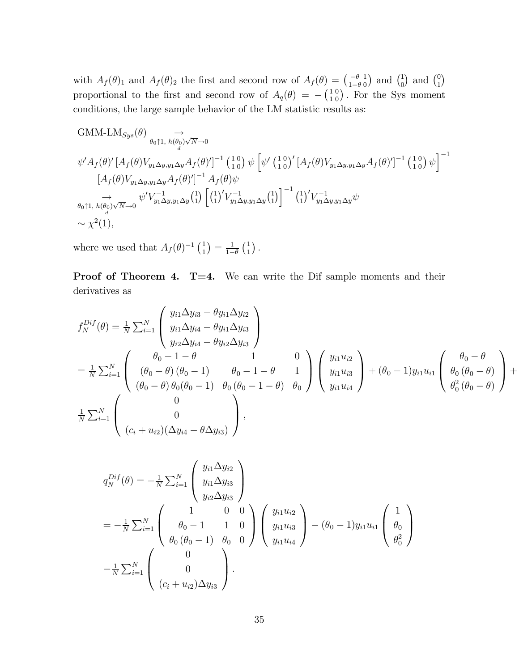with  $A_f(\theta)_1$  and  $A_f(\theta)_2$  the first and second row of  $A_f(\theta) = \begin{pmatrix} -\theta \\ 1-\theta \end{pmatrix}$ 1  $\begin{pmatrix} 1 \\ 0 \end{pmatrix}$  and  $\begin{pmatrix} 0 \\ 1 \end{pmatrix}$ proportional to the first and second row of  $A_q(\theta) = -\begin{pmatrix} 1 \\ 1 \end{pmatrix}$ 0  $_{0}^{0}$ ). For the Sys moment conditions, the large sample behavior of the LM statistic results as:

GMM-LM<sub>Sys</sub>(
$$
\theta
$$
)  
\n $\phi' A_f(\theta)' [A_f(\theta) V_{y_1 \Delta y, y_1 \Delta y} A_f(\theta)']^{-1} (10) \psi [\psi' (10)' [A_f(\theta) V_{y_1 \Delta y, y_1 \Delta y} A_f(\theta)']^{-1} (10) \psi ]^{-1}$   
\n $[A_f(\theta) V_{y_1 \Delta y, y_1 \Delta y} A_f(\theta)']^{-1} A_f(\theta) \psi$   
\n $\rightarrow \phi' V_{y_1 \Delta y, y_1 \Delta y} (\theta) (10) [A_f(\theta) V_{y_1 \Delta y, y_1 \Delta y} A_f(\theta)']^{-1} (11) [A_f(\theta) V_{y_1 \Delta y, y_1 \Delta y} A_f(\theta)']^{-1}$   
\n $\rightarrow \phi' V_{y_1 \Delta y, y_1 \Delta y} (1) [A_f(\theta) V_{y_1 \Delta y, y_1 \Delta y} A_f(\theta)']^{-1} (11) [V_{y_1 \Delta y, y_1 \Delta y} A_f(\theta)']^{-1}$   
\n $\sim \chi^2(1),$ 

where we used that  $A_f(\theta)^{-1} \begin{pmatrix} 1 \\ 1 \end{pmatrix} = \frac{1}{1-\theta}$  $\binom{1}{1}$ .

Proof of Theorem 4. T=4. We can write the Dif sample moments and their derivatives as

$$
f_N^{Dif}(\theta) = \frac{1}{N} \sum_{i=1}^N \begin{pmatrix} y_{i1} \Delta y_{i3} - \theta y_{i1} \Delta y_{i2} \\ y_{i1} \Delta y_{i4} - \theta y_{i1} \Delta y_{i3} \\ y_{i2} \Delta y_{i4} - \theta y_{i2} \Delta y_{i3} \end{pmatrix}
$$
  
=  $\frac{1}{N} \sum_{i=1}^N \begin{pmatrix} \theta_0 - 1 - \theta & 1 & 0 \\ (\theta_0 - \theta) (\theta_0 - 1) & \theta_0 - 1 - \theta & 1 \\ (\theta_0 - \theta) \theta_0 (\theta_0 - 1) & \theta_0 (\theta_0 - 1 - \theta) & \theta_0 \end{pmatrix} \begin{pmatrix} y_{i1} u_{i2} \\ y_{i1} u_{i3} \\ y_{i1} u_{i4} \end{pmatrix} + (\theta_0 - 1) y_{i1} u_{i1} \begin{pmatrix} \theta_0 - \theta \\ \theta_0 (\theta_0 - \theta) \\ \theta_0^2 (\theta_0 - \theta) \end{pmatrix} + \frac{1}{N} \sum_{i=1}^N \begin{pmatrix} 0 \\ 0 \\ (c_i + u_{i2})(\Delta y_{i4} - \theta \Delta y_{i3}) \end{pmatrix},$ 

$$
q_N^{Dif}(\theta) = -\frac{1}{N} \sum_{i=1}^N \begin{pmatrix} y_{i1} \Delta y_{i2} \\ y_{i1} \Delta y_{i3} \\ y_{i2} \Delta y_{i3} \end{pmatrix}
$$
  
=  $-\frac{1}{N} \sum_{i=1}^N \begin{pmatrix} 1 & 0 & 0 \\ \theta_0 - 1 & 1 & 0 \\ \theta_0 (\theta_0 - 1) & \theta_0 & 0 \end{pmatrix} \begin{pmatrix} y_{i1} u_{i2} \\ y_{i1} u_{i3} \\ y_{i1} u_{i4} \end{pmatrix} - (\theta_0 - 1) y_{i1} u_{i1} \begin{pmatrix} 1 \\ \theta_0 \\ \theta_0^2 \end{pmatrix}$   
 $-\frac{1}{N} \sum_{i=1}^N \begin{pmatrix} 0 \\ 0 \\ (c_i + u_{i2}) \Delta y_{i3} \end{pmatrix}.$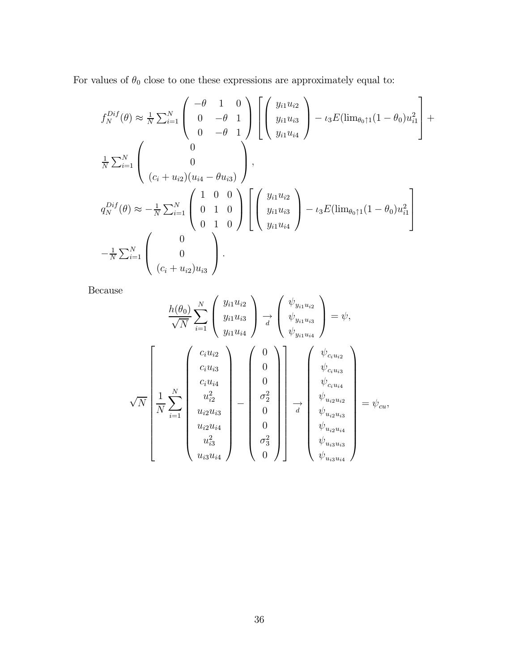For values of  $\theta_0$  close to one these expressions are approximately equal to:

$$
f_N^{Diff}(\theta) \approx \frac{1}{N} \sum_{i=1}^N \begin{pmatrix} -\theta & 1 & 0 \\ 0 & -\theta & 1 \\ 0 & -\theta & 1 \end{pmatrix} \begin{bmatrix} y_{i1}u_{i2} \\ y_{i1}u_{i3} \\ y_{i1}u_{i4} \end{bmatrix} - \iota_3 E(\lim_{\theta_0 \uparrow 1} (1 - \theta_0) u_{i1}^2 \begin{bmatrix} 1 \\ \frac{1}{N} \sum_{i=1}^N \begin{pmatrix} 0 \\ 0 \\ (c_i + u_{i2})(u_{i4} - \theta u_{i3}) \end{pmatrix},
$$
  
\n
$$
q_N^{Diff}(\theta) \approx -\frac{1}{N} \sum_{i=1}^N \begin{pmatrix} 1 & 0 & 0 \\ 0 & 1 & 0 \\ 0 & 1 & 0 \end{pmatrix} \begin{bmatrix} y_{i1}u_{i2} \\ y_{i1}u_{i3} \\ y_{i1}u_{i4} \end{bmatrix} - \iota_3 E(\lim_{\theta_0 \uparrow 1} (1 - \theta_0) u_{i1}^2 \begin{bmatrix} 1 \\ -\frac{1}{N} \sum_{i=1}^N \begin{pmatrix} 0 \\ 0 \\ (c_i + u_{i2})u_{i3} \end{pmatrix}.
$$

Because

$$
\frac{h(\theta_{0})}{\sqrt{N}} \sum_{i=1}^{N} \begin{pmatrix} y_{i1}u_{i2} \\ y_{i1}u_{i3} \\ y_{i1}u_{i4} \end{pmatrix} \xrightarrow[d]{} \frac{\psi_{y_{i1}u_{i2}}}{\psi_{y_{i1}u_{i3}}} = \psi,
$$
\n
$$
\sqrt{N} \begin{bmatrix} c_{i}u_{i2} \\ c_{i}u_{i3} \\ \frac{1}{N} \sum_{i=1}^{N} \begin{bmatrix} v_{i1}u_{i3} \\ c_{i}u_{i4} \\ u_{i2}^2 \\ u_{i2}u_{i3} \\ u_{i2}u_{i4} \\ u_{i3}^2 \end{bmatrix} - \begin{bmatrix} 0 \\ 0 \\ 0 \\ 0 \\ 0 \\ 0 \\ 0 \end{bmatrix} \begin{bmatrix} \psi_{c_{i}u_{i3}} \\ \psi_{c_{i}u_{i4}} \\ \psi_{c_{i}u_{i4}} \\ \psi_{u_{i2}u_{i3}} \\ \psi_{u_{i2}u_{i3}} \\ \psi_{u_{i2}u_{i4}} \\ \psi_{u_{i3}u_{i4}} \end{bmatrix} = \psi_{cu},
$$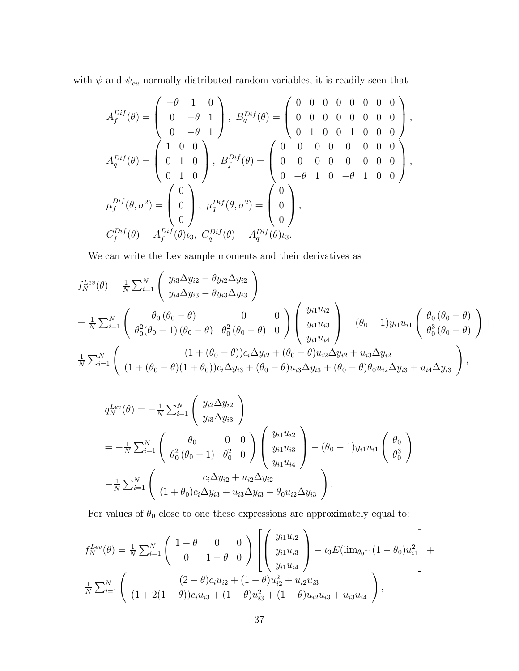with  $\psi$  and  $\psi_{cu}$  normally distributed random variables, it is readily seen that

$$
A_f^{Diff}(\theta) = \begin{pmatrix} -\theta & 1 & 0 \\ 0 & -\theta & 1 \\ 0 & -\theta & 1 \end{pmatrix}, B_q^{Diff}(\theta) = \begin{pmatrix} 0 & 0 & 0 & 0 & 0 & 0 & 0 \\ 0 & 0 & 0 & 0 & 0 & 0 & 0 \\ 0 & 1 & 0 & 0 & 1 & 0 & 0 & 0 \\ 0 & 1 & 0 & 0 & 0 & 0 & 0 & 0 \\ 0 & 1 & 0 & 0 & 0 & 0 & 0 & 0 \\ 0 & 1 & 0 & 0 & 0 & 0 & 0 & 0 \end{pmatrix},
$$
  
\n
$$
\mu_f^{Diff}(\theta, \sigma^2) = \begin{pmatrix} 0 \\ 0 \\ 0 \\ 0 \end{pmatrix}, \mu_q^{Diff}(\theta, \sigma^2) = \begin{pmatrix} 0 \\ 0 \\ 0 \\ 0 \end{pmatrix},
$$
  
\n
$$
C_f^{Diff}(\theta) = A_f^{Diff}(\theta) \iota_3, C_q^{Diff}(\theta) = A_q^{Diff}(\theta) \iota_3.
$$

We can write the Lev sample moments and their derivatives as

$$
f_N^{Lev}(\theta) = \frac{1}{N} \sum_{i=1}^N \begin{pmatrix} y_{i3} \Delta y_{i2} - \theta y_{i2} \Delta y_{i2} \\ y_{i4} \Delta y_{i3} - \theta y_{i3} \Delta y_{i3} \end{pmatrix}
$$
  
=  $\frac{1}{N} \sum_{i=1}^N \begin{pmatrix} \theta_0 (\theta_0 - \theta) & 0 & 0 \\ \theta_0^2 (\theta_0 - 1) (\theta_0 - \theta) & \theta_0^2 (\theta_0 - \theta) & 0 \end{pmatrix} \begin{pmatrix} y_{i1} u_{i2} \\ y_{i1} u_{i3} \\ y_{i1} u_{i4} \end{pmatrix} + (\theta_0 - 1) y_{i1} u_{i1} \begin{pmatrix} \theta_0 (\theta_0 - \theta) \\ \theta_0^3 (\theta_0 - \theta) \end{pmatrix} + \frac{1}{N} \sum_{i=1}^N \begin{pmatrix} (1 + (\theta_0 - \theta)) c_i \Delta y_{i2} + (\theta_0 - \theta) u_{i2} \Delta y_{i2} + u_{i3} \Delta y_{i2} \\ (1 + (\theta_0 - \theta)(1 + \theta_0)) c_i \Delta y_{i3} + (\theta_0 - \theta) u_{i3} \Delta y_{i3} + (\theta_0 - \theta) \theta_0 u_{i2} \Delta y_{i3} + u_{i4} \Delta y_{i3} \end{pmatrix},$ 

$$
q_N^{Lev}(\theta) = -\frac{1}{N} \sum_{i=1}^N \begin{pmatrix} y_{i2} \Delta y_{i2} \\ y_{i3} \Delta y_{i3} \end{pmatrix}
$$
  
=  $-\frac{1}{N} \sum_{i=1}^N \begin{pmatrix} \theta_0 & 0 & 0 \\ \theta_0^2 (\theta_0 - 1) & \theta_0^2 & 0 \end{pmatrix} \begin{pmatrix} y_{i1} u_{i2} \\ y_{i1} u_{i3} \\ y_{i1} u_{i4} \end{pmatrix} - (\theta_0 - 1) y_{i1} u_{i1} \begin{pmatrix} \theta_0 \\ \theta_0^3 \end{pmatrix}$   
 $-\frac{1}{N} \sum_{i=1}^N \begin{pmatrix} c_i \Delta y_{i2} + u_{i2} \Delta y_{i2} \\ (1 + \theta_0) c_i \Delta y_{i3} + u_{i3} \Delta y_{i3} + \theta_0 u_{i2} \Delta y_{i3} \end{pmatrix}.$ 

For values of  $\theta_0$  close to one these expressions are approximately equal to:

$$
f_N^{Lev}(\theta) = \frac{1}{N} \sum_{i=1}^N \begin{pmatrix} 1 - \theta & 0 & 0 \\ 0 & 1 - \theta & 0 \end{pmatrix} \left[ \begin{pmatrix} y_{i1}u_{i2} \\ y_{i1}u_{i3} \\ y_{i1}u_{i4} \end{pmatrix} - \iota_3 E(\lim_{\theta_0 \uparrow 1} (1 - \theta_0) u_{i1}^2 \right] + \frac{1}{N} \sum_{i=1}^N \begin{pmatrix} (2 - \theta)c_i u_{i2} + (1 - \theta)u_{i2}^2 + u_{i2}u_{i3} \\ (1 + 2(1 - \theta))c_i u_{i3} + (1 - \theta)u_{i3}^2 + (1 - \theta)u_{i2}u_{i3} + u_{i3}u_{i4} \end{pmatrix},
$$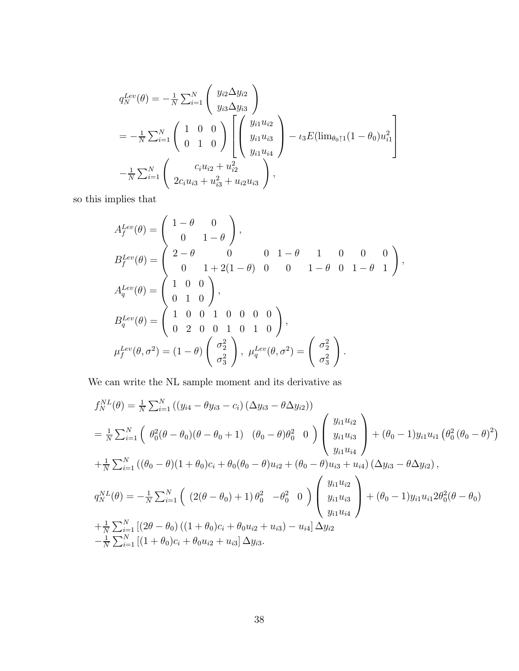$$
q_N^{Lev}(\theta) = -\frac{1}{N} \sum_{i=1}^N \begin{pmatrix} y_{i2} \Delta y_{i2} \\ y_{i3} \Delta y_{i3} \end{pmatrix}
$$
  
=  $-\frac{1}{N} \sum_{i=1}^N \begin{pmatrix} 1 & 0 & 0 \\ 0 & 1 & 0 \end{pmatrix} \begin{bmatrix} y_{i1} u_{i2} \\ y_{i1} u_{i3} \\ y_{i1} u_{i4} \end{bmatrix} - \iota_3 E(\lim_{\theta_0 \uparrow 1} (1 - \theta_0) u_{i1}^2 \begin{bmatrix} 1 \\ -\frac{1}{N} \sum_{i=1}^N \begin{pmatrix} c_i u_{i2} + u_{i2}^2 \\ 2c_i u_{i3} + u_{i3}^2 + u_{i2} u_{i3} \end{pmatrix},$ 

so this implies that

$$
A_f^{Lev}(\theta) = \begin{pmatrix} 1 - \theta & 0 \\ 0 & 1 - \theta \end{pmatrix},
$$
  
\n
$$
B_f^{Lev}(\theta) = \begin{pmatrix} 2 - \theta & 0 & 0 & 1 - \theta & 1 & 0 & 0 & 0 \\ 0 & 1 + 2(1 - \theta) & 0 & 0 & 1 - \theta & 0 & 1 - \theta & 1 \end{pmatrix},
$$
  
\n
$$
A_q^{Lev}(\theta) = \begin{pmatrix} 1 & 0 & 0 \\ 0 & 1 & 0 \end{pmatrix},
$$
  
\n
$$
B_q^{Lev}(\theta) = \begin{pmatrix} 1 & 0 & 0 & 1 & 0 & 0 & 0 & 0 \\ 0 & 2 & 0 & 0 & 1 & 0 & 1 & 0 \end{pmatrix},
$$
  
\n
$$
\mu_f^{Lev}(\theta, \sigma^2) = (1 - \theta) \begin{pmatrix} \sigma_2^2 \\ \sigma_3^2 \end{pmatrix}, \mu_q^{Lev}(\theta, \sigma^2) = \begin{pmatrix} \sigma_2^2 \\ \sigma_3^2 \end{pmatrix}.
$$

We can write the NL sample moment and its derivative as

$$
f_N^{NL}(\theta) = \frac{1}{N} \sum_{i=1}^N \left( (y_{i4} - \theta y_{i3} - c_i) (\Delta y_{i3} - \theta \Delta y_{i2}) \right)
$$
  
\n
$$
= \frac{1}{N} \sum_{i=1}^N \left( \theta_0^2 (\theta - \theta_0) (\theta - \theta_0 + 1) (\theta_0 - \theta) \theta_0^2 0 \right) \begin{pmatrix} y_{i1} u_{i2} \\ y_{i1} u_{i3} \\ y_{i1} u_{i4} \end{pmatrix} + (\theta_0 - 1) y_{i1} u_{i1} (\theta_0^2 (\theta_0 - \theta)^2)
$$
  
\n
$$
+ \frac{1}{N} \sum_{i=1}^N \left( (\theta_0 - \theta) (1 + \theta_0) c_i + \theta_0 (\theta_0 - \theta) u_{i2} + (\theta_0 - \theta) u_{i3} + u_{i4} \right) (\Delta y_{i3} - \theta \Delta y_{i2}),
$$
  
\n
$$
q_N^{NL}(\theta) = -\frac{1}{N} \sum_{i=1}^N \left( (2(\theta - \theta_0) + 1) \theta_0^2 - \theta_0^2 0 \right) \begin{pmatrix} y_{i1} u_{i2} \\ y_{i1} u_{i3} \\ y_{i1} u_{i4} \end{pmatrix} + (\theta_0 - 1) y_{i1} u_{i1} 2 \theta_0^2 (\theta - \theta_0)
$$
  
\n
$$
+ \frac{1}{N} \sum_{i=1}^N \left[ (2\theta - \theta_0) ((1 + \theta_0) c_i + \theta_0 u_{i2} + u_{i3}) - u_{i4} \right] \Delta y_{i2}
$$
  
\n
$$
- \frac{1}{N} \sum_{i=1}^N \left[ (1 + \theta_0) c_i + \theta_0 u_{i2} + u_{i3} \right] \Delta y_{i3}.
$$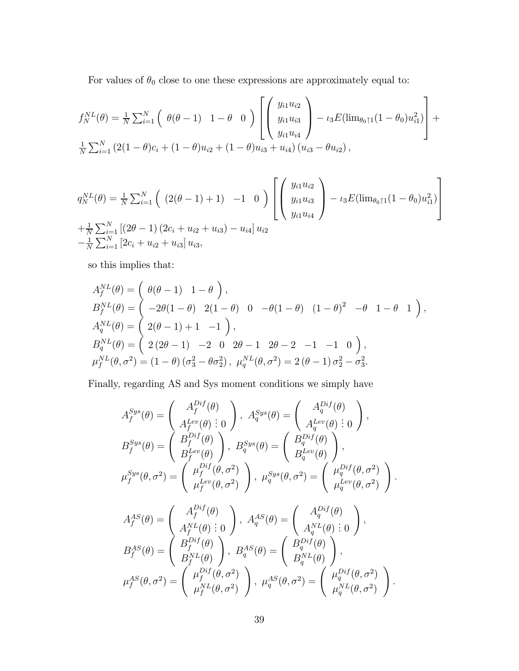For values of  $\theta_0$  close to one these expressions are approximately equal to:

$$
f_N^{NL}(\theta) = \frac{1}{N} \sum_{i=1}^N \left( \begin{array}{cc} \theta(\theta - 1) & 1 - \theta & 0 \end{array} \right) \left[ \begin{pmatrix} y_{i1} u_{i2} \\ y_{i1} u_{i3} \\ y_{i1} u_{i4} \end{pmatrix} - \iota_3 E(\lim_{\theta_0 \uparrow 1} (1 - \theta_0) u_{i1}^2) \right] + \frac{1}{N} \sum_{i=1}^N (2(1 - \theta)c_i + (1 - \theta)u_{i2} + (1 - \theta)u_{i3} + u_{i4}) (u_{i3} - \theta u_{i2}),
$$

$$
q_N^{NL}(\theta) = \frac{1}{N} \sum_{i=1}^N \left( (2(\theta - 1) + 1) -1 0 \right) \left[ \left( \begin{array}{c} y_{i1} u_{i2} \\ y_{i1} u_{i3} \\ y_{i1} u_{i4} \end{array} \right) - \iota_3 E(\lim_{\theta_0 \uparrow 1} (1 - \theta_0) u_{i1}^2) \right]
$$
  
+  $\frac{1}{N} \sum_{i=1}^N \left[ (2\theta - 1) (2c_i + u_{i2} + u_{i3}) - u_{i4} \right] u_{i2}$   
-  $\frac{1}{N} \sum_{i=1}^N \left[ 2c_i + u_{i2} + u_{i3} \right] u_{i3},$ 

so this implies that:

$$
A_f^{NL}(\theta) = \begin{pmatrix} \theta(\theta - 1) & 1 - \theta \\ -2\theta(1 - \theta) & 2(1 - \theta) & 0 \\ -\theta(1 - \theta) & 4\theta & 0 \end{pmatrix},
$$
  
\n
$$
B_f^{NL}(\theta) = \begin{pmatrix} 2(\theta - 1) + 1 & -1 \\ 2(2\theta - 1) & -2 & 0 \\ 2(2\theta - 1) & -2 & 0 \end{pmatrix},
$$
  
\n
$$
\mu_f^{NL}(\theta, \sigma^2) = (1 - \theta)(\sigma_3^2 - \theta \sigma_2^2), \mu_q^{NL}(\theta, \sigma^2) = 2(\theta - 1)\sigma_2^2 - \sigma_3^2.
$$

Finally, regarding AS and Sys moment conditions we simply have

$$
A_f^{Sys}(\theta) = \begin{pmatrix} A_f^{Dif}(\theta) \\ A_f^{Lev}(\theta) & 0 \end{pmatrix}, A_q^{Sys}(\theta) = \begin{pmatrix} A_q^{Dif}(\theta) \\ A_q^{Lev}(\theta) & 0 \end{pmatrix},
$$
  
\n
$$
B_f^{Sys}(\theta) = \begin{pmatrix} B_f^{Dif}(\theta) \\ B_f^{Lev}(\theta) \end{pmatrix}, B_q^{Sys}(\theta) = \begin{pmatrix} B_q^{Dif}(\theta) \\ B_q^{Lev}(\theta) \end{pmatrix},
$$
  
\n
$$
\mu_f^{Sys}(\theta, \sigma^2) = \begin{pmatrix} \mu_f^{Dif}(\theta, \sigma^2) \\ \mu_f^{Lev}(\theta, \sigma^2) \end{pmatrix}, \mu_q^{Sys}(\theta, \sigma^2) = \begin{pmatrix} \mu_q^{Dif}(\theta, \sigma^2) \\ \mu_q^{Lev}(\theta, \sigma^2) \end{pmatrix}.
$$
  
\n
$$
A_f^{AS}(\theta) = \begin{pmatrix} A_f^{Dif}(\theta) \\ A_f^{NL}(\theta) & 0 \end{pmatrix}, A_q^{AS}(\theta) = \begin{pmatrix} A_q^{Dif}(\theta) \\ A_q^{NL}(\theta) & 0 \end{pmatrix},
$$
  
\n
$$
B_f^{AS}(\theta) = \begin{pmatrix} B_f^{Dif}(\theta) \\ B_f^{NL}(\theta) \end{pmatrix}, B_q^{AS}(\theta) = \begin{pmatrix} B_q^{Dif}(\theta) \\ B_q^{NL}(\theta) \end{pmatrix},
$$
  
\n
$$
\mu_f^{AS}(\theta, \sigma^2) = \begin{pmatrix} \mu_f^{Dif}(\theta, \sigma^2) \\ \mu_f^{NL}(\theta, \sigma^2) \end{pmatrix}, \mu_q^{AS}(\theta, \sigma^2) = \begin{pmatrix} \mu_q^{Dif}(\theta, \sigma^2) \\ \mu_q^{NL}(\theta, \sigma^2) \end{pmatrix}.
$$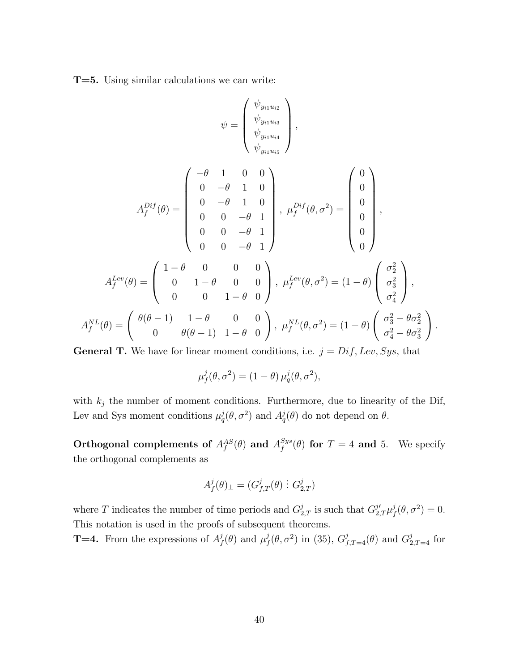T=5. Using similar calculations we can write:

$$
\psi = \begin{pmatrix} \psi_{y_{i1}u_{i2}} \\ \psi_{y_{i1}u_{i3}} \\ \psi_{y_{i1}u_{i4}} \\ \psi_{y_{i1}u_{i5}} \end{pmatrix},
$$

$$
A_f^{Dif}(\theta) = \begin{pmatrix} -\theta & 1 & 0 & 0 \\ 0 & -\theta & 1 & 0 \\ 0 & 0 & -\theta & 1 \\ 0 & 0 & -\theta & 1 \\ 0 & 0 & -\theta & 1 \end{pmatrix}, \mu_f^{Dif}(\theta, \sigma^2) = \begin{pmatrix} 0 \\ 0 \\ 0 \\ 0 \\ 0 \end{pmatrix},
$$

$$
A_f^{Lev}(\theta) = \begin{pmatrix} 1-\theta & 0 & 0 & 0 \\ 0 & 1-\theta & 0 & 0 \\ 0 & 0 & 1-\theta & 0 \end{pmatrix}, \mu_f^{Lev}(\theta, \sigma^2) = (1-\theta) \begin{pmatrix} \sigma_2^2 \\ \sigma_3^2 \\ \sigma_4^2 \end{pmatrix},
$$

$$
A_f^{NL}(\theta) = \begin{pmatrix} \theta(\theta-1) & 1-\theta & 0 & 0 \\ 0 & \theta(\theta-1) & 1-\theta & 0 \end{pmatrix}, \mu_f^{NL}(\theta, \sigma^2) = (1-\theta) \begin{pmatrix} \sigma_3^2 - \theta \sigma_2^2 \\ \sigma_4^2 - \theta \sigma_3^2 \end{pmatrix}.
$$

**General T.** We have for linear moment conditions, i.e.  $j = Diff, Lev, Sys, that$ 

$$
\mu_f^j(\theta, \sigma^2) = (1 - \theta) \mu_q^j(\theta, \sigma^2),
$$

with  $k_j$  the number of moment conditions. Furthermore, due to linearity of the Dif, Lev and Sys moment conditions  $\mu_q^j(\theta, \sigma^2)$  and  $A_q^j(\theta)$  do not depend on  $\theta$ .

Orthogonal complements of  $A_f^{AS}(\theta)$  and  $A_f^{Sys}(\theta)$  for  $T = 4$  and 5. We specify the orthogonal complements as

$$
A_f^j(\theta)_\perp=(G_{f,T}^j(\theta)\ \vdots\ G_{2,T}^j)
$$

where T indicates the number of time periods and  $G_{2,T}^j$  is such that  $G_{2,T}^{j'}\mu_f^j(\theta, \sigma^2) = 0$ . This notation is used in the proofs of subsequent theorems.

**T=4.** From the expressions of  $A_f^j(\theta)$  and  $\mu_f^j(\theta, \sigma^2)$  in (35),  $G_{f,T=4}^j(\theta)$  and  $G_{2,T=4}^j$  for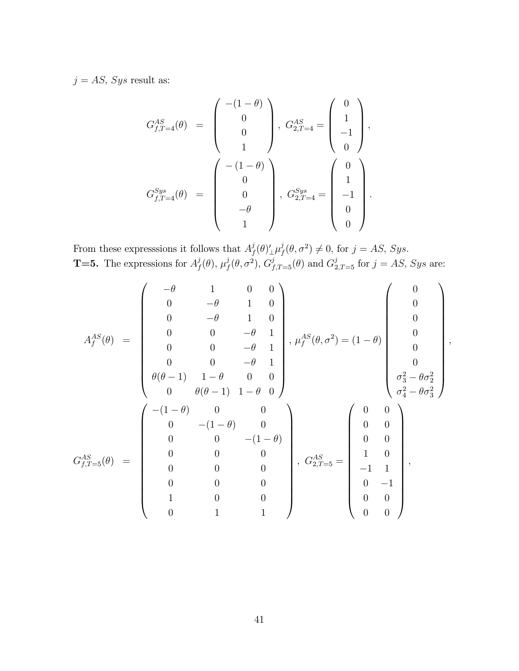$j = AS$ , Sys result as:

$$
G_{f,T=4}^{AS}(\theta) = \begin{pmatrix} -(1-\theta) \\ 0 \\ 0 \\ 1 \end{pmatrix}, G_{2,T=4}^{AS} = \begin{pmatrix} 0 \\ 1 \\ -1 \\ 0 \end{pmatrix},
$$
  

$$
G_{f,T=4}^{Sys}(\theta) = \begin{pmatrix} -(1-\theta) \\ 0 \\ 0 \\ -\theta \\ 1 \end{pmatrix}, G_{2,T=4}^{Sys} = \begin{pmatrix} 0 \\ 1 \\ -1 \\ 0 \\ 0 \end{pmatrix}.
$$

From these expresssions it follows that  $A_f^j(\theta)'_\perp \mu_f^j(\theta, \sigma^2) \neq 0$ , for  $j = AS$ , Sys. **T=5.** The expressions for  $A_f^j(\theta)$ ,  $\mu_f^j(\theta, \sigma^2)$ ,  $G_{f,T=5}^j(\theta)$  and  $G_{2,T=5}^j$  for  $j = AS$ , Sys are:

$$
A_f^{AS}(\theta) = \begin{pmatrix} -\theta & 1 & 0 & 0 \\ 0 & -\theta & 1 & 0 \\ 0 & 0 & -\theta & 1 \\ 0 & 0 & -\theta & 1 \\ 0 & 0 & -\theta & 1 \\ 0 & 0 & -\theta & 1 \\ 0 & 0 & -\theta & 1 \\ \theta(\theta-1) & 1-\theta & 0 & 0 \\ 0 & \theta(\theta-1) & 1-\theta & 0 \end{pmatrix}, \mu_f^{AS}(\theta, \sigma^2) = (1-\theta) \begin{pmatrix} 0 \\ 0 \\ 0 \\ 0 \\ 0 \\ \sigma_3^2 - \theta \sigma_2^2 \\ \sigma_4^2 - \theta \sigma_3^2 \end{pmatrix},
$$

$$
G_{f,T=5}^{AS}(\theta) = \begin{pmatrix} -(1-\theta) & 0 & 0 \\ 0 & 0 & -(1-\theta) \\ 0 & 0 & 0 \\ 0 & 0 & 0 \\ 0 & 0 & 0 \\ 0 & 0 & 0 \\ 0 & 0 & 1 \end{pmatrix}, \ G_{2,T=5}^{AS} = \begin{pmatrix} 0 & 0 \\ 0 & 0 \\ 0 & 0 \\ 1 & 0 \\ -1 & 1 \\ 0 & -1 \\ 0 & 0 \\ 0 & 0 \\ 0 & 0 \\ 0 & 0 \\ 0 & 0 \\ 0 & 0 \\ 0 & 0 \\ 0 & 0 \\ 0 & 0 \\ 0 & 0 \\ 0 & 0 \\ 0 & 0 \\ 0 & 0 \\ 0 & 0 \\ 0 & 0 \\ 0 & 0 \\ 0 & 0 \\ 0 & 0 \\ 0 & 0 \\ 0 & 0 \\ 0 & 0 \\ 0 & 0 \\ 0 & 0 \\ 0 & 0 \\ 0 & 0 \\ 0 & 0 \\ 0 & 0 \\ 0 & 0 \\ 0 & 0 \\ 0 & 0 \\ 0 & 0 \\ 0 & 0 \\ 0 & 0 \\ 0 & 0 \\ 0 & 0 \\ 0 & 0 \\ 0 & 0 \\ 0 & 0 \\ 0 & 0 \\ 0 & 0 \\ 0 & 0 \\ 0 & 0 \\ 0 & 0 \\ 0 & 0 \\ 0 & 0 \\ 0 & 0 \\ 0 & 0 \\ 0 & 0 \\ 0 & 0 \\ 0 & 0 \\ 0 & 0 \\ 0 & 0 \\ 0 & 0 \\ 0 & 0 \\ 0 & 0 \\ 0 & 0 \\ 0 & 0 \\ 0 & 0 \\ 0 & 0 \\ 0 & 0 \\ 0 & 0 \\ 0 & 0 \\ 0 &
$$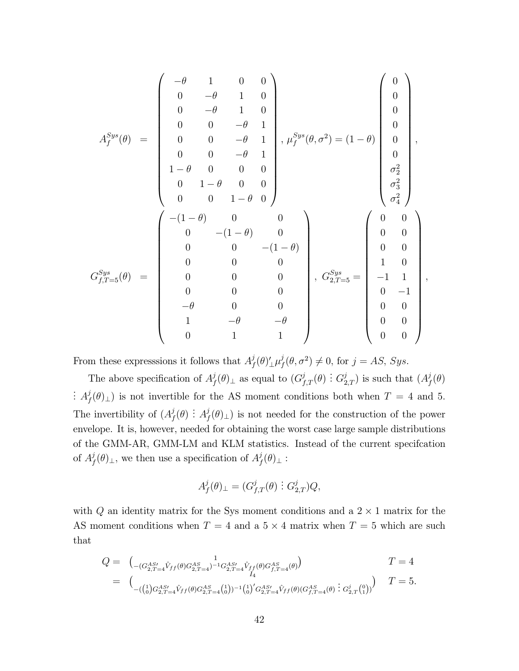$$
A_f^{Sys}(\theta) = \begin{pmatrix} -\theta & 1 & 0 & 0 \\ 0 & -\theta & 1 & 0 \\ 0 & 0 & -\theta & 1 \\ 0 & 0 & -\theta & 1 \\ 0 & 0 & -\theta & 1 \\ 0 & 0 & -\theta & 1 \\ 1 - \theta & 0 & 0 & 0 \\ 0 & 1 - \theta & 0 & 0 \\ 0 & 0 & 1 - \theta & 0 \end{pmatrix}, \mu_f^{Sys}(\theta, \sigma^2) = (1 - \theta) \begin{pmatrix} 0 \\ 0 \\ 0 \\ 0 \\ 0 \\ \sigma_2^2 \\ \sigma_3^2 \\ \sigma_4^2 \\ \sigma_4^2 \end{pmatrix},
$$
  

$$
G_{f,T=5}^{Sys}(\theta) = \begin{pmatrix} -(1 - \theta) & 0 & 0 \\ 0 & 0 & -(1 - \theta) & 0 \\ 0 & 0 & -(1 - \theta) & 0 \\ 0 & 0 & 0 & 0 \\ 0 & 0 & 0 & 0 \\ 0 & 0 & 0 & 0 \\ -\theta & 0 & 0 & 0 \\ 1 & -\theta & -\theta & -\theta \\ 0 & 1 & 1 \end{pmatrix}, G_{2,T=5}^{Sys} = \begin{pmatrix} 0 & 0 \\ 0 & 0 \\ 0 & 0 \\ 1 & 0 \\ 0 & -1 \\ 0 & 0 \\ 0 & 0 \\ 0 & 0 \\ 0 & 0 \\ 0 & 0 \\ 0 & 0 \\ 0 & 0 \end{pmatrix},
$$

From these expresssions it follows that  $A_f^j(\theta)'_\perp \mu_f^j(\theta, \sigma^2) \neq 0$ , for  $j = AS$ , Sys.

The above specification of  $A_f^j(\theta)$ <sub>⊥</sub> as equal to  $(G_{f,T}^j(\theta) : G_{2,T}^j)$  is such that  $(A_f^j(\theta)$ :  $A_f^j(\theta)$ <sub>⊥</sub>) is not invertible for the AS moment conditions both when  $T = 4$  and 5. The invertibility of  $(A_f^j(\theta) : A_f^j(\theta)_{\perp})$  is not needed for the construction of the power envelope. It is, however, needed for obtaining the worst case large sample distributions of the GMM-AR, GMM-LM and KLM statistics. Instead of the current specifcation of  $A_f^j(\theta)_\perp$ , we then use a specification of  $A_f^j(\theta)_\perp$ :

$$
A_f^j(\theta)_{\perp} = (G_{f,T}^j(\theta) \, \vdots \, G_{2,T}^j) Q,
$$

with  $Q$  an identity matrix for the Sys moment conditions and a  $2 \times 1$  matrix for the AS moment conditions when  $T = 4$  and a  $5 \times 4$  matrix when  $T = 5$  which are such that

$$
Q = \begin{pmatrix} 1 & 1 \ - (G_{2,T=4}^{AS'} \hat{V}_{ff}(\theta) G_{2,T=4}^{AS})^{-1} G_{2,T=4}^{AS'} \hat{V}_{ff}(\theta) G_{f,T=4}^{AS}(\theta) \end{pmatrix} \qquad T = 4
$$
  
\n
$$
= \begin{pmatrix} 1 & 0 \ -((1)^{1/2} G_{2,T=4}^{AS'} \hat{V}_{ff}(\theta) G_{2,T=4}^{AS} (1))^{-1} (\frac{1}{0})^{1/2} G_{2,T=4}^{AS'} \hat{V}_{ff}(\theta) (G_{f,T=4}^{AS}(\theta) : G_{2,T}^{j}(\theta)) \end{pmatrix} \qquad T = 5.
$$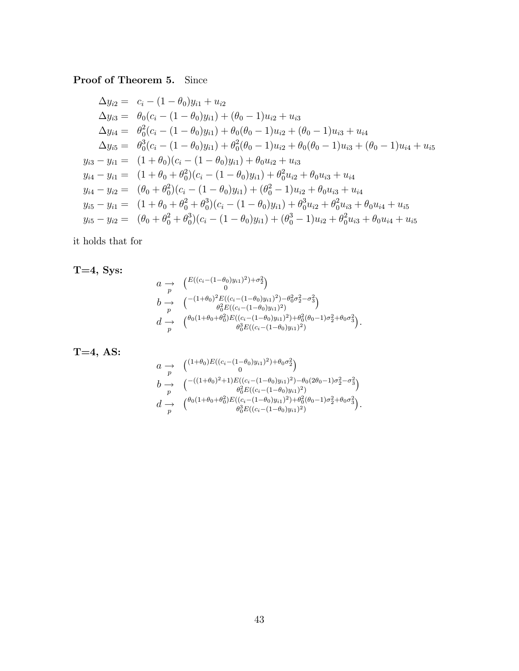#### Proof of Theorem 5. Since

$$
\Delta y_{i2} = c_i - (1 - \theta_0)y_{i1} + u_{i2}
$$
  
\n
$$
\Delta y_{i3} = \theta_0(c_i - (1 - \theta_0)y_{i1}) + (\theta_0 - 1)u_{i2} + u_{i3}
$$
  
\n
$$
\Delta y_{i4} = \theta_0^2(c_i - (1 - \theta_0)y_{i1}) + \theta_0(\theta_0 - 1)u_{i2} + (\theta_0 - 1)u_{i3} + u_{i4}
$$
  
\n
$$
\Delta y_{i5} = \theta_0^3(c_i - (1 - \theta_0)y_{i1}) + \theta_0^2(\theta_0 - 1)u_{i2} + \theta_0(\theta_0 - 1)u_{i3} + (\theta_0 - 1)u_{i4} + u_{i5}
$$
  
\n
$$
y_{i3} - y_{i1} = (1 + \theta_0)(c_i - (1 - \theta_0)y_{i1}) + \theta_0u_{i2} + u_{i3}
$$
  
\n
$$
y_{i4} - y_{i1} = (1 + \theta_0 + \theta_0^2)(c_i - (1 - \theta_0)y_{i1}) + \theta_0^2u_{i2} + \theta_0u_{i3} + u_{i4}
$$
  
\n
$$
y_{i4} - y_{i2} = (\theta_0 + \theta_0^2)(c_i - (1 - \theta_0)y_{i1}) + (\theta_0^2 - 1)u_{i2} + \theta_0u_{i3} + u_{i4}
$$
  
\n
$$
y_{i5} - y_{i1} = (1 + \theta_0 + \theta_0^2 + \theta_0^3)(c_i - (1 - \theta_0)y_{i1}) + \theta_0^3u_{i2} + \theta_0^2u_{i3} + \theta_0u_{i4} + u_{i5}
$$
  
\n
$$
y_{i5} - y_{i2} = (\theta_0 + \theta_0^2 + \theta_0^3)(c_i - (1 - \theta_0)y_{i1}) + (\theta_0^3 - 1)u_{i2} + \theta_0^2u_{i3} + \theta_0u_{i4} + u_{i5}
$$

it holds that for

 $T=4$ , Sys:

$$
a \rightarrow \begin{pmatrix} E((c_i - (1 - \theta_0)y_{i1})^2) + \sigma_2^2 \\ 0 \\ b \rightarrow (1 + \theta_0)^2 E((c_i - (1 - \theta_0)y_{i1})^2) - \theta_0^2 \sigma_2^2 - \sigma_3^2) \\ \theta_0^2 E((c_i - (1 - \theta_0)y_{i1})^2) \\ d \rightarrow (1 + \theta_0 + \theta_0^2) E((c_i - (1 - \theta_0)y_{i1})^2) + \theta_0^2 (\theta_0 - 1) \sigma_2^2 + \theta_0 \sigma_3^2) \\ \theta_0^3 E((c_i - (1 - \theta_0)y_{i1})^2) \end{pmatrix}.
$$

$$
T=4, AS:
$$

$$
a \rightarrow \begin{pmatrix} (1+\theta_0)E((c_i-(1-\theta_0)y_{i1})^2)+\theta_0\sigma_2^2) \\ 0 \\ b \rightarrow \begin{pmatrix} -((1+\theta_0)^2+1)E((c_i-(1-\theta_0)y_{i1})^2)-\theta_0(2\theta_0-1)\sigma_2^2-\sigma_3^2) \\ \theta_0^2E((c_i-(1-\theta_0)y_{i1})^2) \\ d \rightarrow \begin{pmatrix} \theta_0(1+\theta_0+\theta_0^2)E((c_i-(1-\theta_0)y_{i1})^2)+\theta_0^2(\theta_0-1)\sigma_2^2+\theta_0\sigma_3^2) \\ \theta_0^3E((c_i-(1-\theta_0)y_{i1})^2) \end{pmatrix}. \end{pmatrix}
$$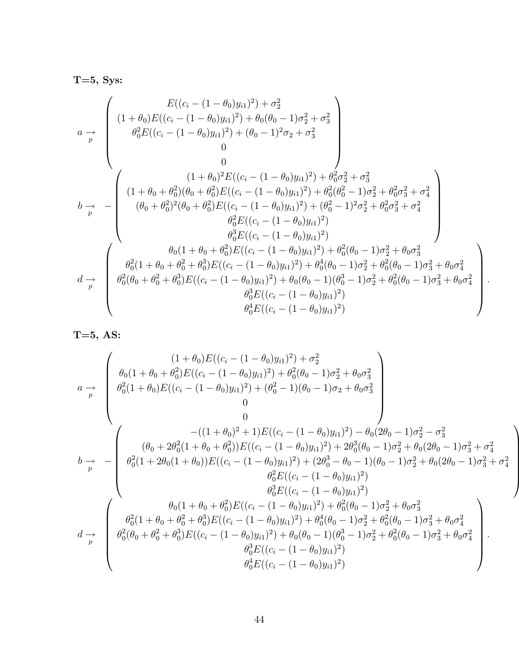$T=5$ , Sys:

$$
a \rightarrow \begin{pmatrix}\nE((c_i - (1 - \theta_0)y_{i1})^2) + \sigma_2^2 \\
(1 + \theta_0)E((c_i - (1 - \theta_0)y_{i1})^2) + \theta_0(\theta_0 - 1)\sigma_2^2 + \sigma_3^2 \\
\theta_0^2 E((c_i - (1 - \theta_0)y_{i1})^2) + (\theta_0 - 1)^2 \sigma_2 + \sigma_3^2 \\
0 \\
0 \\
0\n\end{pmatrix}
$$
\n
$$
b \rightarrow -\begin{pmatrix}\n(1 + \theta_0) + \theta_0^2)(\theta_0 + \theta_0^2)E((c_i - (1 - \theta_0)y_{i1})^2) + \theta_0^2 \sigma_2^2 + \sigma_3^2 \\
(1 + \theta_0 + \theta_0^2)(\theta_0 + \theta_0^2)E((c_i - (1 - \theta_0)y_{i1})^2) + \theta_0^2(\theta_0^2 - 1)\sigma_2^2 + \theta_0^2 \sigma_3^2 + \sigma_4^2 \\
(\theta_0 + \theta_0^2)^2(\theta_0 + \theta_0^2)E((c_i - (1 - \theta_0)y_{i1})^2) + (\theta_0^2 - 1)^2 \sigma_2^2 + \theta_0^2 \sigma_3^2 + \sigma_4^2 \\
\theta_0^2 E((c_i - (1 - \theta_0)y_{i1})^2) \\
\theta_0^3 E((c_i - (1 - \theta_0)y_{i1})^2) \\
\theta_0^3 E((c_i - (1 - \theta_0)y_{i1})^2) + \theta_0^4(\theta_0 - 1)\sigma_2^2 + \theta_0\sigma_3^2 \\
\theta_0^2(\theta_0 + \theta_0^2 + \theta_0^3)E((c_i - (1 - \theta_0)y_{i1})^2) + \theta_0^4(\theta_0 - 1)\sigma_2^2 + \theta_0^2(\theta_0 - 1)\sigma_3^2 + \theta_0\sigma_4^2 \\
\theta_0^2(\theta_0 + \theta_0^2 + \theta_0^3)E((c_i - (1 - \theta_0)y_{i1})^2) + \theta_0(\theta_0 - 1)(\theta_0^3 - 1)\sigma_2^2 + \theta_0^2(\theta_0 - 1)\sigma_3^2 + \theta_0\sigma_4^2 \\
\theta_0^4 E((c_i - (1 - \theta_0)y_{i1})^2) \\
\theta_
$$

.

T=5, AS:

$$
a \rightarrow \begin{pmatrix}\n(1+\theta_{0})E((c_{i}-(1-\theta_{0})y_{i1})^{2}) + \sigma_{2}^{2} \\
\theta_{0}(1+\theta_{0}+\theta_{0}^{2})E((c_{i}-(1-\theta_{0})y_{i1})^{2}) + \theta_{0}^{2}(\theta_{0}-1)\sigma_{2}^{2}+\theta_{0}\sigma_{3}^{2} \\
\theta_{0}^{2}(1+\theta_{0})E((c_{i}-(1-\theta_{0})y_{i1})^{2}) + (\theta_{0}^{2}-1)(\theta_{0}-1)\sigma_{2}+\theta_{0}\sigma_{3}^{2} \\
0 \\
0\n\end{pmatrix}
$$
\n
$$
b \rightarrow -\begin{pmatrix}\n-(1+\theta_{0})^{2} + 1)E((c_{i}-(1-\theta_{0})y_{i1})^{2}) - \theta_{0}(2\theta_{0}-1)\sigma_{2}^{2} - \sigma_{3}^{2} \\
(\theta_{0}+2\theta_{0}^{2}(1+\theta_{0}+\theta_{0}^{2}))E((c_{i}-(1-\theta_{0})y_{i1})^{2}) + 2\theta_{0}^{3}(\theta_{0}-1)\sigma_{2}^{2} + \theta_{0}(2\theta_{0}-1)\sigma_{3}^{2} + \sigma_{4}^{2} \\
\theta_{0}^{2}(1+2\theta_{0}(1+\theta_{0}))E((c_{i}-(1-\theta_{0})y_{i1})^{2}) + (2\theta_{0}^{3}-\theta_{0}-1)(\theta_{0}-1)\sigma_{2}^{2} + \theta_{0}(2\theta_{0}-1)\sigma_{3}^{2} + \sigma_{4}^{2} \\
\theta_{0}^{2}E((c_{i}-(1-\theta_{0})y_{i1})^{2}) \\
\theta_{0}^{3}E((c_{i}-(1-\theta_{0})y_{i1})^{2}) \\
\theta_{0}^{3}E((c_{i}-(1-\theta_{0})y_{i1})^{2}) + \theta_{0}^{2}(\theta_{0}-1)\sigma_{2}^{2} + \theta_{0}\sigma_{3}^{2} \\
\theta_{0}^{2}(1+\theta_{0}+\theta_{0}^{2}+\theta_{0}^{3})E((c_{i}-(1-\theta_{0})y_{i1})^{2}) + \theta_{0}^{4}(\theta_{0}-1)\sigma_{2}^{2} + \theta_{0}^{2}(\theta_{0}-1)\sigma_{3}^{2} + \theta_{0}\sigma_{4}^{2} \\
\theta_{0}^{2}(\theta_{0}+\theta_{0}^{2
$$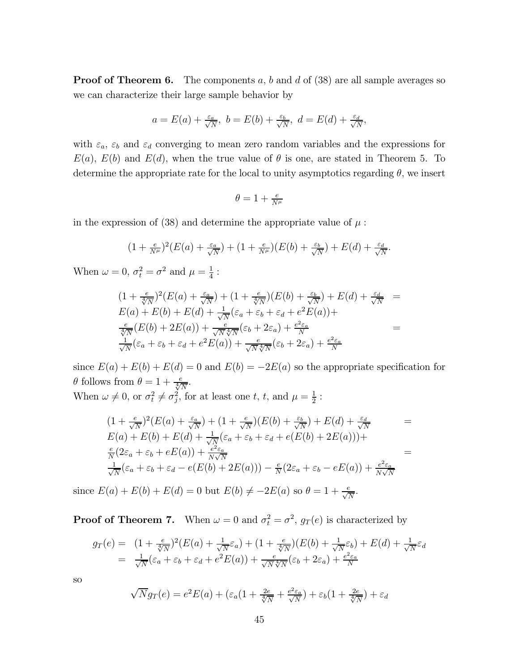**Proof of Theorem 6.** The components  $a, b$  and  $d$  of (38) are all sample averages so we can characterize their large sample behavior by

$$
a = E(a) + \frac{\varepsilon_a}{\sqrt{N}}, b = E(b) + \frac{\varepsilon_b}{\sqrt{N}}, d = E(d) + \frac{\varepsilon_d}{\sqrt{N}},
$$

with  $\varepsilon_a$ ,  $\varepsilon_b$  and  $\varepsilon_d$  converging to mean zero random variables and the expressions for  $E(a)$ ,  $E(b)$  and  $E(d)$ , when the true value of  $\theta$  is one, are stated in Theorem 5. To determine the appropriate rate for the local to unity asymptotics regarding  $\theta$ , we insert

$$
\theta = 1 + \frac{e}{N^{\mu}}
$$

in the expression of (38) and determine the appropriate value of  $\mu$ :

$$
(1+\tfrac{e}{N^{\mu}})^2(E(a)+\tfrac{\varepsilon_a}{\sqrt{N}})+(1+\tfrac{e}{N^{\mu}})(E(b)+\tfrac{\varepsilon_b}{\sqrt{N}})+E(d)+\tfrac{\varepsilon_d}{\sqrt{N}}.
$$

When  $\omega = 0$ ,  $\sigma_t^2 = \sigma^2$  and  $\mu = \frac{1}{4}$ :

$$
(1 + \frac{e}{\sqrt[4]{N}})^2 (E(a) + \frac{\varepsilon_a}{\sqrt{N}}) + (1 + \frac{e}{\sqrt[4]{N}})(E(b) + \frac{\varepsilon_b}{\sqrt{N}}) + E(d) + \frac{\varepsilon_d}{\sqrt{N}} =
$$
  
\n
$$
E(a) + E(b) + E(d) + \frac{1}{\sqrt{N}} (\varepsilon_a + \varepsilon_b + \varepsilon_d + e^2 E(a)) +
$$
  
\n
$$
\frac{e}{\sqrt[4]{N}} (E(b) + 2E(a)) + \frac{e}{\sqrt{N} \sqrt[4]{N}} (\varepsilon_b + 2\varepsilon_a) + \frac{e^2 \varepsilon_a}{N} =
$$
  
\n
$$
\frac{1}{\sqrt{N}} (\varepsilon_a + \varepsilon_b + \varepsilon_d + e^2 E(a)) + \frac{e}{\sqrt{N} \sqrt[4]{N}} (\varepsilon_b + 2\varepsilon_a) + \frac{e^2 \varepsilon_a}{N}
$$

since  $E(a) + E(b) + E(d) = 0$  and  $E(b) = -2E(a)$  so the appropriate specification for  $\theta$  follows from  $\theta = 1 + \frac{e}{\sqrt[4]{N}}$ .

When 
$$
\omega \neq 0
$$
, or  $\sigma_t^2 \neq \sigma_j^2$ , for at least one  $t$ ,  $t$ , and  $\mu = \frac{1}{2}$ :

$$
(1 + \frac{e}{\sqrt{N}})^2 (E(a) + \frac{\varepsilon_a}{\sqrt{N}}) + (1 + \frac{e}{\sqrt{N}})(E(b) + \frac{\varepsilon_b}{\sqrt{N}}) + E(d) + \frac{\varepsilon_d}{\sqrt{N}} =
$$
  
\n
$$
E(a) + E(b) + E(d) + \frac{1}{\sqrt{N}} (\varepsilon_a + \varepsilon_b + \varepsilon_d + e(E(b) + 2E(a))) +
$$
  
\n
$$
\frac{e}{N} (2\varepsilon_a + \varepsilon_b + eE(a)) + \frac{e^2 \varepsilon_a}{N\sqrt{N}} =
$$
  
\n
$$
\frac{1}{\sqrt{N}} (\varepsilon_a + \varepsilon_b + \varepsilon_d - e(E(b) + 2E(a))) - \frac{e}{N} (2\varepsilon_a + \varepsilon_b - eE(a)) + \frac{e^2 \varepsilon_a}{N\sqrt{N}}
$$

since  $E(a) + E(b) + E(d) = 0$  but  $E(b) \neq -2E(a)$  so  $\theta = 1 + \frac{e}{\sqrt{N}}$ .

**Proof of Theorem 7.** When  $\omega = 0$  and  $\sigma_t^2 = \sigma^2$ ,  $g_T(e)$  is characterized by

$$
g_T(e) = (1 + \frac{e}{\sqrt[4]{N}})^2 (E(a) + \frac{1}{\sqrt{N}} \varepsilon_a) + (1 + \frac{e}{\sqrt[4]{N}}) (E(b) + \frac{1}{\sqrt{N}} \varepsilon_b) + E(d) + \frac{1}{\sqrt{N}} \varepsilon_d
$$
  
= 
$$
\frac{1}{\sqrt{N}} (\varepsilon_a + \varepsilon_b + \varepsilon_d + e^2 E(a)) + \frac{e}{\sqrt{N} \sqrt[4]{N}} (\varepsilon_b + 2\varepsilon_a) + \frac{e^2 \varepsilon_a}{N}
$$

so

$$
\sqrt{N}g_T(e) = e^2E(a) + \left(\varepsilon_a(1 + \frac{2e}{\sqrt[4]{N}} + \frac{e^2\varepsilon_a}{\sqrt{N}}\right) + \varepsilon_b(1 + \frac{2e}{\sqrt[4]{N}}) + \varepsilon_d
$$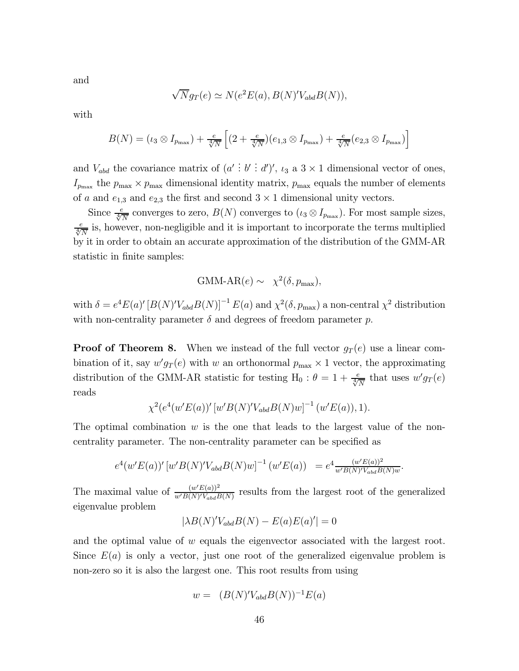and

$$
\sqrt{N}g_T(e) \simeq N(e^2E(a), B(N)'V_{abd}B(N)),
$$

with

$$
B(N) = (\iota_3 \otimes I_{p_{\max}}) + \frac{e}{\sqrt[4]{N}} \left[ (2 + \frac{e}{\sqrt[4]{N}})(e_{1,3} \otimes I_{p_{\max}}) + \frac{e}{\sqrt[4]{N}}(e_{2,3} \otimes I_{p_{\max}}) \right]
$$

and  $V_{abd}$  the covariance matrix of  $(a' : b' : d')'$ ,  $\iota_3$  a  $3 \times 1$  dimensional vector of ones,  $I_{p_{\text{max}}}$  the  $p_{\text{max}} \times p_{\text{max}}$  dimensional identity matrix,  $p_{\text{max}}$  equals the number of elements of a and  $e_{1,3}$  and  $e_{2,3}$  the first and second  $3 \times 1$  dimensional unity vectors.

Since  $\frac{e}{\sqrt[4]{N}}$  converges to zero,  $B(N)$  converges to  $(\iota_3 \otimes I_{p_{\text{max}}})$ . For most sample sizes,  $\frac{e}{\sqrt[4]{N}}$  is, however, non-negligible and it is important to incorporate the terms multiplied by it in order to obtain an accurate approximation of the distribution of the GMM-AR statistic in finite samples:

$$
\text{GMM-AR}(e) \sim \chi^2(\delta, p_{\text{max}}),
$$

with  $\delta = e^4 E(a)' [B(N)' V_{abd} B(N)]^{-1} E(a)$  and  $\chi^2(\delta, p_{max})$  a non-central  $\chi^2$  distribution with non-centrality parameter  $\delta$  and degrees of freedom parameter p.

**Proof of Theorem 8.** When we instead of the full vector  $g_T(e)$  use a linear combination of it, say  $w'g_T(e)$  with w an orthonormal  $p_{\text{max}} \times 1$  vector, the approximating distribution of the GMM-AR statistic for testing H<sub>0</sub> :  $\theta = 1 + \frac{e}{\sqrt[4]{N}}$  that uses  $w'g_T(e)$ reads

$$
\chi^2(e^4(w'E(a))'[w'B(N)'V_{abd}B(N)w]^{-1}(w'E(a)), 1).
$$

The optimal combination  $w$  is the one that leads to the largest value of the noncentrality parameter. The non-centrality parameter can be specified as

$$
e^4(w'E(a))'\left[w'B(N)'V_{abd}B(N)w\right]^{-1}\left(w'E(a)\right) = e^4 \frac{(w'E(a))^2}{w'B(N)'V_{abd}B(N)w}.
$$

The maximal value of  $\frac{(w'E(a))^2}{w'B(N)'V_{abd}B(N)}$  results from the largest root of the generalized eigenvalue problem

$$
|\lambda B(N)'V_{abd}B(N) - E(a)E(a)'| = 0
$$

and the optimal value of  $w$  equals the eigenvector associated with the largest root. Since  $E(a)$  is only a vector, just one root of the generalized eigenvalue problem is non-zero so it is also the largest one. This root results from using

$$
w = (B(N)'V_{abd}B(N))^{-1}E(a)
$$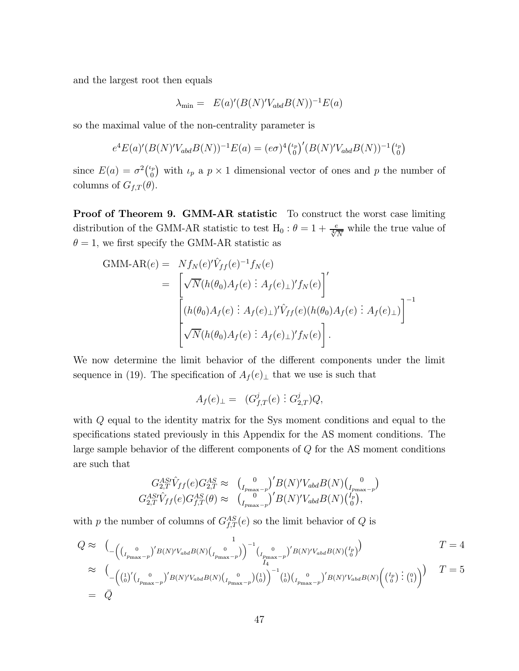and the largest root then equals

$$
\lambda_{\min} = E(a)'(B(N)'V_{abd}B(N))^{-1}E(a)
$$

so the maximal value of the non-centrality parameter is

$$
e^{4}E(a)'(B(N)'V_{abd}B(N))^{-1}E(a) = (e\sigma)^{4} \binom{\iota_p}{0}'(B(N)'V_{abd}B(N))^{-1} \binom{\iota_p}{0}
$$

since  $E(a) = \sigma^2 {\binom{\iota_p}{0}}$  with  $\iota_p$  a  $p \times 1$  dimensional vector of ones and p the number of columns of  $G_{f,T}(\theta)$ .

Proof of Theorem 9. GMM-AR statistic To construct the worst case limiting distribution of the GMM-AR statistic to test H<sub>0</sub> :  $\theta = 1 + \frac{e}{\sqrt[4]{N}}$  while the true value of  $\theta = 1$ , we first specify the GMM-AR statistic as

GMM-AR(e) = 
$$
Nf_N(e)'\hat{V}_{ff}(e)^{-1}f_N(e)
$$
  
\n= 
$$
\begin{bmatrix}\n\sqrt{N}(h(\theta_0)A_f(e) : A_f(e)_\perp)'f_N(e)\n\end{bmatrix}'
$$
\n
$$
\begin{bmatrix}\n(h(\theta_0)A_f(e) : A_f(e)_\perp)' \hat{V}_{ff}(e)(h(\theta_0)A_f(e) : A_f(e)_\perp)\n\end{bmatrix}^{-1}
$$
\n
$$
\sqrt{N}(h(\theta_0)A_f(e) : A_f(e)_\perp)'f_N(e)\n\end{bmatrix}.
$$

We now determine the limit behavior of the different components under the limit sequence in (19). The specification of  $A_f(e)_\perp$  that we use is such that

$$
A_f(e)_{\perp} = (G^j_{f,T}(e) : G^j_{2,T})Q,
$$

with Q equal to the identity matrix for the Sys moment conditions and equal to the specifications stated previously in this Appendix for the AS moment conditions. The large sample behavior of the different components of Q for the AS moment conditions are such that

$$
G_{2,T}^{AS\prime}\hat{V}_{ff}(e)G_{2,T}^{AS} \approx \left(\begin{smallmatrix} 0\\I_{p_{\max}-p} \end{smallmatrix}\right)'B(N)'V_{abd}B(N)\left(\begin{smallmatrix} 0\\I_{p_{\max}-p} \end{smallmatrix}\right)
$$
  

$$
G_{2,T}^{AS\prime}\hat{V}_{ff}(e)G_{f,T}^{AS}(\theta) \approx \left(\begin{smallmatrix} 0\\I_{p_{\max}-p} \end{smallmatrix}\right)'B(N)'V_{abd}B(N)\left(\begin{smallmatrix} I_p\\I_p \end{smallmatrix}\right),
$$

with p the number of columns of  $G_{f,T}^{AS}(e)$  so the limit behavior of Q is

$$
Q \approx (\big( \begin{matrix} 0 & 1 \ (I_{p_{\max}-p})' B(N)' V_{abd} B(N) \begin{matrix} 1 & 0 \ (I_{p_{\max}-p}) \end{matrix} \end{matrix})^{-1} \begin{matrix} 0 & 1 \ (I_{p_{\max}-p})' B(N)' V_{abd} B(N) \begin{matrix} I_p \end{matrix} \end{matrix})
$$
  
\n
$$
\approx (\big( \begin{matrix} 1 \ (0)' \begin{matrix} 0 & 0 \ (I_p)' (I_{p_{\max}-p})' B(N)' V_{abd} B(N) \begin{matrix} 0 & 0 \ (I_p) & 0 \end{matrix} \end{matrix})^{-1} \begin{matrix} 1 \ (0)' \begin{matrix} 0 & 0 \ (I_p) & 0 \end{matrix} \end{matrix})^{-1} B(N)' V_{abd} B(N) \begin{pmatrix} I_p \begin{matrix} 0 & 0 \ (I_p) & 0 \end{matrix} \end{pmatrix})^{-1}
$$
  
\n
$$
= \overline{Q}
$$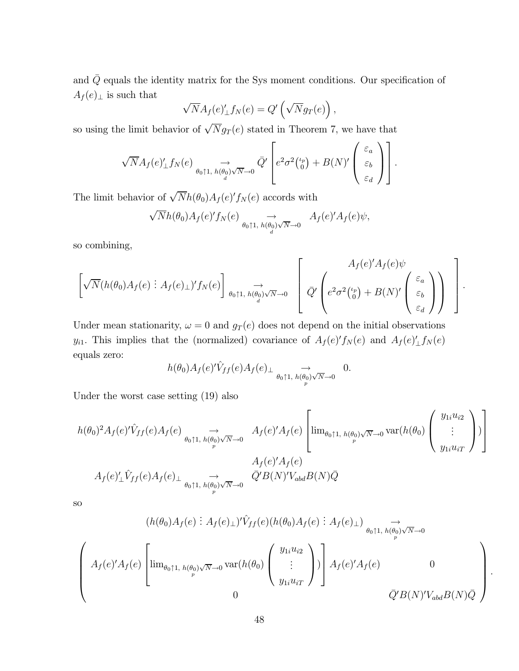and  $\overline{Q}$  equals the identity matrix for the Sys moment conditions. Our specification of  $A_f(e)_\perp$  is such that

$$
\sqrt{N}A_f(e)'_\perp f_N(e) = Q'\left(\sqrt{N}g_T(e)\right),\,
$$

so using the limit behavior of  $\sqrt{N}g_T(e)$  stated in Theorem 7, we have that

$$
\sqrt{N}A_f(e)'_{\perp}f_N(e) \underset{\theta_0 \uparrow 1, h(\theta_0) \sqrt{N}\to 0}{\to} \bar{Q}'\left[e^2\sigma^2\binom{\iota_p}{0} + B(N)'\begin{pmatrix} \varepsilon_a\\ \varepsilon_b\\ \varepsilon_d \end{pmatrix}\right].
$$

The limit behavior of  $\sqrt{N}h(\theta_0)A_f(e)'f_N(e)$  accords with

$$
\sqrt{N}h(\theta_0)A_f(e)'f_N(e) \underset{\theta_0 \uparrow 1, h(\theta_0) \sqrt{N}\to 0}{\to} A_f(e)'A_f(e)\psi,
$$

so combining,

$$
\left[\sqrt{N}(h(\theta_0)A_f(e):A_f(e)\perp)'f_N(e)\right]_{\theta_0\uparrow 1,\;h(\theta_0)\sqrt{N}\to 0}\left[\overline{Q'}\left(e^2\sigma^2\binom{\iota_p}{0}+B(N)'\begin{pmatrix}\varepsilon_a\\\varepsilon_b\\\varepsilon_d\end{pmatrix}\right)\right].
$$

Under mean stationarity,  $\omega = 0$  and  $g_T(e)$  does not depend on the initial observations  $y_{i1}$ . This implies that the (normalized) covariance of  $A_f(e)'f_N(e)$  and  $A_f(e)'\_f_N(e)$ equals zero:

$$
h(\theta_0)A_f(e)'\hat{V}_{ff}(e)A_f(e)_{\perp} \underset{\theta_0 \uparrow 1, h(\theta_0)\sqrt{N}\to 0}{\longrightarrow} 0.
$$

Under the worst case setting (19) also

$$
h(\theta_0)^2 A_f(e)' \hat{V}_{ff}(e) A_f(e) \underset{\theta_0 \uparrow 1, h(\theta_0) \sqrt{N} \to 0}{\longrightarrow} A_f(e)' A_f(e) \left[ \lim_{\theta_0 \uparrow 1, h(\theta_0) \sqrt{N} \to 0} \text{var}(h(\theta_0) \begin{pmatrix} y_{1i} u_{i2} \\ \vdots \\ y_{1i} u_{iT} \end{pmatrix}) \right]
$$

$$
A_f(e)' A_f(e)
$$

$$
A_f(e)' \hat{V}_{ff}(e) A_f(e) \underset{\theta_0 \uparrow 1, h(\theta_0) \sqrt{N} \to 0}{\longrightarrow} \overline{Q}' B(N)' V_{abd} B(N) \overline{Q}
$$

so

$$
(h(\theta_0)A_f(e) : A_f(e)\downarrow) \hat{V}_{ff}(e)(h(\theta_0)A_f(e) : A_f(e)\downarrow) \underset{\theta_0\uparrow 1, h(\theta_0)\sqrt{N}\to 0}{\longrightarrow} \newline \left(\begin{array}{c} A_f(e)'A_f(e) \left[\lim_{\theta_0\uparrow 1, h(\theta_0)\sqrt{N}\to 0} \text{var}(h(\theta_0) \left(\begin{array}{c} y_{1i}u_{i2} \\ \vdots \\ y_{1i}u_{iT} \end{array}\right) \right] A_f(e)'A_f(e) \right) \underset{\bar{Q}'B(N)'V_{abd}B(N)\bar{Q}}{\longrightarrow} \newline
$$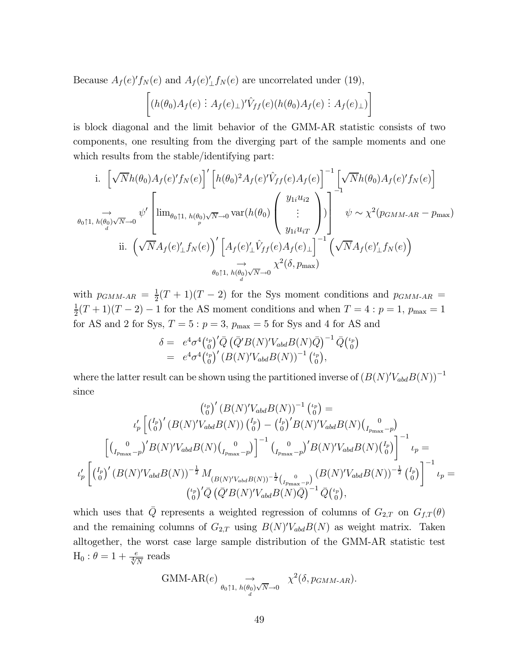Because  $A_f(e)' f_N(e)$  and  $A_f(e)'_L f_N(e)$  are uncorrelated under (19),

$$
\left[ (h(\theta_0)A_f(e) : A_f(e)_\perp)' \hat{V}_{ff}(e) (h(\theta_0)A_f(e) : A_f(e)_\perp) \right]
$$

is block diagonal and the limit behavior of the GMM-AR statistic consists of two components, one resulting from the diverging part of the sample moments and one which results from the stable/identifying part:

i. 
$$
\left[\sqrt{N}h(\theta_0)A_f(e)'f_N(e)\right]'\left[h(\theta_0)^2A_f(e)'\hat{V}_{ff}(e)A_f(e)\right]^{-1}\left[\sqrt{N}h(\theta_0)A_f(e)'f_N(e)\right]
$$
  
\n $\rightarrow \phi_0\uparrow 1, h(\theta_0)\sqrt{N}\rightarrow 0$   $\psi'\left[\lim_{\theta_0\uparrow 1, h(\theta_0)\sqrt{N}\rightarrow 0} \text{var}(h(\theta_0) \begin{pmatrix} y_{1i}u_{i2} \\ \vdots \\ y_{1i}u_{iT} \end{pmatrix})\right]^{-1} \psi \sim \chi^2(p_{GMM-AR} - p_{\text{max}})$   
\nii.  $\left(\sqrt{N}A_f(e)'\perp f_N(e)\right)' \left[A_f(e)'\perp \hat{V}_{ff}(e)A_f(e)\perp\right]^{-1} \left(\sqrt{N}A_f(e)'\perp f_N(e)\right)$   
\n $\rightarrow \phi_0\uparrow 1, h(\theta_0)\sqrt{N}\rightarrow 0$   $\chi^2(\delta, p_{\text{max}})$ 

with  $p_{GMM\text{-}AR} = \frac{1}{2}(T+1)(T-2)$  for the Sys moment conditions and  $p_{GMM\text{-}AR} =$  $\frac{1}{2}(T+1)(T-2)-1$  for the AS moment conditions and when  $T=4:p=1$ ,  $p_{\text{max}}=1$ for AS and 2 for Sys,  $T=5$  :  $p=3, \, p_{\rm max}=5$  for Sys and 4 for AS and

$$
\delta = e^4 \sigma^4 \binom{\iota_p}{0}^{\prime} \bar{Q} \left( \bar{Q}^{\prime} B(N)^{\prime} V_{abd} B(N) \bar{Q} \right)^{-1} \bar{Q} \binom{\iota_p}{0} \n= e^4 \sigma^4 \binom{\iota_p}{0}^{\prime} \left( B(N)^{\prime} V_{abd} B(N) \right)^{-1} \binom{\iota_p}{0},
$$

where the latter result can be shown using the partitioned inverse of  $(B(N)'V_{abd}B(N))^{-1}$ since

$$
\binom{\binom{\nu_p}{0}}{B(N)}^{V_{abd}B(N))^{-1}}\binom{\binom{\nu_p}{0}}{0} =
$$
\n
$$
\binom{\binom{\binom{p}{p}}{0}}{I_{p_{max}-p}}^{V_p} \left[ \binom{I_p}{0}^{V_p} (B(N)^{V_{abd}B(N))} \binom{I_p}{0} - \binom{I_p}{0}^{V_p} B(N)^{V_{abd}B(N)} \binom{I_{p_{max}-p}}{I_{p_{max}-p}} \right]^{-1} \binom{\binom{p}{p_{max}-p}}{I_{p_{max}-p}}^{V_p} \left[ \binom{\binom{p}{p}}{0}^{V_p} (B(N)^{V_{abd}B(N)})^{-\frac{1}{2}} M_{(B(N)^{V_{abd}B(N))^{-\frac{1}{2}} \binom{I_p}{I_{p_{max}-p}}}^{V_p} (B(N)^{V_{abd}B(N)})^{-\frac{1}{2}} \binom{I_p}{0}^{-1} \right]^{-1} \nu_p =
$$
\n
$$
\binom{\binom{\nu_p}{0}}{0}^{V_p} (\overline{Q} \left( \overline{Q}' B(N)^{V_{abd}B(N)})^{-\frac{1}{2}} \left( \frac{\binom{p}{p}}{0} \right)^{-1} \overline{Q} \binom{\binom{\nu_p}{p}}{0},
$$

which uses that  $\overline{Q}$  represents a weighted regression of columns of  $G_{2,T}$  on  $G_{f,T}(\theta)$ and the remaining columns of  $G_{2,T}$  using  $B(N)'V_{abd}B(N)$  as weight matrix. Taken alltogether, the worst case large sample distribution of the GMM-AR statistic test  $H_0$ :  $\theta = 1 + \frac{e}{\sqrt[4]{N}}$  reads

GMM-AR(e) 
$$
\underset{\theta_0 \uparrow 1, h(\theta_0) \sqrt{N}\to 0}{\longrightarrow} \chi^2(\delta, p_{GMM-AR}).
$$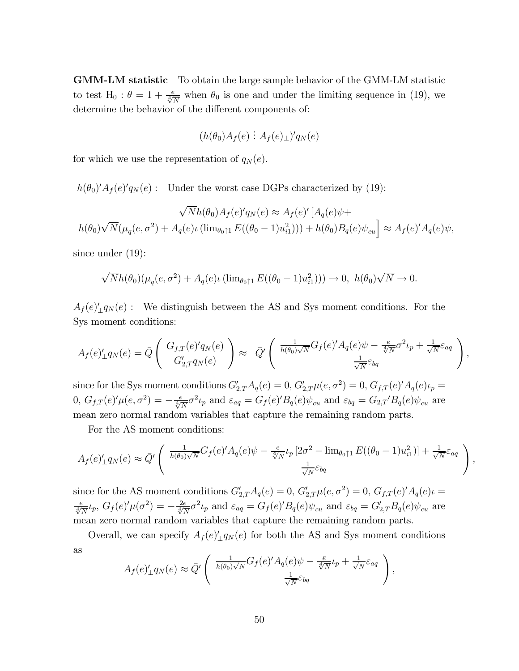GMM-LM statistic To obtain the large sample behavior of the GMM-LM statistic to test H<sub>0</sub> :  $\theta = 1 + \frac{e}{\sqrt[4]{N}}$  when  $\theta_0$  is one and under the limiting sequence in (19), we determine the behavior of the different components of:

$$
(h(\theta_0)A_f(e):A_f(e)_\perp)'q_N(e)
$$

for which we use the representation of  $q_N(e)$ .

 $h(\theta_0)'A_f(e)'q_N(e)$ : Under the worst case DGPs characterized by (19):

$$
\sqrt{N}h(\theta_0)A_f(e)q_N(e) \approx A_f(e)'[A_q(e)\psi +
$$
  

$$
h(\theta_0)\sqrt{N}(\mu_q(e,\sigma^2) + A_q(e)\iota(\lim_{\theta_0 \uparrow 1} E((\theta_0 - 1)u_{i1}^2))) + h(\theta_0)B_q(e)\psi_{cu}] \approx A_f(e)'A_q(e)\psi,
$$

since under (19):

$$
\sqrt{N}h(\theta_0)(\mu_q(e,\sigma^2)+A_q(e)\iota(\lim_{\theta_0\uparrow 1}E((\theta_0-1)u_{i1}^2)))\to 0, h(\theta_0)\sqrt{N}\to 0.
$$

 $A_f(e) \perp q_N(e)$  : We distinguish between the AS and Sys moment conditions. For the Sys moment conditions:

$$
A_f(e)'_{\perp}q_N(e) = \bar{Q}\left(\begin{array}{c}G_{f,T}(e)'q_N(e)\\G'_{2,T}q_N(e)\end{array}\right) \approx \bar{Q}'\left(\begin{array}{c}\frac{1}{h(\theta_0)\sqrt{N}}G_f(e)'A_q(e)\psi - \frac{e}{\sqrt[4]{N}}\sigma^2\iota_p + \frac{1}{\sqrt{N}}\varepsilon_{aq}\\ \frac{1}{\sqrt{N}}\varepsilon_{bq}\end{array}\right),
$$

since for the Sys moment conditions  $G'_{2,T}A_q(e) = 0$ ,  $G'_{2,T}\mu(e,\sigma^2) = 0$ ,  $G_{f,T}(e)'A_q(e)\iota_p =$  $(0, G_{f,T}(e)'\mu(e, \sigma^2) = -\frac{e}{\sqrt[4]{N}}\sigma^2\iota_p$  and  $\varepsilon_{aq} = G_f(e)'B_q(e)\psi_{cu}$  and  $\varepsilon_{bq} = G_{2,T'}B_q(e)\psi_{cu}$  are mean zero normal random variables that capture the remaining random parts.

For the AS moment conditions:

$$
A_f(e)'_{\perp}q_N(e) \approx \bar{Q}' \left( \frac{\frac{1}{h(\theta_0)\sqrt{N}}G_f(e)'A_q(e)\psi - \frac{e}{\sqrt[4]{N}}\iota_p \left[2\sigma^2 - \lim_{\theta_0 \uparrow 1} E((\theta_0 - 1)u_{i1}^2)\right] + \frac{1}{\sqrt{N}}\varepsilon_{aq}}{\frac{1}{\sqrt{N}}\varepsilon_{bq}} \right),
$$

since for the AS moment conditions  $G'_{2,T}A_q(e) = 0$ ,  $G'_{2,T}\mu(e,\sigma^2) = 0$ ,  $G_{f,T}(e)A_q(e)\mu =$  $\frac{e}{\sqrt[4]{N}}\iota_p$ ,  $G_f(e)'\mu(\sigma^2) = -\frac{2e}{\sqrt[4]{N}}\sigma^2\iota_p$  and  $\varepsilon_{aq} = G_f(e)'B_q(e)\psi_{cu}$  and  $\varepsilon_{bq} = G'_{2,T}B_q(e)\psi_{cu}$  are mean zero normal random variables that capture the remaining random parts.

Overall, we can specify  $A_f(e)_{\perp}^{\prime} q_N(e)$  for both the AS and Sys moment conditions as

$$
A_f(e)'_{\perp}q_N(e) \approx \bar{Q}' \left( \frac{\frac{1}{h(\theta_0)\sqrt{N}}G_f(e)'A_q(e)\psi - \frac{\bar{e}}{\sqrt[4]{N}}\iota_p + \frac{1}{\sqrt{N}}\varepsilon_{aq}}{\frac{1}{\sqrt{N}}\varepsilon_{bq}} \right)
$$

,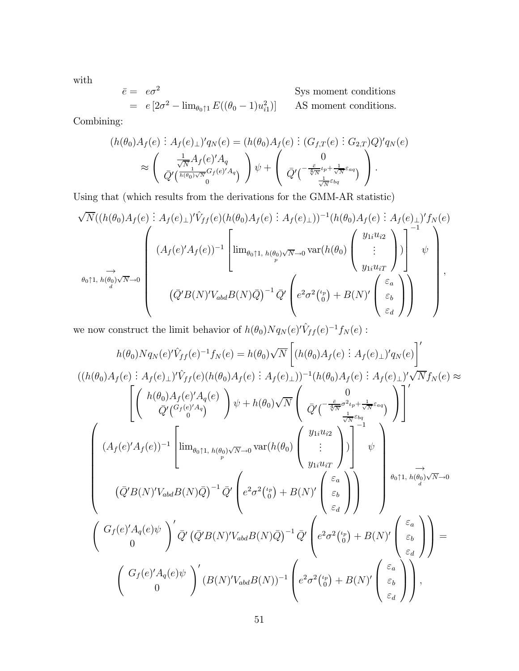with

$$
\begin{aligned}\n\bar{e} &= e\sigma^2 \\
&= e\left[2\sigma^2 - \lim_{\theta_0 \uparrow 1} E((\theta_0 - 1)u_{i1}^2)\right] \qquad \text{AS moment conditions.}\n\end{aligned}
$$

Combining:

$$
(h(\theta_0)A_f(e) : A_f(e)_\perp)'q_N(e) = (h(\theta_0)A_f(e) : (G_{f,T}(e) : G_{2,T})Q)'q_N(e)
$$
  

$$
\approx \begin{pmatrix} \frac{1}{\sqrt{N}}A_f(e)'A_q \\ \bar{Q}'(\frac{1}{(h(\theta_0)\sqrt{N}}G_f(e)'A_q) \end{pmatrix}\psi + \begin{pmatrix} 0 \\ \bar{Q}'(\frac{\bar{e}}{\sqrt{N}}\psi + \frac{1}{\sqrt{N}}\epsilon_{aq}) \\ \bar{Q}'(\frac{1}{\sqrt{N}}\epsilon_{bq}) \end{pmatrix}.
$$

Using that (which results from the derivations for the GMM-AR statistic)

$$
\sqrt{N}((h(\theta_0)A_f(e): A_f(e)_\perp)'\hat{V}_{ff}(e)(h(\theta_0)A_f(e): A_f(e)_\perp))^{-1}(h(\theta_0)A_f(e): A_f(e)_\perp)'f_N(e)
$$
\n
$$
\rightarrow \left(\begin{array}{c}\n(A_f(e)'A_f(e))^{-1}\left[\lim_{\theta_0 \uparrow 1, h(\theta_0)\sqrt{N}\to 0} \text{var}(h(\theta_0)\left(\begin{array}{c}y_{1i}u_{i2} \\ \vdots \\ y_{1i}u_{iT}\end{array}\right)\right]^{-1}\psi\right) \\
(\bar{Q}'B(N)'V_{abd}B(N)\bar{Q})^{-1}\bar{Q}'\left(e^2\sigma^2\binom{\epsilon_p}{0}+B(N)'\left(\begin{array}{c}\epsilon_a \\ \epsilon_b \\ \epsilon_d\end{array}\right)\right)\n\end{array},
$$

we now construct the limit behavior of  $h(\theta_0)Nq_N(e)'\hat{V}_{ff}(e)^{-1}f_N(e)$ :

$$
h(\theta_{0})Nq_{N}(e)^{i}\hat{V}_{ff}(e)^{-1}f_{N}(e) = h(\theta_{0})\sqrt{N}\left[\left(h(\theta_{0})A_{f}(e):A_{f}(e)_{\perp}\right)^{i}q_{N}(e)\right]^{i}
$$
  

$$
\left(\left(h(\theta_{0})A_{f}(e):A_{f}(e)_{\perp}\right)^{i}\hat{V}_{ff}(e)\left(h(\theta_{0})A_{f}(e):A_{f}(e)_{\perp}\right)\right)^{-1}\left(h(\theta_{0})A_{f}(e):A_{f}(e)_{\perp}\right)^{i}\sqrt{N}f_{N}(e) \approx \left[\left(\begin{array}{c}h(\theta_{0})A_{f}(e)^{i}A_{q}(e)\\ \bar{Q}^{i}(\bar{G}_{f}(e)^{i}A_{q})\end{array}\right)\psi + h(\theta_{0})\sqrt{N}\left(\begin{array}{c}0\\ \bar{Q}^{i}(\bar{G}_{f}(e)^{i}A_{f}(e))\frac{1}{\sqrt{N}\epsilon_{bq}}\\ \frac{1}{\sqrt{N}\epsilon_{bq}}\end{array}\right)\right]^{i}
$$
  

$$
\left(\left(\bar{Q}^{f}(e)^{f}A_{f}(e))^{-1}\left[\begin{array}{c} \lim_{\theta_{0}\uparrow 1, h(\theta_{0})\sqrt{N}\rightarrow 0} \text{var}(h(\theta_{0})\left(\begin{array}{c}y_{1i}u_{i2}\\ \vdots\\y_{1i}u_{iT}\end{array}\right)\right]^{-1}\psi\right] \approx \left(\bar{Q}^{f}(B(N)^{i}V_{abd}B(N)\bar{Q})^{-1}\bar{Q}^{i}\left(e^{2}\sigma^{2}\binom{\iota_{p}}{\sigma}+B(N)^{i}\left(\begin{array}{c}\epsilon_{a}\\ \epsilon_{b}\end{array}\right)\right)\right) \approx \left(\begin{array}{c}e_{0}\uparrow 1, h(\theta_{0})\sqrt{N}\rightarrow 0\\0\end{array}\right)
$$
  

$$
\left(\begin{array}{c}G_{f}(e)^{i}A_{q}(e)\psi\\0\end{array}\right)^{i}\bar{Q}^{i}\left(\bar{Q}^{f}B(N)^{i}V_{abd}B(N)\bar{Q}\right)^{-1}\bar{Q}^{i}\left(e^{2}\sigma^{2}\binom{\iota_{p}}{\sigma}+B(N)^{i}\left(\begin{array}{c}\epsilon_{a}\\ \epsilon
$$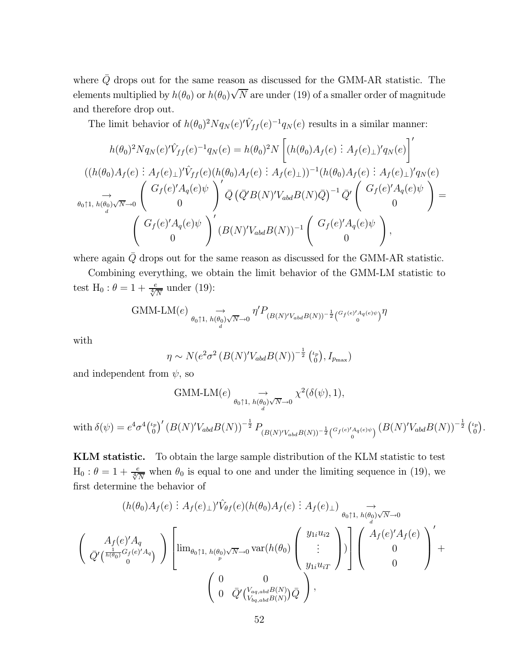where  $\bar{Q}$  drops out for the same reason as discussed for the GMM-AR statistic. The elements multiplied by  $h(\theta_0)$  or  $h(\theta_0)\sqrt{N}$  are under (19) of a smaller order of magnitude and therefore drop out.

The limit behavior of  $h(\theta_0)^2 N q_N(e) \hat{V}_{ff}(e)^{-1} q_N(e)$  results in a similar manner:

$$
h(\theta_{0})^{2}Nq_{N}(e)^{r}\hat{V}_{ff}(e)^{-1}q_{N}(e) = h(\theta_{0})^{2}N\left[\left(h(\theta_{0})A_{f}(e) : A_{f}(e)_{\perp}\right)^{r}q_{N}(e)\right]^{r}
$$

$$
((h(\theta_{0})A_{f}(e) : A_{f}(e)_{\perp})^{r}\hat{V}_{ff}(e)(h(\theta_{0})A_{f}(e) : A_{f}(e)_{\perp}))^{-1}(h(\theta_{0})A_{f}(e) : A_{f}(e)_{\perp})^{r}q_{N}(e)
$$

$$
\rightarrow \left(\begin{array}{c} G_{f}(e)^{r}A_{q}(e)\psi\\ 0 \end{array}\right)^{r}\bar{Q}\left(\bar{Q}^{r}B(N)^{r}V_{abd}B(N)\bar{Q}\right)^{-1}\bar{Q}^{r}\left(\begin{array}{c} G_{f}(e)^{r}A_{q}(e)\psi\\ 0 \end{array}\right) =
$$

$$
\left(\begin{array}{c} G_{f}(e)^{r}A_{q}(e)\psi\\ 0 \end{array}\right)^{r}(B(N)^{r}V_{abd}B(N))^{-1}\left(\begin{array}{c} G_{f}(e)^{r}A_{q}(e)\psi\\ 0 \end{array}\right),
$$

where again  $\overline{Q}$  drops out for the same reason as discussed for the GMM-AR statistic.

Combining everything, we obtain the limit behavior of the GMM-LM statistic to test H<sub>0</sub> :  $\theta = 1 + \frac{e}{\sqrt[4]{N}}$  under (19):

$$
\text{GMM-LM}(e) \underset{\theta_0 \uparrow 1, h(\theta_0) \sqrt{N} \to 0}{\to} \eta' P_{(B(N)'V_{abd}B(N))^{-\frac{1}{2}} \left(\begin{smallmatrix} G_f(e)'A_q(e)\psi \\ 0 \end{smallmatrix}\right)} \eta
$$

with

$$
\eta \sim N(e^2\sigma^2 \left(B(N)'V_{abd}B(N)\right)^{-\frac{1}{2}} \binom{\iota_p}{0}, I_{p_{\max}})
$$

and independent from  $\psi$ , so

$$
\text{GMM-LM}(e) \underset{\theta_0 \uparrow 1, h(\theta_0) \sqrt{N} \to 0}{\to} \chi^2(\delta(\psi), 1),
$$
\n
$$
\text{with } \delta(\psi) = e^4 \sigma^4 \binom{\iota_p}{0}^\prime \left( B(N)^\prime V_{\text{abd}} B(N) \right)^{-\frac{1}{2}} P_{(B(N)^\prime V_{\text{abd}} B(N))^{-\frac{1}{2}} \binom{G_f(e)^\prime A_q(e)\psi}{0}} \left( B(N)^\prime V_{\text{abd}} B(N) \right)^{-\frac{1}{2}} \binom{\iota_p}{0}.
$$

KLM statistic. To obtain the large sample distribution of the KLM statistic to test  $H_0: \theta = 1 + \frac{e}{\sqrt[4]{N}}$  when  $\theta_0$  is equal to one and under the limiting sequence in (19), we first determine the behavior of

$$
(h(\theta_0)A_f(e) : A_f(e)_\perp)' \hat{V}_{\theta f}(e) (h(\theta_0)A_f(e) : A_f(e)_\perp) \underset{\theta_0 \uparrow 1, h(\theta_0) \sqrt{N} \to 0}{\longrightarrow} \newline \left(\frac{A_f(e)'A_q}{\bar{Q}'(\frac{1}{h(\theta_0)}G_f(e)'A_q)}\right) \left[\lim_{\theta_0 \uparrow 1, h(\theta_0) \sqrt{N} \to 0} \text{var}(h(\theta_0) \begin{pmatrix} y_{1i}u_{i2} \\ \vdots \\ y_{1i}u_{iT} \end{pmatrix})\right] \begin{pmatrix} A_f(e)'A_f(e) \\ 0 \\ 0 \end{pmatrix}' + \newline \left(\begin{array}{c} 0 & 0 \\ 0 & \bar{Q}'(\frac{V_{aq,abd}B(N)}{V_{bq,abd}B(N)})\bar{Q} \end{array}\right),
$$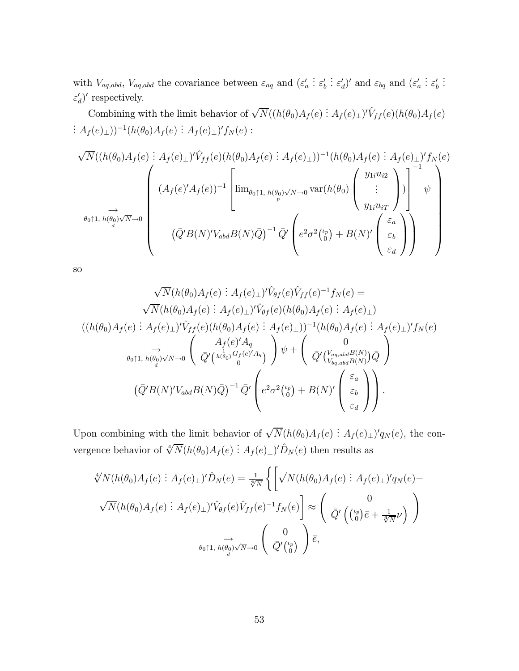with  $V_{aq,abd}$ ,  $V_{aq,abd}$  the covariance between  $\varepsilon_{aq}$  and  $(\varepsilon'_a)$ :  $\varepsilon_b'$ :  $\varepsilon_d'$ )' and  $\varepsilon_{bq}$  and  $(\varepsilon_a'$ :  $\varepsilon_b'$ . . .  $\varepsilon_d'$ )' respectively.

Combining with the limit behavior of  $\sqrt{N}((h(\theta_0)A_f(e):A_f(e)_\perp)'\hat{V}_{ff}(e)(h(\theta_0)A_f(e)))$ :  $A_f(e)$ <sub>⊥</sub>))<sup>-1</sup>( $h(\theta_0)A_f(e)$  :  $A_f(e)$ <sub>⊥</sub>)' $f_N(e)$  :

$$
\sqrt{N}((h(\theta_0)A_f(e): A_f(e)\bot)^{\prime}\hat{V}_{ff}(e)(h(\theta_0)A_f(e): A_f(e)\bot))^{-1}(h(\theta_0)A_f(e): A_f(e)\bot)^{\prime}f_N(e)
$$
\n
$$
\overrightarrow{A}_{\theta_0\uparrow 1,\ h(\theta_0)\sqrt{N}\to 0}\n\begin{pmatrix}\n\text{dim}_{\theta_0\uparrow 1,\ h(\theta_0)\sqrt{N}\to 0} \text{var}(h(\theta_0) \begin{pmatrix}\ny_{1i}u_{i2} \\
\vdots \\
y_{1i}u_{iT}\n\end{pmatrix}\n\end{pmatrix}\n\begin{pmatrix}\n\text{dim}_{\theta_0\uparrow 1,\ h(\theta_0)\sqrt{N}\to 0} \text{var}(h(\theta_0) \begin{pmatrix}\ny_{1i}u_{i2} \\
\vdots \\
y_{1i}u_{iT}\n\end{pmatrix}\n\end{pmatrix}\n\begin{pmatrix}\n\overrightarrow{e}_a \\
\overrightarrow{Q}'B(N)^{\prime}V_{abd}B(N)\overrightarrow{Q}\n\end{pmatrix}^{-1}\overrightarrow{Q}'\n\begin{pmatrix}\n\overrightarrow{e}_a\vec{Q}^2(\overrightarrow{v}_0) + B(N)^{\prime} \begin{pmatrix}\n\overrightarrow{e}_a \\
\overrightarrow{e}_d\n\end{pmatrix}\n\end{pmatrix}
$$

so

$$
\sqrt{N}(h(\theta_0)A_f(e) : A_f(e)_\perp)' \hat{V}_{\theta f}(e) \hat{V}_{ff}(e)^{-1} f_N(e) =
$$
  

$$
\sqrt{N}(h(\theta_0)A_f(e) : A_f(e)_\perp)' \hat{V}_{\theta f}(e) (h(\theta_0)A_f(e) : A_f(e)_\perp)
$$
  

$$
((h(\theta_0)A_f(e) : A_f(e)_\perp)' \hat{V}_{ff}(e) (h(\theta_0)A_f(e) : A_f(e)_\perp))^{-1} (h(\theta_0)A_f(e) : A_f(e)_\perp)' f_N(e)
$$
  

$$
\overrightarrow{\theta_0 \uparrow 1, h(\theta_0) \sqrt{N} \to 0} \left( \overrightarrow{Q'} \left( \frac{A_f(e)' A_q}{\overrightarrow{0}^0} \right) \psi + \left( \overrightarrow{Q'} \left( \frac{V_{\alpha q, ab} B(N)}{V_{\alpha q, ab} B(N)} \right) \overrightarrow{Q} \right)
$$
  

$$
(\overrightarrow{Q'}B(N)' V_{abd} B(N) \overrightarrow{Q})^{-1} \overrightarrow{Q'} \left( e^2 \sigma^2 {t_p \choose 0} + B(N)' \left( \frac{\varepsilon_a}{\varepsilon_b} \right) \right).
$$

Upon combining with the limit behavior of  $\sqrt{N}(h(\theta_0)A_f(e) : A_f(e)_\perp)'q_N(e)$ , the convergence behavior of  $\sqrt[4]{N}(h(\theta_0)A_f(e) : A_f(e)_\perp)' \hat{D}_N(e)$  then results as

$$
\sqrt[4]{N}(h(\theta_0)A_f(e) : A_f(e)_\perp)' \hat{D}_N(e) = \frac{1}{\sqrt[4]{N}} \left\{ \left[ \sqrt{N}(h(\theta_0)A_f(e) : A_f(e)_\perp)' q_N(e) - \sqrt{N}(h(\theta_0)A_f(e) : A_f(e)_\perp)' \hat{V}_{\theta f}(e) \hat{V}_{ff}(e)^{-1} f_N(e) \right] \approx \begin{pmatrix} 0 \\ \bar{Q}' \left( \binom{\iota_p}{0} \bar{e} + \frac{1}{\sqrt[4]{N}} \nu \right) \\ \overrightarrow{\theta_0 \uparrow 1, h(\theta_0) \sqrt{N} \to 0} \end{pmatrix} \approx \begin{pmatrix} 0 \\ \bar{Q}' \binom{\iota_p}{0} \end{pmatrix} \bar{e},
$$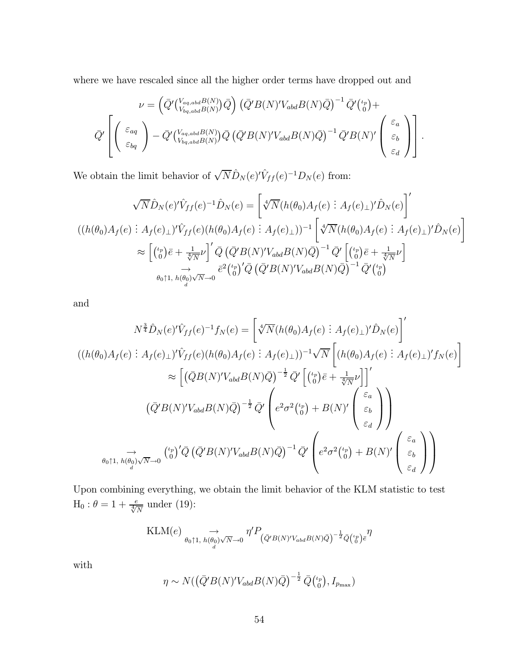where we have rescaled since all the higher order terms have dropped out and

$$
\nu = \left(\bar{Q}'\left(\begin{smallmatrix} V_{aq,abd}B(N) \\ V_{bq,abd}B(N)\end{smallmatrix}\right)\bar{Q}\right) \left(\bar{Q}'B(N)'V_{abd}B(N)\bar{Q}\right)^{-1}\bar{Q}'\left(\begin{smallmatrix} V_{p}\\ 0\end{smallmatrix}\right) + \bar{Q}'\left(\begin{smallmatrix} V_{aq} \\ 0 \end{smallmatrix}\right) - \bar{Q}'\left(\begin{smallmatrix} V_{aq,abd}B(N) \\ V_{bq,abd}B(N)\end{smallmatrix}\right)\bar{Q}\left(\bar{Q}'B(N)'V_{abd}B(N)\bar{Q}\right)^{-1}\bar{Q}'B(N)'\left(\begin{smallmatrix} \varepsilon_{a} \\ \varepsilon_{b} \\ \varepsilon_{d} \end{smallmatrix}\right)\right].
$$

We obtain the limit behavior of  $\sqrt{N}\hat{D}_N(e)'\hat{V}_{ff}(e)^{-1}D_N(e)$  from:

$$
\sqrt{N}\hat{D}_N(e)'\hat{V}_{ff}(e)^{-1}\hat{D}_N(e) = \left[\sqrt[4]{N}(h(\theta_0)A_f(e) : A_f(e)_\perp)'\hat{D}_N(e)\right]'
$$
  

$$
((h(\theta_0)A_f(e) : A_f(e)_\perp)'\hat{V}_{ff}(e)(h(\theta_0)A_f(e) : A_f(e)_\perp))^{-1}\left[\sqrt[4]{N}(h(\theta_0)A_f(e) : A_f(e)_\perp)'\hat{D}_N(e)\right]
$$

$$
\approx \left[\binom{\iota_p}{0}\bar{e} + \frac{1}{\sqrt[4]{N}}\nu\right]'\bar{Q}\left(\bar{Q}'B(N)'\bar{V}_{abd}B(N)\bar{Q}\right)^{-1}\bar{Q}'\left[\binom{\iota_p}{0}\bar{e} + \frac{1}{\sqrt[4]{N}}\nu\right]
$$

$$
\rightarrow \qquad \qquad \bar{e}^2\binom{\iota_p}{0}'\bar{Q}\left(\bar{Q}'B(N)'\bar{V}_{abd}B(N)\bar{Q}\right)^{-1}\bar{Q}'\binom{\iota_p}{0}
$$

and

$$
N^{\frac{3}{4}}\hat{D}_N(e)'\hat{V}_{ff}(e)^{-1}f_N(e) = \left[\sqrt[4]{N}(h(\theta_0)A_f(e) : A_f(e)_\perp)'\hat{D}_N(e)\right]'
$$
  

$$
((h(\theta_0)A_f(e) : A_f(e)_\perp)'\hat{V}_{ff}(e)(h(\theta_0)A_f(e) : A_f(e)_\perp))^{-1}\sqrt{N}\left[(h(\theta_0)A_f(e) : A_f(e)_\perp)'\hat{f}_N(e)\right]
$$

$$
\approx \left[\left(\bar{Q}B(N)'\hat{V}_{abd}B(N)\bar{Q}\right)^{-\frac{1}{2}}\bar{Q}'\left[\binom{\iota_p}{0}\bar{e} + \frac{1}{\sqrt[4]{N}}\nu\right]\right]'
$$

$$
(\bar{Q}'B(N)'\hat{V}_{abd}B(N)\bar{Q})^{-\frac{1}{2}}\bar{Q}'\left(e^2\sigma^2\binom{\iota_p}{0} + B(N)'\begin{pmatrix}\varepsilon_a\\\varepsilon_b\\\varepsilon_d\end{pmatrix}\right)
$$

$$
\xrightarrow{\iota_p}
$$

$$
\theta_0\uparrow 1, h(\theta_0)\sqrt{N}\to 0
$$

$$
\begin{pmatrix}\n\iota_p \\
\sigma_p\n\end{pmatrix}'\bar{Q}\left(\bar{Q}'B(N)'\hat{V}_{abd}B(N)\bar{Q}\right)^{-1}\bar{Q}'\left(e^2\sigma^2\binom{\iota_p}{0} + B(N)'\begin{pmatrix}\varepsilon_a\\\varepsilon_b\\\varepsilon_d\end{pmatrix}\right)
$$

Upon combining everything, we obtain the limit behavior of the KLM statistic to test  $\text{H}_0: \theta = 1+\frac{e}{\sqrt[4]{N}}$  under (19):

$$
\text{KLM}(e) \underset{\theta_0 \uparrow 1, h(\theta_0) \sqrt{N} \to 0}{\to} \eta' P_{(\bar{Q}'B(N)'V_{abd}B(N)\bar{Q})^{-\frac{1}{2}}\bar{Q}_{\theta}(\theta)}\bar{\eta}
$$

with

$$
\eta \sim N(\left(\bar{Q}'B(N)'V_{abd}B(N)\bar{Q}\right)^{-\frac{1}{2}}\bar{Q}\left(\begin{smallmatrix} \iota_p\\0 \end{smallmatrix}\right), I_{p_{\max}})
$$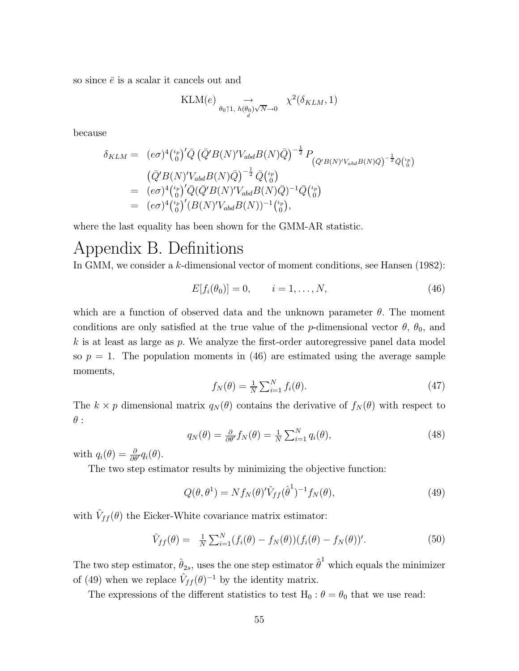so since  $\bar{e}$  is a scalar it cancels out and

$$
\text{KLM}(e) \underset{\theta_0 \uparrow 1, h(\theta_0) \sqrt{N} \to 0}{\longrightarrow} \chi^2(\delta_{KLM}, 1)
$$

because

$$
\delta_{KLM} = (e\sigma)^4 {\binom{\iota_p}{0}}' \bar{Q} (\bar{Q}'B(N)'V_{abd}B(N)\bar{Q})^{-\frac{1}{2}} P_{(\bar{Q}'B(N)'V_{abd}B(N)\bar{Q})^{-\frac{1}{2}}\bar{Q} {\binom{\iota_p}{0}}}
$$
  
\n
$$
= (e\sigma)^4 {\binom{\iota_p}{0}}' \bar{Q} (\bar{Q}'B(N)'V_{abd}B(N)\bar{Q})^{-1} \bar{Q} {\binom{\iota_p}{0}}
$$
  
\n
$$
= (e\sigma)^4 {\binom{\iota_p}{0}}' \bar{Q} (\bar{Q}'B(N)'V_{abd}B(N)\bar{Q})^{-1} \bar{Q} {\binom{\iota_p}{0}}
$$
  
\n
$$
= (e\sigma)^4 {\binom{\iota_p}{0}}' (B(N)'V_{abd}B(N))^{-1} {\binom{\iota_p}{0}},
$$

where the last equality has been shown for the GMM-AR statistic.

## Appendix B. Definitions

In GMM, we consider a k-dimensional vector of moment conditions, see Hansen (1982):

$$
E[f_i(\theta_0)] = 0, \qquad i = 1, \dots, N,
$$
\n(46)

which are a function of observed data and the unknown parameter  $\theta$ . The moment conditions are only satisfied at the true value of the p-dimensional vector  $\theta$ ,  $\theta_0$ , and  $k$  is at least as large as p. We analyze the first-order autoregressive panel data model so  $p = 1$ . The population moments in (46) are estimated using the average sample moments,

$$
f_N(\theta) = \frac{1}{N} \sum_{i=1}^N f_i(\theta). \tag{47}
$$

The  $k \times p$  dimensional matrix  $q_N(\theta)$  contains the derivative of  $f_N(\theta)$  with respect to  $\theta$  :

$$
q_N(\theta) = \frac{\partial}{\partial \theta'} f_N(\theta) = \frac{1}{N} \sum_{i=1}^N q_i(\theta), \qquad (48)
$$

with  $q_i(\theta) = \frac{\partial}{\partial \theta'} q_i(\theta)$ .

The two step estimator results by minimizing the objective function:

$$
Q(\theta, \theta^1) = N f_N(\theta)^{\prime} \hat{V}_{ff}(\hat{\theta}^1)^{-1} f_N(\theta), \qquad (49)
$$

with  $\hat{V}_{ff}(\theta)$  the Eicker-White covariance matrix estimator:

$$
\hat{V}_{ff}(\theta) = \frac{1}{N} \sum_{i=1}^{N} (f_i(\theta) - f_N(\theta)) (f_i(\theta) - f_N(\theta))'. \tag{50}
$$

The two step estimator,  $\hat{\theta}_{2s}$ , uses the one step estimator  $\hat{\theta}^1$  which equals the minimizer of (49) when we replace  $\hat{V}_{ff}(\theta)^{-1}$  by the identity matrix.

The expressions of the different statistics to test  $H_0$ :  $\theta = \theta_0$  that we use read: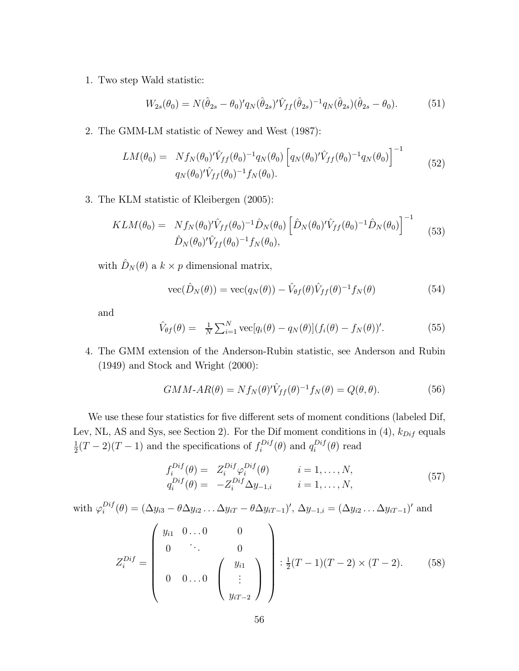1. Two step Wald statistic:

$$
W_{2s}(\theta_0) = N(\hat{\theta}_{2s} - \theta_0)' q_N(\hat{\theta}_{2s})' \hat{V}_{ff}(\hat{\theta}_{2s})^{-1} q_N(\hat{\theta}_{2s}) (\hat{\theta}_{2s} - \theta_0).
$$
(51)

2. The GMM-LM statistic of Newey and West (1987):

$$
LM(\theta_0) = Nf_N(\theta_0)'\hat{V}_{ff}(\theta_0)^{-1}q_N(\theta_0)\left[q_N(\theta_0)'\hat{V}_{ff}(\theta_0)^{-1}q_N(\theta_0)\right]^{-1}
$$
  
\n
$$
q_N(\theta_0)'\hat{V}_{ff}(\theta_0)^{-1}f_N(\theta_0).
$$
\n(52)

3. The KLM statistic of Kleibergen (2005):

$$
KLM(\theta_0) = Nf_N(\theta_0)'\hat{V}_{ff}(\theta_0)^{-1}\hat{D}_N(\theta_0) \left[\hat{D}_N(\theta_0)'\hat{V}_{ff}(\theta_0)^{-1}\hat{D}_N(\theta_0)\right]^{-1} \quad (53)
$$

$$
\hat{D}_N(\theta_0)'\hat{V}_{ff}(\theta_0)^{-1}f_N(\theta_0),
$$

with  $\hat{D}_N(\theta)$  a  $k \times p$  dimensional matrix,

$$
\text{vec}(\hat{D}_N(\theta)) = \text{vec}(q_N(\theta)) - \hat{V}_{\theta f}(\theta)\hat{V}_{ff}(\theta)^{-1}f_N(\theta)
$$
(54)

and

$$
\hat{V}_{\theta f}(\theta) = \frac{1}{N} \sum_{i=1}^{N} \text{vec}[q_i(\theta) - q_N(\theta)] (f_i(\theta) - f_N(\theta))'. \tag{55}
$$

4. The GMM extension of the Anderson-Rubin statistic, see Anderson and Rubin (1949) and Stock and Wright (2000):

$$
GMM \text{-} AR(\theta) = Nf_N(\theta)'\hat{V}_{ff}(\theta)^{-1}f_N(\theta) = Q(\theta, \theta). \tag{56}
$$

We use these four statistics for five different sets of moment conditions (labeled Dif, Lev, NL, AS and Sys, see Section 2). For the Dif moment conditions in (4),  $k_{Diff}$  equals  $\frac{1}{2}(T-2)(T-1)$  and the specifications of  $f_i^{Diff}(\theta)$  and  $q_i^{Diff}(\theta)$  read

$$
f_i^{Dif}(\theta) = Z_i^{Dif} \varphi_i^{Dif}(\theta) \qquad i = 1, ..., N, q_i^{Dif}(\theta) = -Z_i^{Dif} \Delta y_{-1,i} \qquad i = 1, ..., N,
$$
 (57)

with 
$$
\varphi_i^{Dif}(\theta) = (\Delta y_{i3} - \theta \Delta y_{i2} \dots \Delta y_{iT} - \theta \Delta y_{iT-1})', \Delta y_{-1,i} = (\Delta y_{i2} \dots \Delta y_{iT-1})'
$$
 and  

$$
Z_i^{Dif} = \begin{pmatrix} y_{i1} & 0 \dots 0 & 0 \\ 0 & \ddots & 0 \\ 0 & 0 \dots 0 & \begin{pmatrix} y_{i1} \\ \vdots \\ y_{iT-2} \end{pmatrix} \end{pmatrix} : \frac{1}{2}(T-1)(T-2) \times (T-2). \tag{58}
$$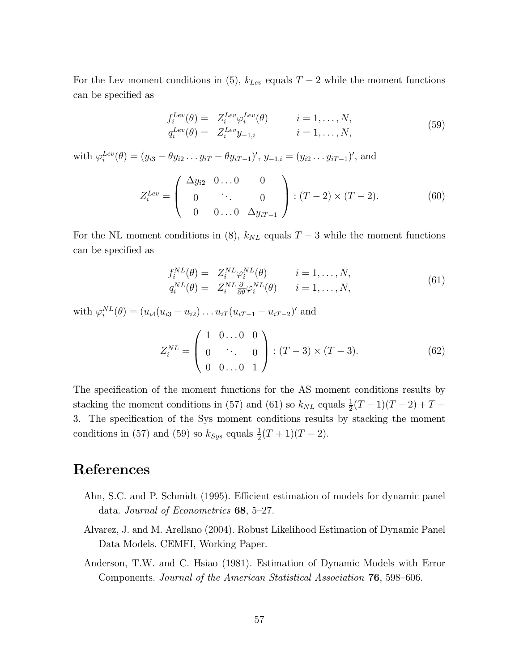For the Lev moment conditions in (5),  $k_{Lev}$  equals  $T-2$  while the moment functions can be specified as

$$
f_i^{Lev}(\theta) = Z_i^{Lev} \varphi_i^{Lev}(\theta) \qquad i = 1, ..., N,
$$
  
\n
$$
q_i^{Lev}(\theta) = Z_i^{Lev} y_{-1,i} \qquad i = 1, ..., N,
$$
\n(59)

with  $\varphi_i^{Lev}(\theta) = (y_{i3} - \theta y_{i2} \dots y_{iT} - \theta y_{iT-1})'$ ,  $y_{-1,i} = (y_{i2} \dots y_{iT-1})'$ , and

$$
Z_i^{Lev} = \begin{pmatrix} \Delta y_{i2} & 0 \dots 0 & 0 \\ 0 & \ddots & 0 \\ 0 & 0 \dots 0 & \Delta y_{iT-1} \end{pmatrix} : (T-2) \times (T-2). \tag{60}
$$

For the NL moment conditions in (8),  $k_{NL}$  equals  $T-3$  while the moment functions can be specified as

$$
f_i^{NL}(\theta) = Z_i^{NL} \varphi_i^{NL}(\theta) \qquad i = 1, ..., N,
$$
  
\n
$$
q_i^{NL}(\theta) = Z_i^{NL} \frac{\partial}{\partial \theta} \varphi_i^{NL}(\theta) \qquad i = 1, ..., N,
$$
\n(61)

with  $\varphi_i^{NL}(\theta) = (u_{i4}(u_{i3} - u_{i2}) \dots u_{iT}(u_{iT-1} - u_{iT-2})'$  and

$$
Z_i^{NL} = \begin{pmatrix} 1 & 0 & \dots & 0 & 0 \\ 0 & \ddots & 0 & 0 \\ 0 & 0 & \dots & 0 & 1 \end{pmatrix} : (T-3) \times (T-3). \tag{62}
$$

The specification of the moment functions for the AS moment conditions results by stacking the moment conditions in (57) and (61) so  $k_{NL}$  equals  $\frac{1}{2}(T-1)(T-2) + T -$ 3. The specification of the Sys moment conditions results by stacking the moment conditions in (57) and (59) so  $k_{Sys}$  equals  $\frac{1}{2}(T+1)(T-2)$ .

## References

- Ahn, S.C. and P. Schmidt (1995). Efficient estimation of models for dynamic panel data. Journal of Econometrics 68, 5—27.
- Alvarez, J. and M. Arellano (2004). Robust Likelihood Estimation of Dynamic Panel Data Models. CEMFI, Working Paper.
- Anderson, T.W. and C. Hsiao (1981). Estimation of Dynamic Models with Error Components. Journal of the American Statistical Association 76, 598—606.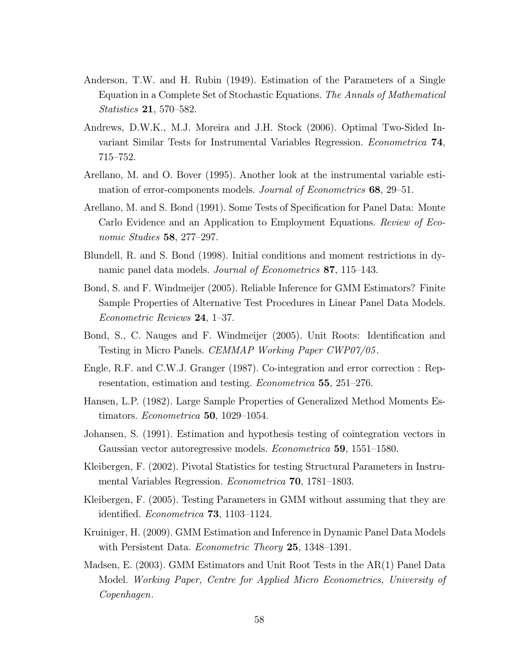- Anderson, T.W. and H. Rubin (1949). Estimation of the Parameters of a Single Equation in a Complete Set of Stochastic Equations. The Annals of Mathematical Statistics 21, 570—582.
- Andrews, D.W.K., M.J. Moreira and J.H. Stock (2006). Optimal Two-Sided Invariant Similar Tests for Instrumental Variables Regression. Econometrica 74, 715—752.
- Arellano, M. and O. Bover (1995). Another look at the instrumental variable estimation of error-components models. Journal of Econometrics 68, 29–51.
- Arellano, M. and S. Bond (1991). Some Tests of Specification for Panel Data: Monte Carlo Evidence and an Application to Employment Equations. Review of Economic Studies 58, 277—297.
- Blundell, R. and S. Bond (1998). Initial conditions and moment restrictions in dynamic panel data models. Journal of Econometrics 87, 115–143.
- Bond, S. and F. Windmeijer (2005). Reliable Inference for GMM Estimators? Finite Sample Properties of Alternative Test Procedures in Linear Panel Data Models. Econometric Reviews 24, 1—37.
- Bond, S., C. Nauges and F. Windmeijer (2005). Unit Roots: Identification and Testing in Micro Panels. CEMMAP Working Paper CWP07/05.
- Engle, R.F. and C.W.J. Granger (1987). Co-integration and error correction : Representation, estimation and testing. Econometrica 55, 251—276.
- Hansen, L.P. (1982). Large Sample Properties of Generalized Method Moments Estimators. Econometrica 50, 1029—1054.
- Johansen, S. (1991). Estimation and hypothesis testing of cointegration vectors in Gaussian vector autoregressive models. Econometrica 59, 1551—1580.
- Kleibergen, F. (2002). Pivotal Statistics for testing Structural Parameters in Instrumental Variables Regression. Econometrica 70, 1781—1803.
- Kleibergen, F. (2005). Testing Parameters in GMM without assuming that they are identified. Econometrica 73, 1103—1124.
- Kruiniger, H. (2009). GMM Estimation and Inference in Dynamic Panel Data Models with Persistent Data. Econometric Theory 25, 1348–1391.
- Madsen, E. (2003). GMM Estimators and Unit Root Tests in the AR(1) Panel Data Model. Working Paper, Centre for Applied Micro Econometrics, University of Copenhagen.